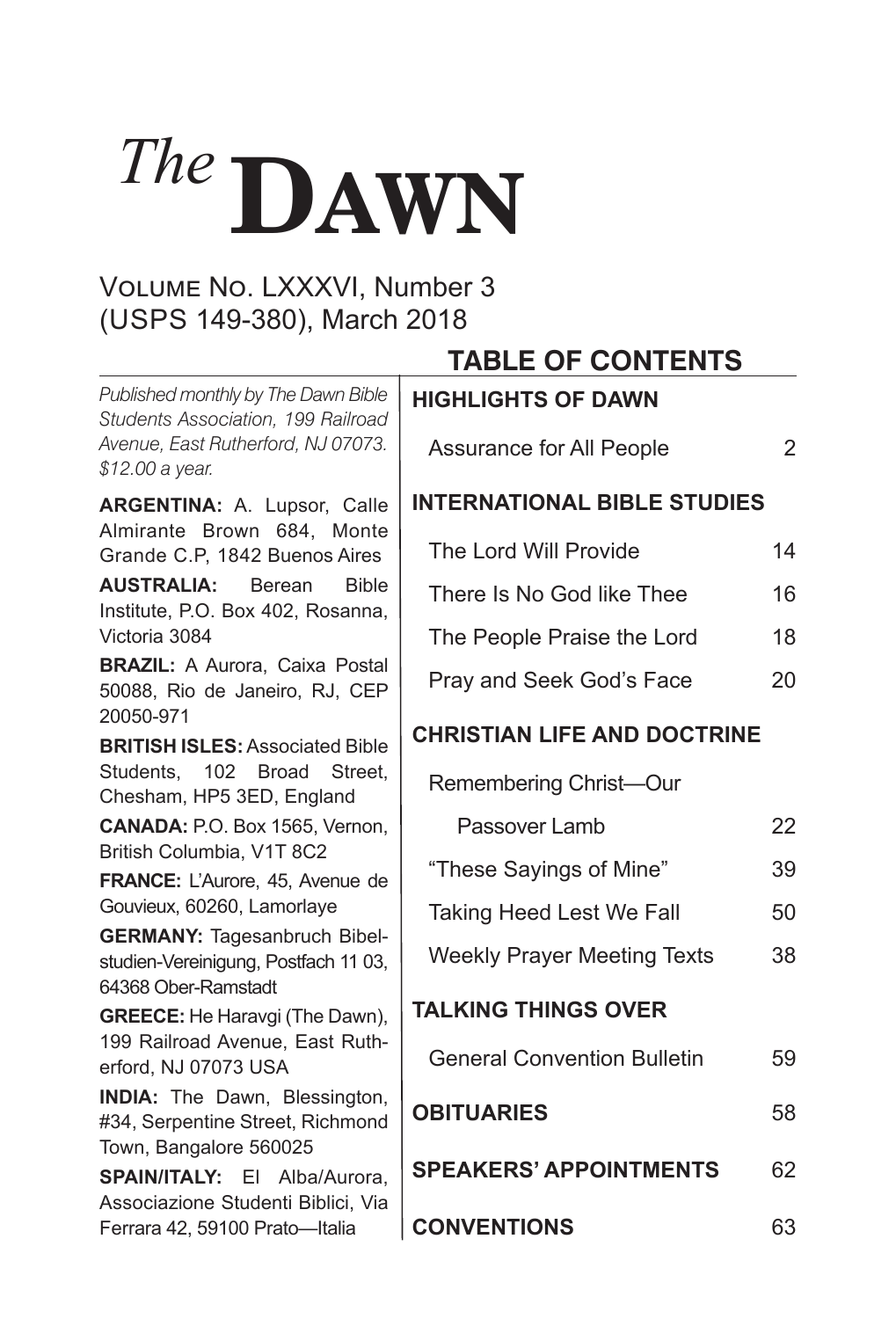# *The* **DAWN**

#### Volume No. LXXXVI, Number 3 (USPS 149-380), March 2018

| <b>TABLE OF CONTENTS</b>           |                                                                                           |  |
|------------------------------------|-------------------------------------------------------------------------------------------|--|
| <b>HIGHLIGHTS OF DAWN</b>          |                                                                                           |  |
| Assurance for All People           | 2                                                                                         |  |
|                                    |                                                                                           |  |
| The Lord Will Provide              | 14                                                                                        |  |
| There Is No God like Thee          | 16                                                                                        |  |
| The People Praise the Lord         | 18                                                                                        |  |
| Pray and Seek God's Face           | 20                                                                                        |  |
| <b>CHRISTIAN LIFE AND DOCTRINE</b> |                                                                                           |  |
| Remembering Christ-Our             |                                                                                           |  |
| Passover Lamb                      | 22                                                                                        |  |
|                                    | 39                                                                                        |  |
|                                    |                                                                                           |  |
|                                    | 50                                                                                        |  |
| <b>Weekly Prayer Meeting Texts</b> | 38                                                                                        |  |
| <b>TALKING THINGS OVER</b>         |                                                                                           |  |
| <b>General Convention Bulletin</b> | 59                                                                                        |  |
| <b>OBITUARIES</b>                  | 58                                                                                        |  |
| <b>SPEAKERS' APPOINTMENTS</b>      | 62                                                                                        |  |
| <b>CONVENTIONS</b>                 | 63                                                                                        |  |
|                                    | <b>INTERNATIONAL BIBLE STUDIES</b><br>"These Sayings of Mine"<br>Taking Heed Lest We Fall |  |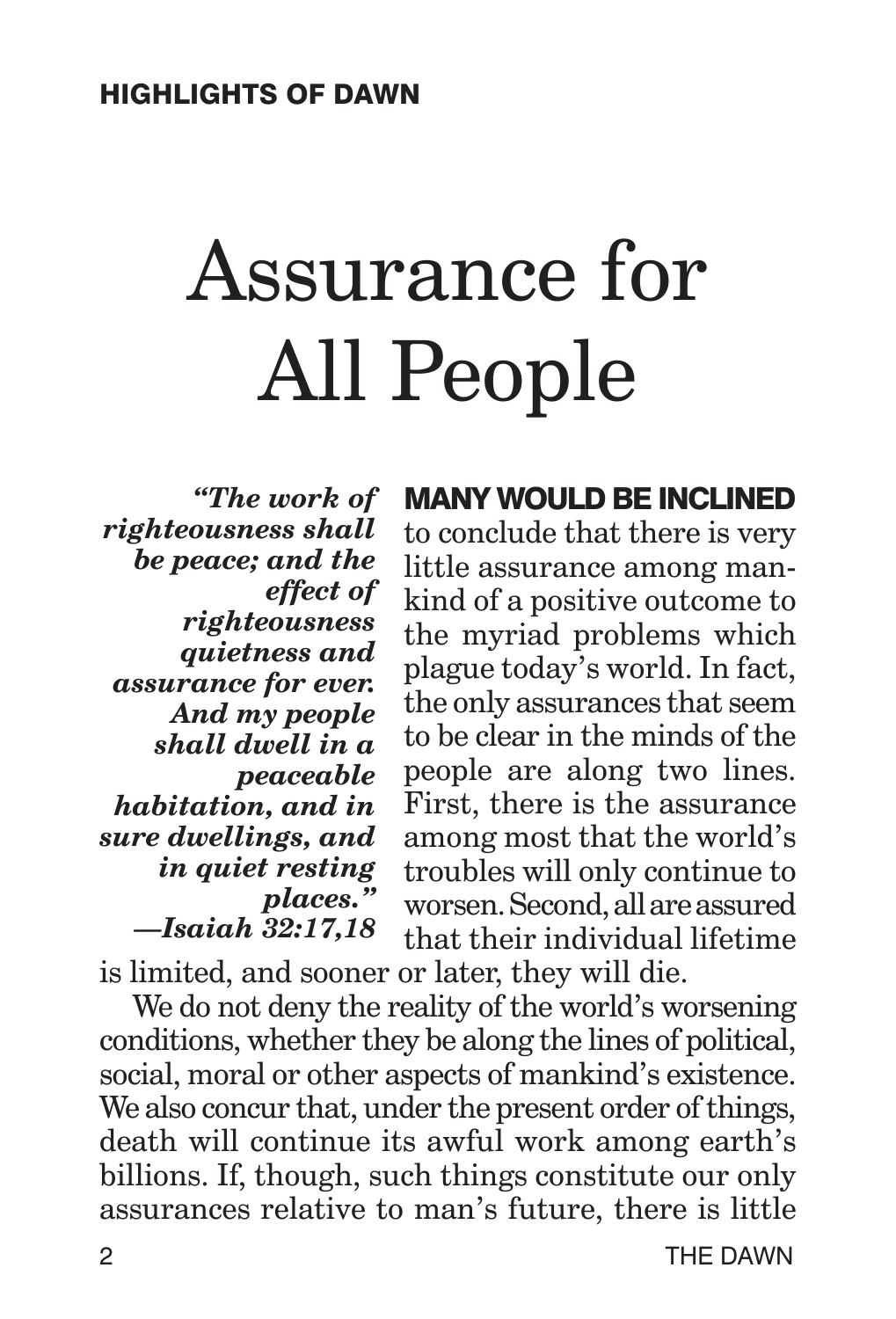# Assurance for All People

*"The work of righteousness shall be peace; and the effect of righteousness quietness and assurance for ever. And my people shall dwell in a peaceable habitation, and in sure dwellings, and in quiet resting places." —Isaiah 32:17,18*

#### MANY WOULD BE INCLINED

to conclude that there is very little assurance among mankind of a positive outcome to the myriad problems which plague today's world. In fact, the only assurances that seem to be clear in the minds of the people are along two lines. First, there is the assurance among most that the world's troubles will only continue to worsen. Second, all are assured that their individual lifetime is limited, and sooner or later, they will die.

We do not deny the reality of the world's worsening conditions, whether they be along the lines of political, social, moral or other aspects of mankind's existence. We also concur that, under the present order of things, death will continue its awful work among earth's billions. If, though, such things constitute our only assurances relative to man's future, there is little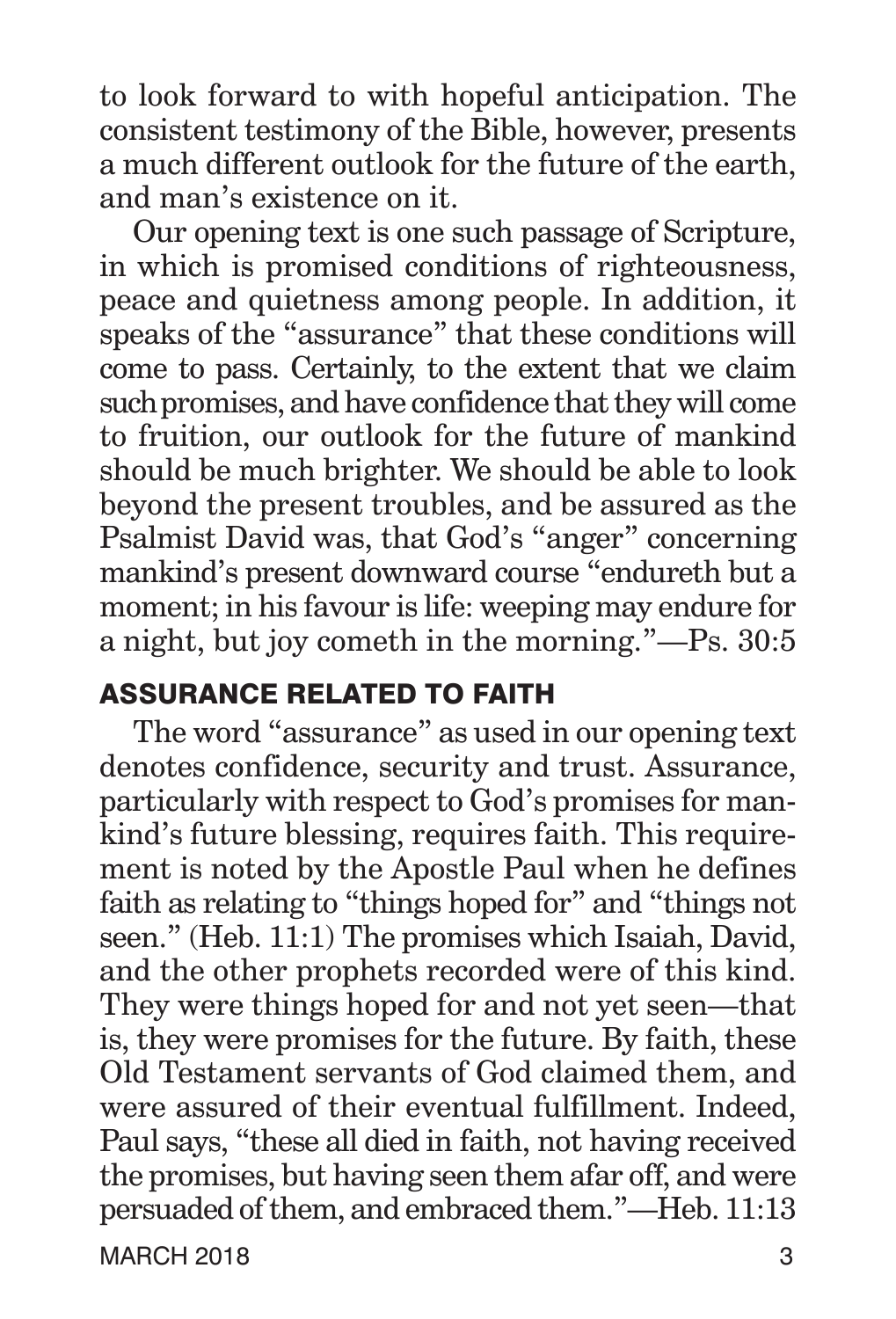to look forward to with hopeful anticipation. The consistent testimony of the Bible, however, presents a much different outlook for the future of the earth, and man's existence on it.

Our opening text is one such passage of Scripture, in which is promised conditions of righteousness, peace and quietness among people. In addition, it speaks of the "assurance" that these conditions will come to pass. Certainly, to the extent that we claim such promises, and have confidence that they will come to fruition, our outlook for the future of mankind should be much brighter. We should be able to look beyond the present troubles, and be assured as the Psalmist David was, that God's "anger" concerning mankind's present downward course "endureth but a moment; in his favour is life: weeping may endure for a night, but joy cometh in the morning."—Ps. 30:5

#### ASSURANCE RELATED TO FAITH

The word "assurance" as used in our opening text denotes confidence, security and trust. Assurance, particularly with respect to God's promises for mankind's future blessing, requires faith. This requirement is noted by the Apostle Paul when he defines faith as relating to "things hoped for" and "things not seen." (Heb. 11:1) The promises which Isaiah, David, and the other prophets recorded were of this kind. They were things hoped for and not yet seen—that is, they were promises for the future. By faith, these Old Testament servants of God claimed them, and were assured of their eventual fulfillment. Indeed, Paul says, "these all died in faith, not having received the promises, but having seen them afar off, and were persuaded of them, and embraced them."—Heb. 11:13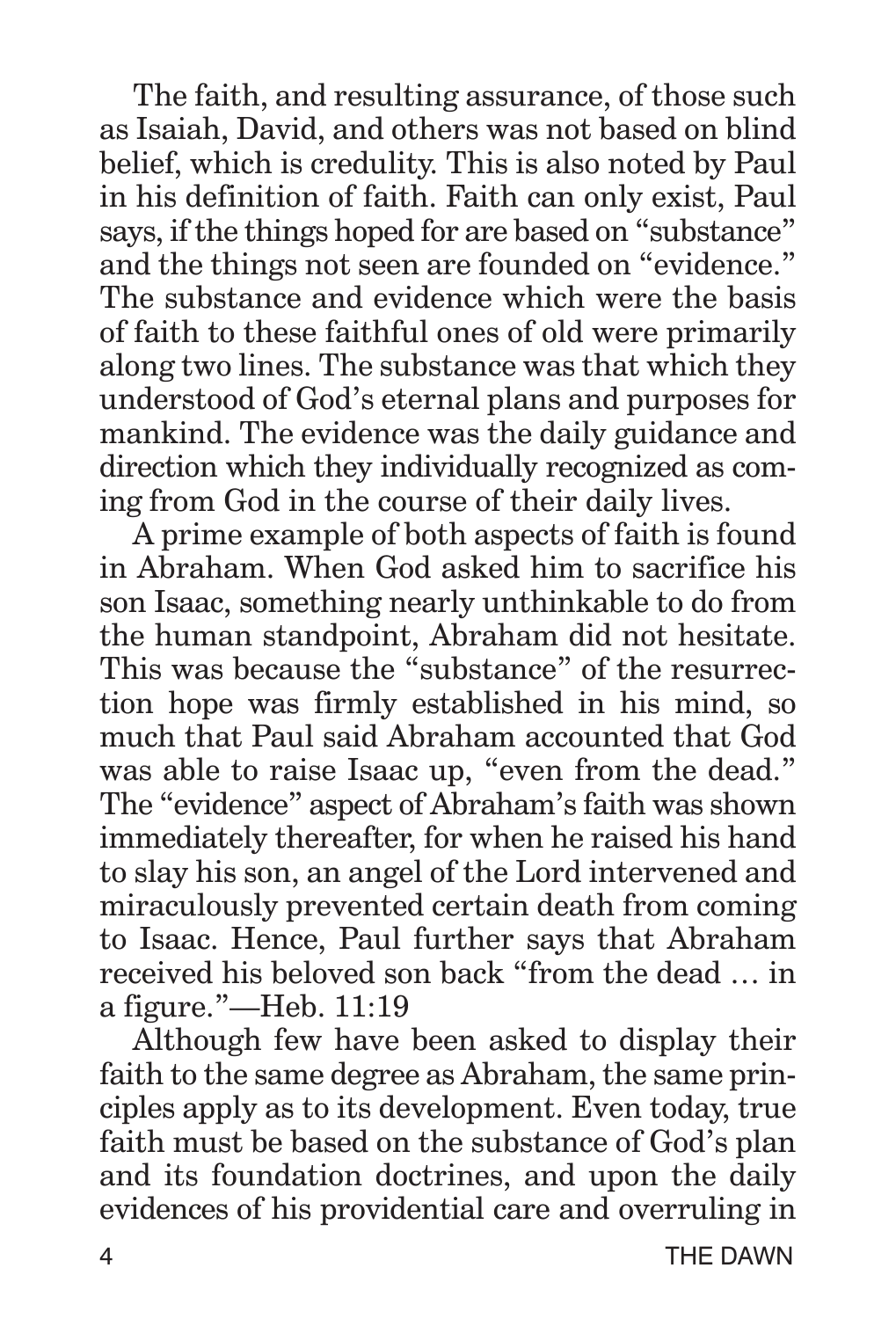The faith, and resulting assurance, of those such as Isaiah, David, and others was not based on blind belief, which is credulity. This is also noted by Paul in his definition of faith. Faith can only exist, Paul says, if the things hoped for are based on "substance" and the things not seen are founded on "evidence." The substance and evidence which were the basis of faith to these faithful ones of old were primarily along two lines. The substance was that which they understood of God's eternal plans and purposes for mankind. The evidence was the daily guidance and direction which they individually recognized as coming from God in the course of their daily lives.

A prime example of both aspects of faith is found in Abraham. When God asked him to sacrifice his son Isaac, something nearly unthinkable to do from the human standpoint, Abraham did not hesitate. This was because the "substance" of the resurrection hope was firmly established in his mind, so much that Paul said Abraham accounted that God was able to raise Isaac up, "even from the dead." The "evidence" aspect of Abraham's faith was shown immediately thereafter, for when he raised his hand to slay his son, an angel of the Lord intervened and miraculously prevented certain death from coming to Isaac. Hence, Paul further says that Abraham received his beloved son back "from the dead … in a figure."—Heb. 11:19

Although few have been asked to display their faith to the same degree as Abraham, the same principles apply as to its development. Even today, true faith must be based on the substance of God's plan and its foundation doctrines, and upon the daily evidences of his providential care and overruling in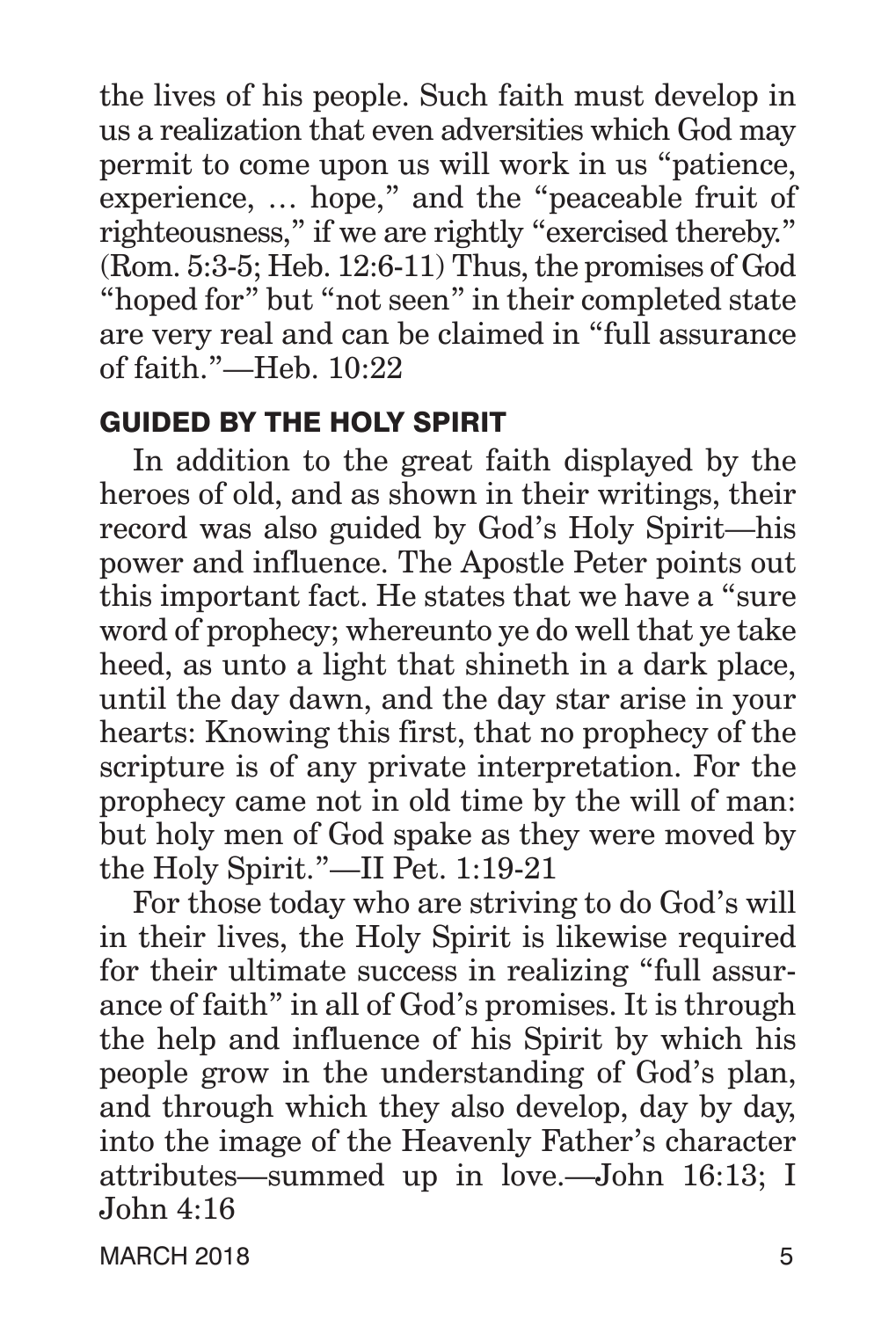the lives of his people. Such faith must develop in us a realization that even adversities which God may permit to come upon us will work in us "patience, experience, … hope," and the "peaceable fruit of righteousness," if we are rightly "exercised thereby." (Rom. 5:3-5; Heb. 12:6-11) Thus, the promises of God "hoped for" but "not seen" in their completed state are very real and can be claimed in "full assurance of faith." $-Heb. 10:22$ 

#### GUIDED BY THE HOLY SPIRIT

In addition to the great faith displayed by the heroes of old, and as shown in their writings, their record was also guided by God's Holy Spirit—his power and influence. The Apostle Peter points out this important fact. He states that we have a "sure word of prophecy; whereunto ye do well that ye take heed, as unto a light that shineth in a dark place, until the day dawn, and the day star arise in your hearts: Knowing this first, that no prophecy of the scripture is of any private interpretation. For the prophecy came not in old time by the will of man: but holy men of God spake as they were moved by the Holy Spirit."—II Pet. 1:19-21

For those today who are striving to do God's will in their lives, the Holy Spirit is likewise required for their ultimate success in realizing "full assurance of faith" in all of God's promises. It is through the help and influence of his Spirit by which his people grow in the understanding of God's plan, and through which they also develop, day by day, into the image of the Heavenly Father's character attributes—summed up in love.—John 16:13; I  $John 4.16$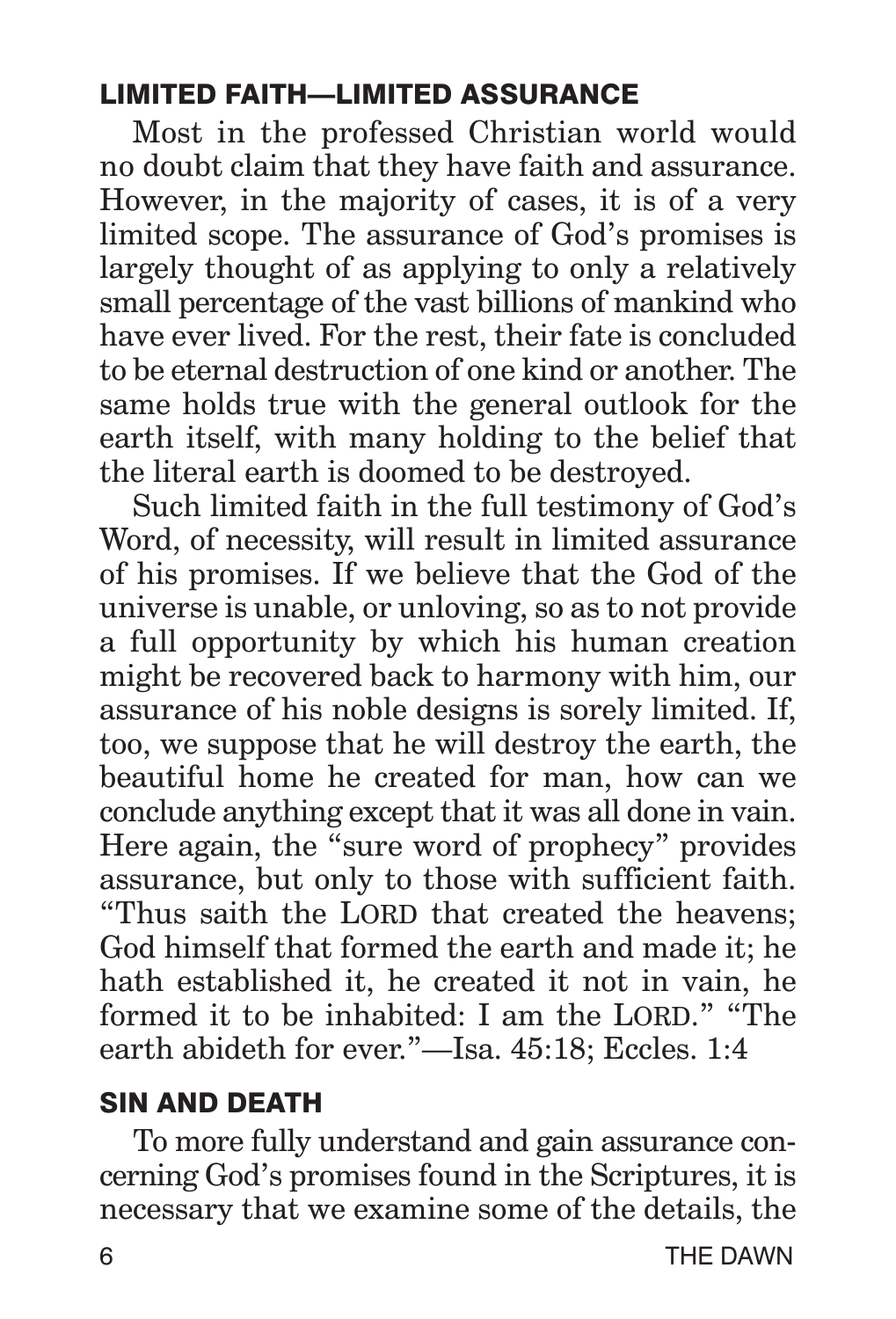#### LIMITED FAITH—LIMITED ASSURANCE

Most in the professed Christian world would no doubt claim that they have faith and assurance. However, in the majority of cases, it is of a very limited scope. The assurance of God's promises is largely thought of as applying to only a relatively small percentage of the vast billions of mankind who have ever lived. For the rest, their fate is concluded to be eternal destruction of one kind or another. The same holds true with the general outlook for the earth itself, with many holding to the belief that the literal earth is doomed to be destroyed.

Such limited faith in the full testimony of God's Word, of necessity, will result in limited assurance of his promises. If we believe that the God of the universe is unable, or unloving, so as to not provide a full opportunity by which his human creation might be recovered back to harmony with him, our assurance of his noble designs is sorely limited. If, too, we suppose that he will destroy the earth, the beautiful home he created for man, how can we conclude anything except that it was all done in vain. Here again, the "sure word of prophecy" provides assurance, but only to those with sufficient faith. "Thus saith the LORD that created the heavens; God himself that formed the earth and made it; he hath established it, he created it not in vain, he formed it to be inhabited: I am the LORD." "The earth abideth for ever."—Isa. 45:18; Eccles. 1:4

#### SIN AND DEATH

To more fully understand and gain assurance concerning God's promises found in the Scriptures, it is necessary that we examine some of the details, the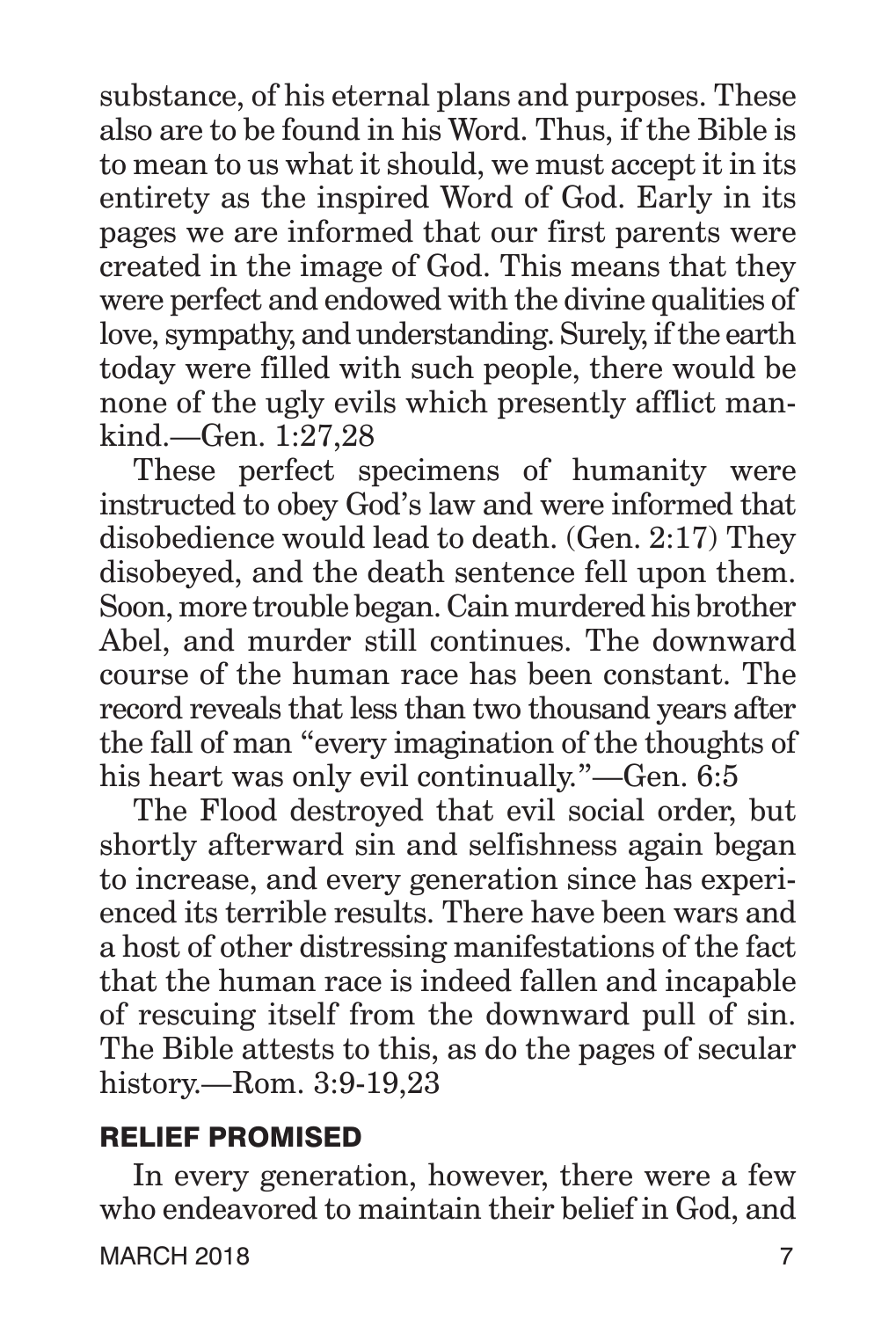substance, of his eternal plans and purposes. These also are to be found in his Word. Thus, if the Bible is to mean to us what it should, we must accept it in its entirety as the inspired Word of God. Early in its pages we are informed that our first parents were created in the image of God. This means that they were perfect and endowed with the divine qualities of love, sympathy, and understanding. Surely, if the earth today were filled with such people, there would be none of the ugly evils which presently afflict mankind.—Gen. 1:27,28

These perfect specimens of humanity were instructed to obey God's law and were informed that disobedience would lead to death. (Gen. 2:17) They disobeyed, and the death sentence fell upon them. Soon, more trouble began. Cain murdered his brother Abel, and murder still continues. The downward course of the human race has been constant. The record reveals that less than two thousand years after the fall of man "every imagination of the thoughts of his heart was only evil continually."—Gen. 6:5

The Flood destroyed that evil social order, but shortly afterward sin and selfishness again began to increase, and every generation since has experienced its terrible results. There have been wars and a host of other distressing manifestations of the fact that the human race is indeed fallen and incapable of rescuing itself from the downward pull of sin. The Bible attests to this, as do the pages of secular history.—Rom. 3:9-19,23

#### RELIEF PROMISED

In every generation, however, there were a few who endeavored to maintain their belief in God, and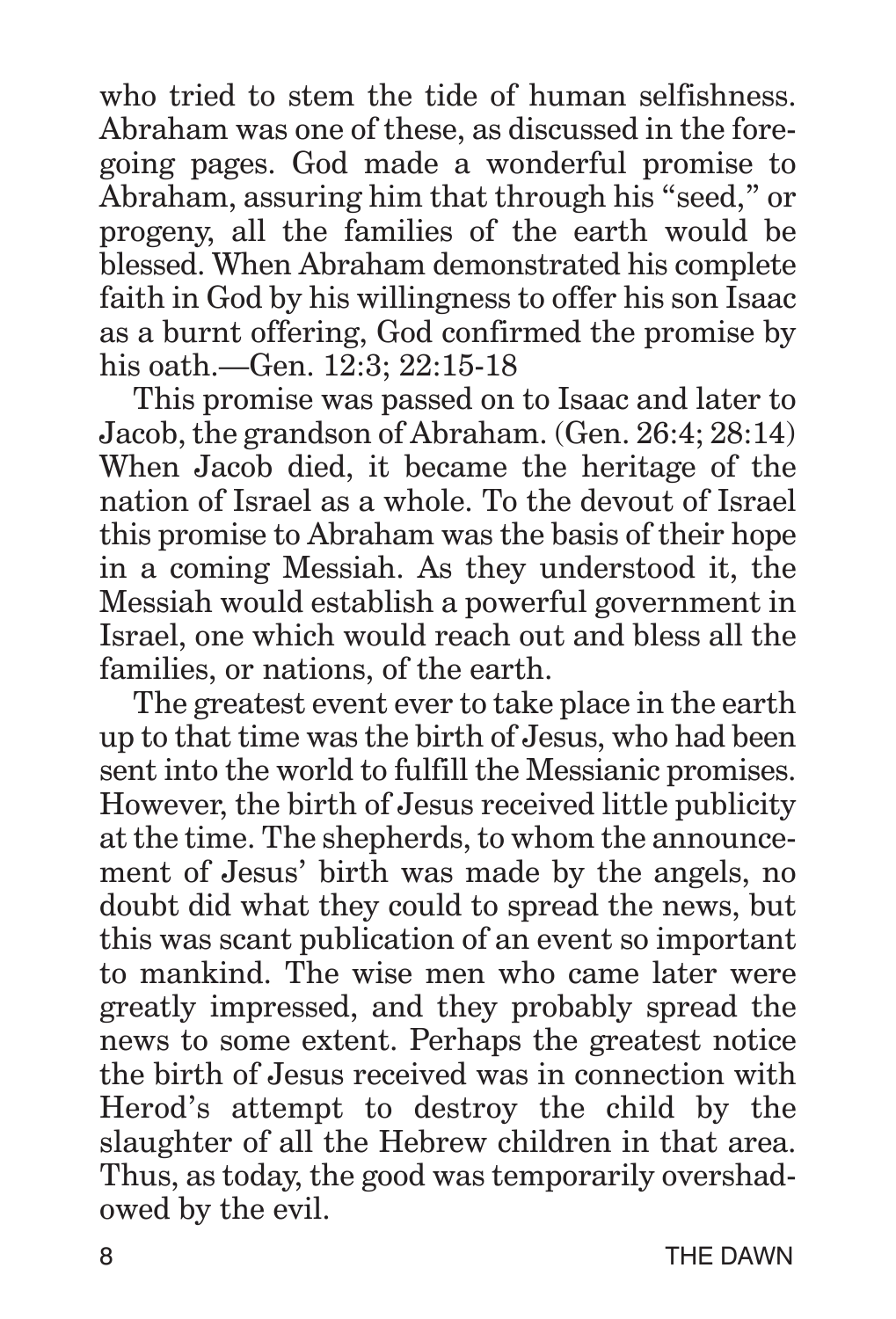who tried to stem the tide of human selfishness. Abraham was one of these, as discussed in the foregoing pages. God made a wonderful promise to Abraham, assuring him that through his "seed," or progeny, all the families of the earth would be blessed. When Abraham demonstrated his complete faith in God by his willingness to offer his son Isaac as a burnt offering, God confirmed the promise by his oath.—Gen. 12:3; 22:15-18

This promise was passed on to Isaac and later to Jacob, the grandson of Abraham. (Gen. 26:4; 28:14) When Jacob died, it became the heritage of the nation of Israel as a whole. To the devout of Israel this promise to Abraham was the basis of their hope in a coming Messiah. As they understood it, the Messiah would establish a powerful government in Israel, one which would reach out and bless all the families, or nations, of the earth.

The greatest event ever to take place in the earth up to that time was the birth of Jesus, who had been sent into the world to fulfill the Messianic promises. However, the birth of Jesus received little publicity at the time. The shepherds, to whom the announcement of Jesus' birth was made by the angels, no doubt did what they could to spread the news, but this was scant publication of an event so important to mankind. The wise men who came later were greatly impressed, and they probably spread the news to some extent. Perhaps the greatest notice the birth of Jesus received was in connection with Herod's attempt to destroy the child by the slaughter of all the Hebrew children in that area. Thus, as today, the good was temporarily overshadowed by the evil.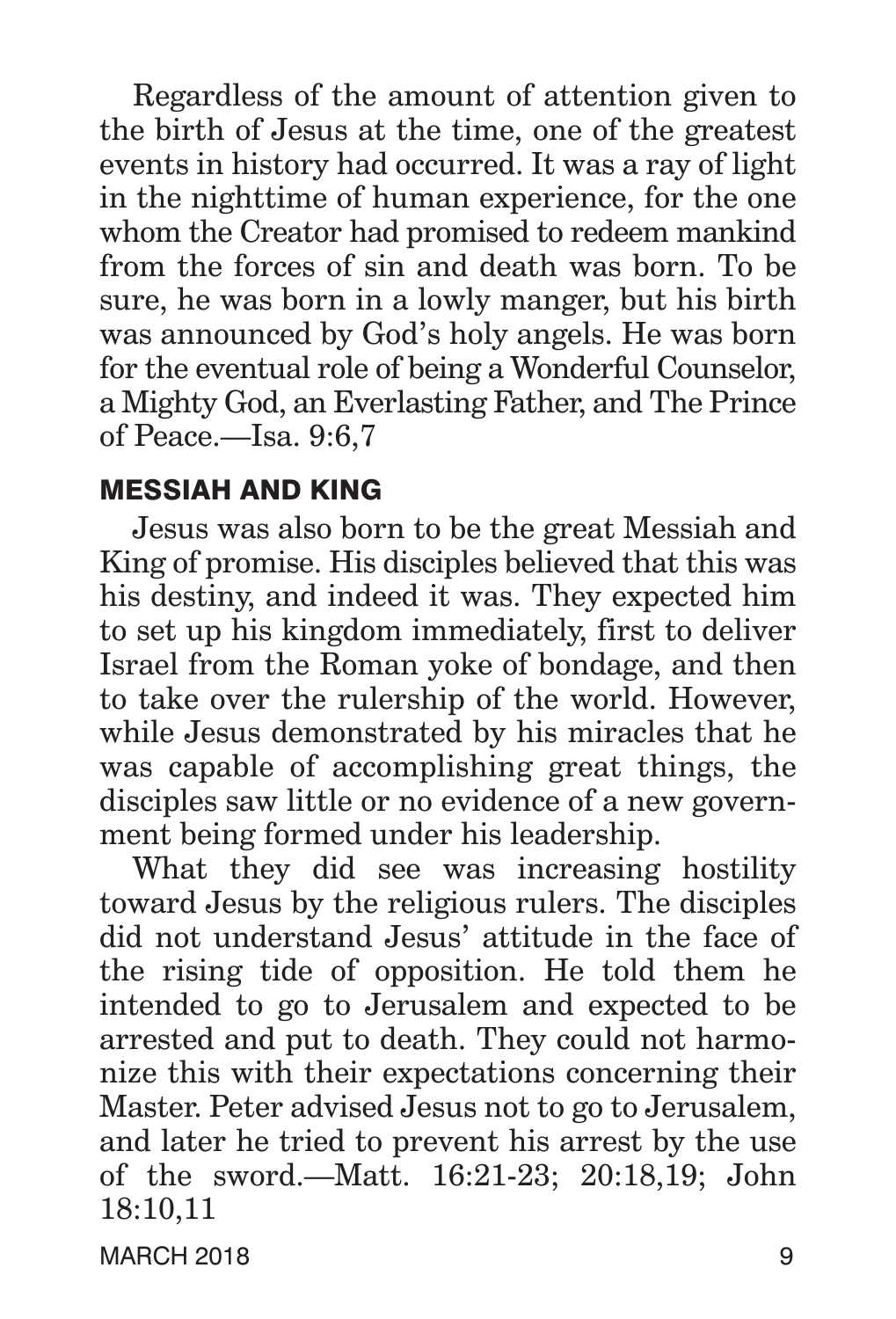Regardless of the amount of attention given to the birth of Jesus at the time, one of the greatest events in history had occurred. It was a ray of light in the nighttime of human experience, for the one whom the Creator had promised to redeem mankind from the forces of sin and death was born. To be sure, he was born in a lowly manger, but his birth was announced by God's holy angels. He was born for the eventual role of being a Wonderful Counselor, a Mighty God, an Everlasting Father, and The Prince of Peace.—Isa. 9:6,7

#### MESSIAH AND KING

Jesus was also born to be the great Messiah and King of promise. His disciples believed that this was his destiny, and indeed it was. They expected him to set up his kingdom immediately, first to deliver Israel from the Roman yoke of bondage, and then to take over the rulership of the world. However, while Jesus demonstrated by his miracles that he was capable of accomplishing great things, the disciples saw little or no evidence of a new government being formed under his leadership.

What they did see was increasing hostility toward Jesus by the religious rulers. The disciples did not understand Jesus' attitude in the face of the rising tide of opposition. He told them he intended to go to Jerusalem and expected to be arrested and put to death. They could not harmonize this with their expectations concerning their Master. Peter advised Jesus not to go to Jerusalem, and later he tried to prevent his arrest by the use of the sword.—Matt. 16:21-23; 20:18,19; John 18:10,11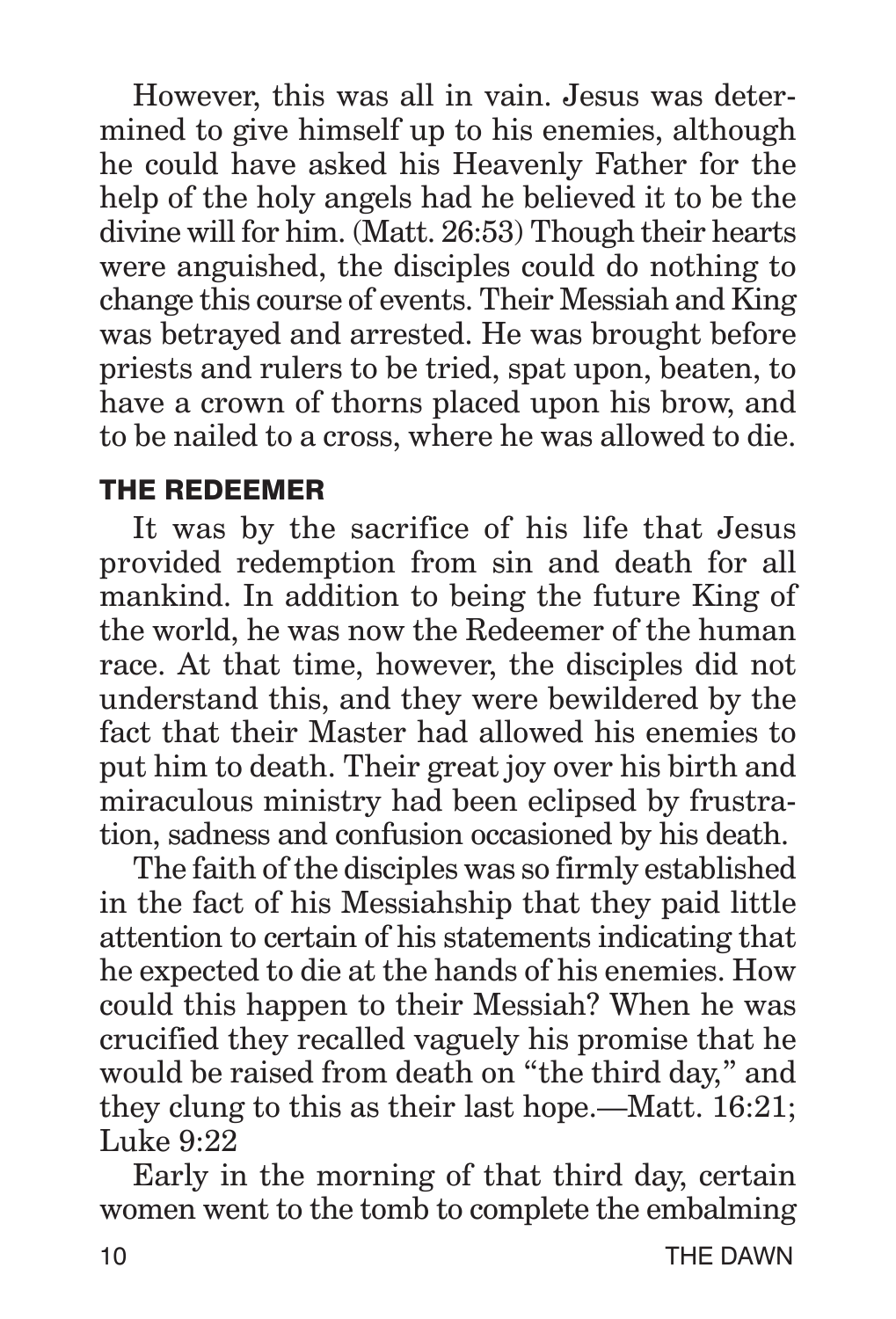However, this was all in vain. Jesus was determined to give himself up to his enemies, although he could have asked his Heavenly Father for the help of the holy angels had he believed it to be the divine will for him. (Matt. 26:53) Though their hearts were anguished, the disciples could do nothing to change this course of events. Their Messiah and King was betrayed and arrested. He was brought before priests and rulers to be tried, spat upon, beaten, to have a crown of thorns placed upon his brow, and to be nailed to a cross, where he was allowed to die.

#### THE REDEEMER

It was by the sacrifice of his life that Jesus provided redemption from sin and death for all mankind. In addition to being the future King of the world, he was now the Redeemer of the human race. At that time, however, the disciples did not understand this, and they were bewildered by the fact that their Master had allowed his enemies to put him to death. Their great joy over his birth and miraculous ministry had been eclipsed by frustration, sadness and confusion occasioned by his death.

The faith of the disciples was so firmly established in the fact of his Messiahship that they paid little attention to certain of his statements indicating that he expected to die at the hands of his enemies. How could this happen to their Messiah? When he was crucified they recalled vaguely his promise that he would be raised from death on "the third day," and they clung to this as their last hope.—Matt. 16:21; Luke  $9:22$ 

Early in the morning of that third day, certain women went to the tomb to complete the embalming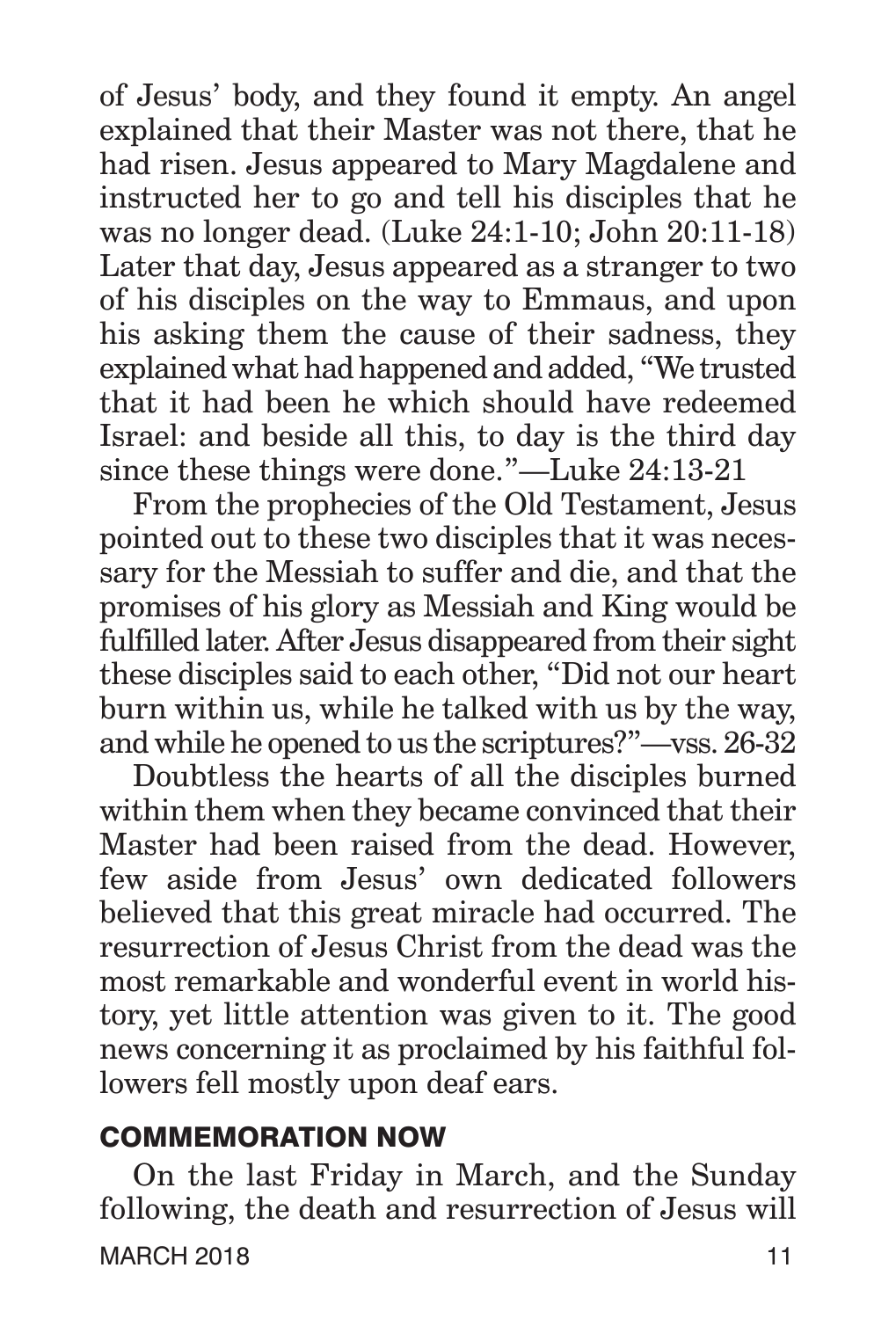of Jesus' body, and they found it empty. An angel explained that their Master was not there, that he had risen. Jesus appeared to Mary Magdalene and instructed her to go and tell his disciples that he was no longer dead. (Luke 24:1-10; John 20:11-18) Later that day, Jesus appeared as a stranger to two of his disciples on the way to Emmaus, and upon his asking them the cause of their sadness, they explained what had happened and added, "We trusted that it had been he which should have redeemed Israel: and beside all this, to day is the third day since these things were done."—Luke 24:13-21

From the prophecies of the Old Testament, Jesus pointed out to these two disciples that it was necessary for the Messiah to suffer and die, and that the promises of his glory as Messiah and King would be fulfilled later. After Jesus disappeared from their sight these disciples said to each other, "Did not our heart burn within us, while he talked with us by the way, and while he opened to us the scriptures?"—vss. 26-32

Doubtless the hearts of all the disciples burned within them when they became convinced that their Master had been raised from the dead. However, few aside from Jesus' own dedicated followers believed that this great miracle had occurred. The resurrection of Jesus Christ from the dead was the most remarkable and wonderful event in world history, yet little attention was given to it. The good news concerning it as proclaimed by his faithful followers fell mostly upon deaf ears.

#### COMMEMORATION NOW

MARCH 2018 11 2018 On the last Friday in March, and the Sunday following, the death and resurrection of Jesus will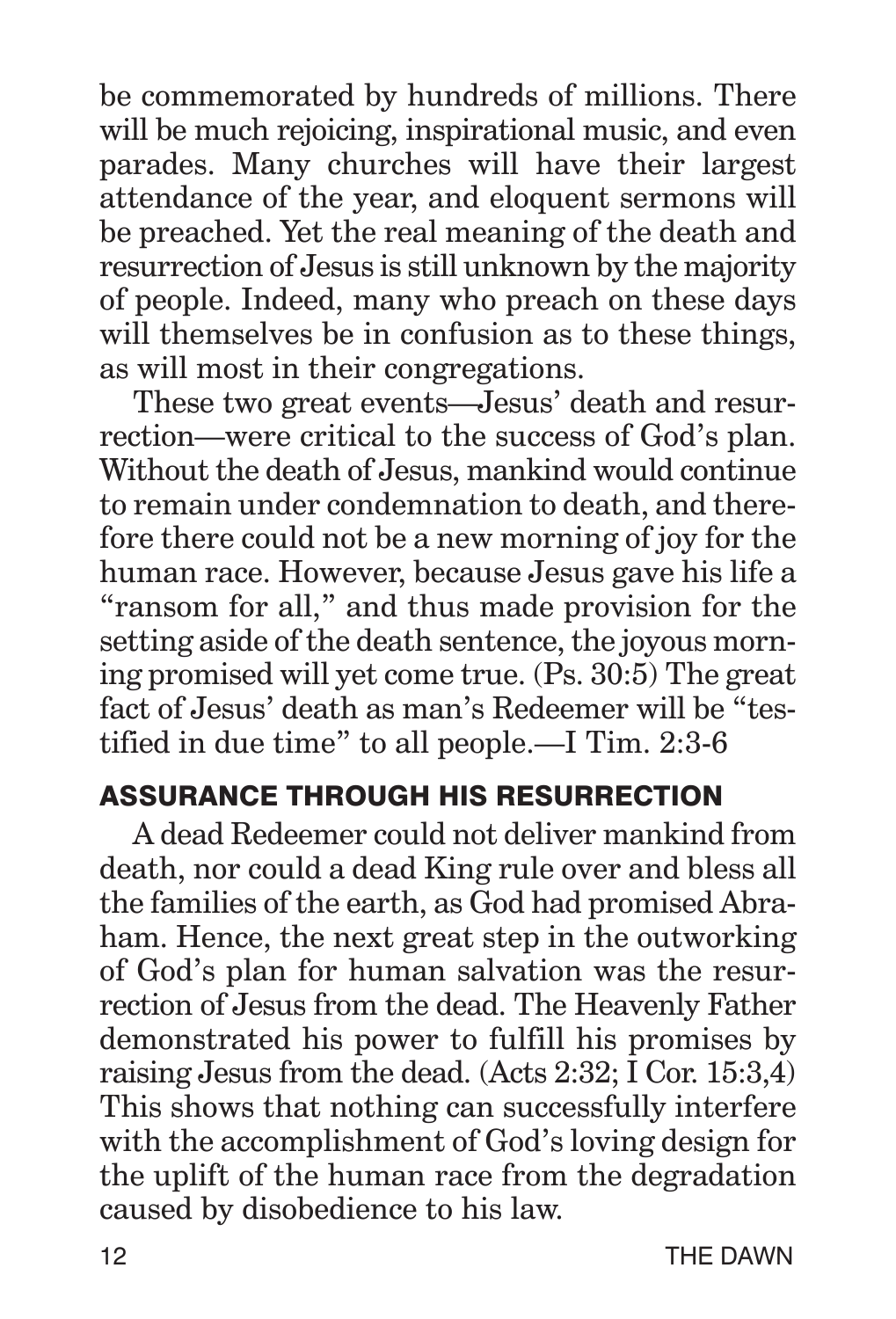be commemorated by hundreds of millions. There will be much rejoicing, inspirational music, and even parades. Many churches will have their largest attendance of the year, and eloquent sermons will be preached. Yet the real meaning of the death and resurrection of Jesus is still unknown by the majority of people. Indeed, many who preach on these days will themselves be in confusion as to these things, as will most in their congregations.

These two great events—Jesus' death and resurrection—were critical to the success of God's plan. Without the death of Jesus, mankind would continue to remain under condemnation to death, and therefore there could not be a new morning of joy for the human race. However, because Jesus gave his life a "ransom for all," and thus made provision for the setting aside of the death sentence, the joyous morning promised will yet come true. (Ps. 30:5) The great fact of Jesus' death as man's Redeemer will be "testified in due time" to all people.—I Tim. 2:3-6

#### ASSURANCE THROUGH HIS RESURRECTION

A dead Redeemer could not deliver mankind from death, nor could a dead King rule over and bless all the families of the earth, as God had promised Abraham. Hence, the next great step in the outworking of God's plan for human salvation was the resurrection of Jesus from the dead. The Heavenly Father demonstrated his power to fulfill his promises by raising Jesus from the dead. (Acts 2:32; I Cor. 15:3,4) This shows that nothing can successfully interfere with the accomplishment of God's loving design for the uplift of the human race from the degradation caused by disobedience to his law.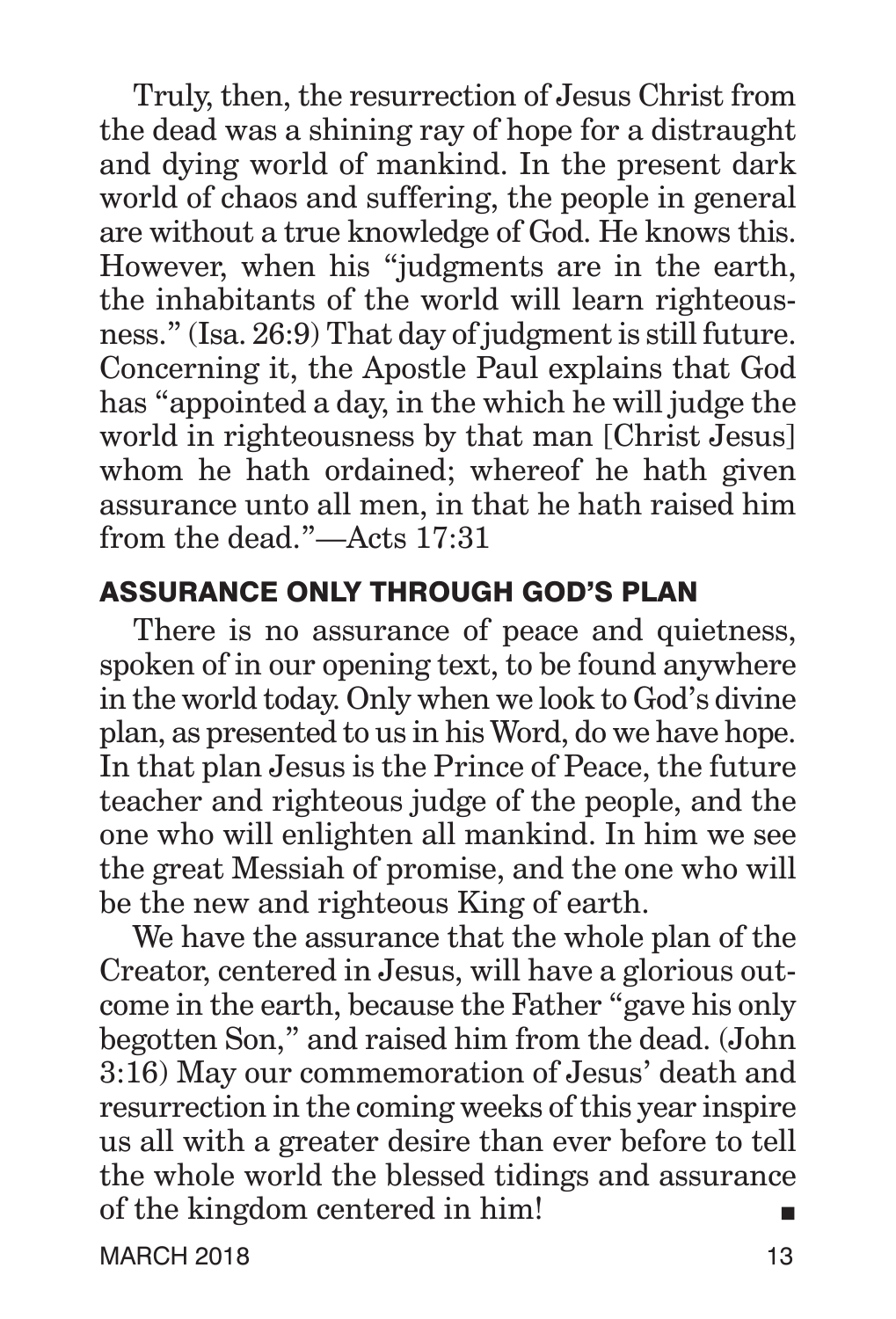Truly, then, the resurrection of Jesus Christ from the dead was a shining ray of hope for a distraught and dying world of mankind. In the present dark world of chaos and suffering, the people in general are without a true knowledge of God. He knows this. However, when his "judgments are in the earth, the inhabitants of the world will learn righteousness." (Isa. 26:9) That day of judgment is still future. Concerning it, the Apostle Paul explains that God has "appointed a day, in the which he will judge the world in righteousness by that man [Christ Jesus] whom he hath ordained; whereof he hath given assurance unto all men, in that he hath raised him from the dead."—Acts 17:31

#### ASSURANCE ONLY THROUGH GOD'S PLAN

There is no assurance of peace and quietness, spoken of in our opening text, to be found anywhere in the world today. Only when we look to God's divine plan, as presented to us in his Word, do we have hope. In that plan Jesus is the Prince of Peace, the future teacher and righteous judge of the people, and the one who will enlighten all mankind. In him we see the great Messiah of promise, and the one who will be the new and righteous King of earth.

We have the assurance that the whole plan of the Creator, centered in Jesus, will have a glorious outcome in the earth, because the Father "gave his only begotten Son," and raised him from the dead. (John 3:16) May our commemoration of Jesus' death and resurrection in the coming weeks of this year inspire us all with a greater desire than ever before to tell the whole world the blessed tidings and assurance of the kingdom centered in him!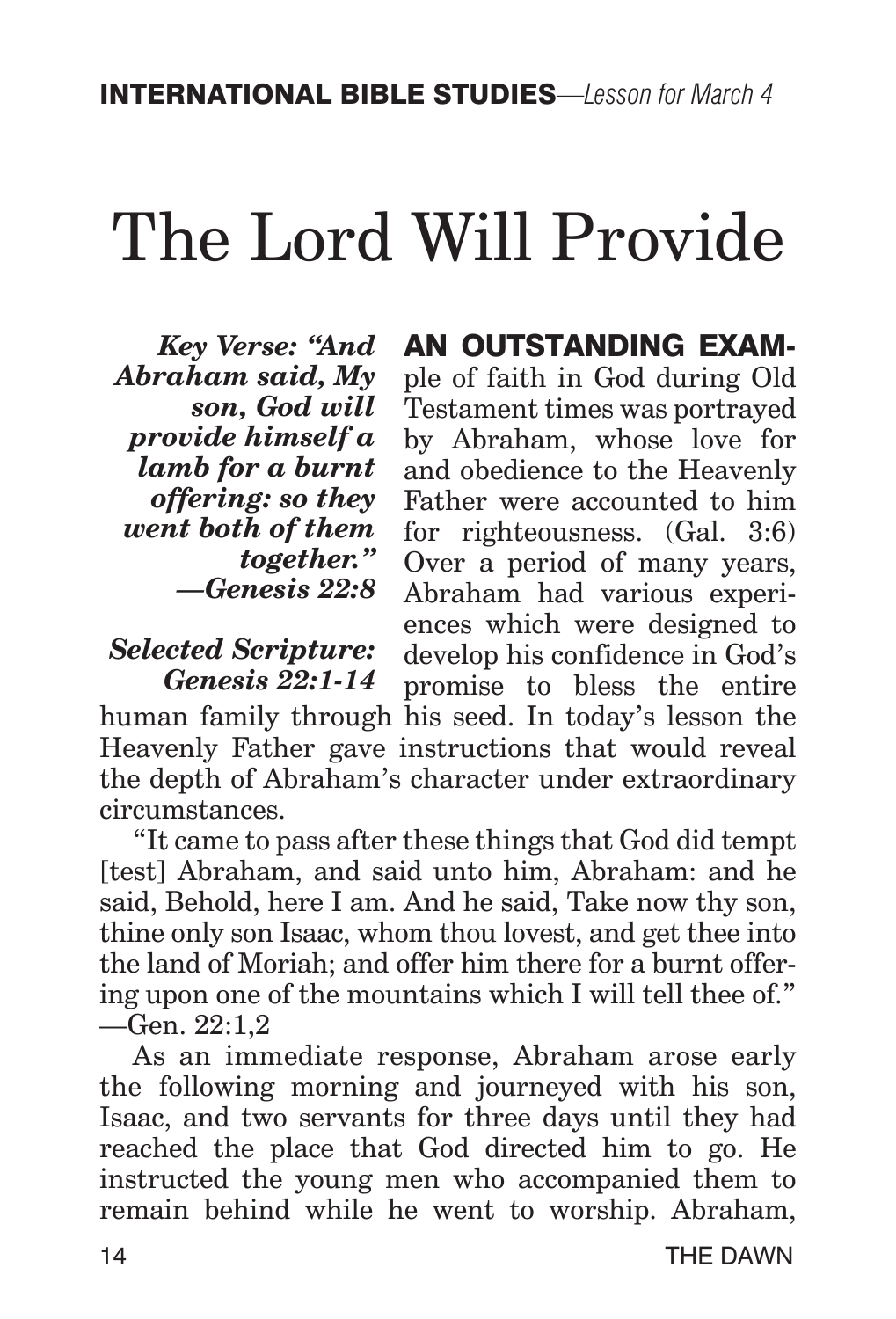## The Lord Will Provide

*Key Verse: "And Abraham said, My son, God will provide himself a lamb for a burnt offering: so they went both of them together." —Genesis 22:8*

#### *Selected Scripture: Genesis 22:1-14*

AN OUTSTANDING EXAMple of faith in God during Old Testament times was portrayed by Abraham, whose love for and obedience to the Heavenly Father were accounted to him for righteousness. (Gal. 3:6) Over a period of many years, Abraham had various experiences which were designed to develop his confidence in God's promise to bless the entire human family through his seed. In today's lesson the Heavenly Father gave instructions that would reveal the depth of Abraham's character under extraordinary

circumstances. "It came to pass after these things that God did tempt [test] Abraham, and said unto him, Abraham: and he said, Behold, here I am. And he said, Take now thy son, thine only son Isaac, whom thou lovest, and get thee into the land of Moriah; and offer him there for a burnt offering upon one of the mountains which I will tell thee of."

—Gen. 22:1,2

As an immediate response, Abraham arose early the following morning and journeyed with his son, Isaac, and two servants for three days until they had reached the place that God directed him to go. He instructed the young men who accompanied them to remain behind while he went to worship. Abraham,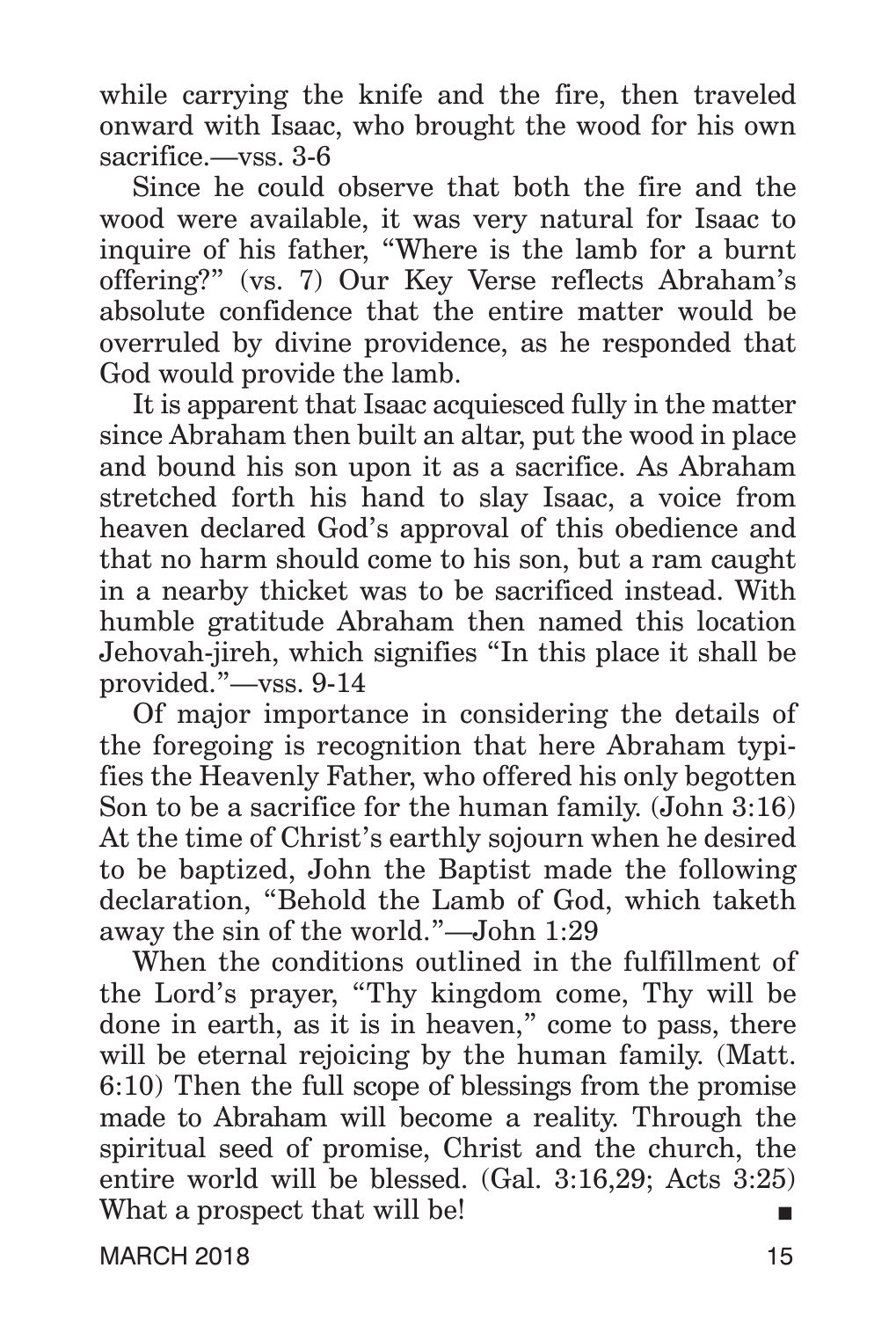while carrying the knife and the fire, then traveled onward with Isaac, who brought the wood for his own sacrifice.—vss. 3-6

Since he could observe that both the fire and the wood were available, it was very natural for Isaac to inquire of his father, "Where is the lamb for a burnt offering?" (vs. 7) Our Key Verse reflects Abraham's absolute confidence that the entire matter would be overruled by divine providence, as he responded that God would provide the lamb.

It is apparent that Isaac acquiesced fully in the matter since Abraham then built an altar, put the wood in place and bound his son upon it as a sacrifice. As Abraham stretched forth his hand to slay Isaac, a voice from heaven declared God's approval of this obedience and that no harm should come to his son, but a ram caught in a nearby thicket was to be sacrificed instead. With humble gratitude Abraham then named this location Jehovah-jireh, which signifies "In this place it shall be provided."—vss. 9-14

Of major importance in considering the details of the foregoing is recognition that here Abraham typifies the Heavenly Father, who offered his only begotten Son to be a sacrifice for the human family. (John 3:16) At the time of Christ's earthly sojourn when he desired to be baptized, John the Baptist made the following declaration, "Behold the Lamb of God, which taketh away the sin of the world."—John 1:29

When the conditions outlined in the fulfillment of the Lord's prayer, "Thy kingdom come, Thy will be done in earth, as it is in heaven," come to pass, there will be eternal rejoicing by the human family. (Matt. 6:10) Then the full scope of blessings from the promise made to Abraham will become a reality. Through the spiritual seed of promise, Christ and the church, the entire world will be blessed. (Gal. 3:16,29; Acts 3:25) What a prospect that will be!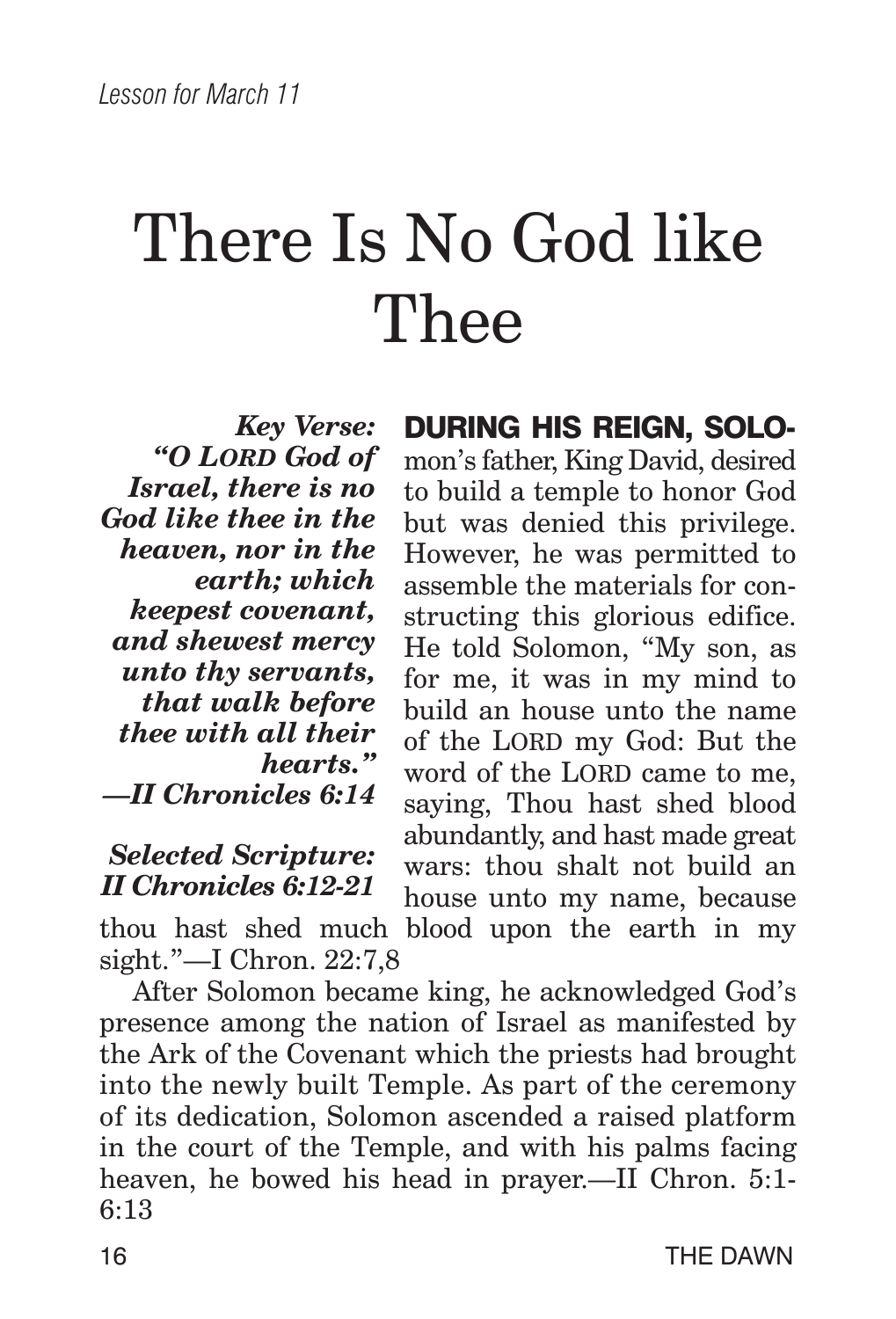# There Is No God like Thee

*Key Verse: "O Lord God of Israel, there is no God like thee in the heaven, nor in the earth; which keepest covenant, and shewest mercy unto thy servants, that walk before thee with all their hearts." —II Chronicles 6:14*

#### *Selected Scripture: II Chronicles 6:12-21*

sight."—I Chron. 22:7,8

DURING HIS REIGN, SOLO-

mon's father, King David, desired to build a temple to honor God but was denied this privilege. However, he was permitted to assemble the materials for constructing this glorious edifice. He told Solomon, "My son, as for me, it was in my mind to build an house unto the name of the LORD my God: But the word of the LORD came to me. saying, Thou hast shed blood abundantly, and hast made great wars: thou shalt not build an house unto my name, because thou hast shed much blood upon the earth in my

After Solomon became king, he acknowledged God's presence among the nation of Israel as manifested by the Ark of the Covenant which the priests had brought into the newly built Temple. As part of the ceremony of its dedication, Solomon ascended a raised platform in the court of the Temple, and with his palms facing heaven, he bowed his head in prayer.—II Chron. 5:1- 6:13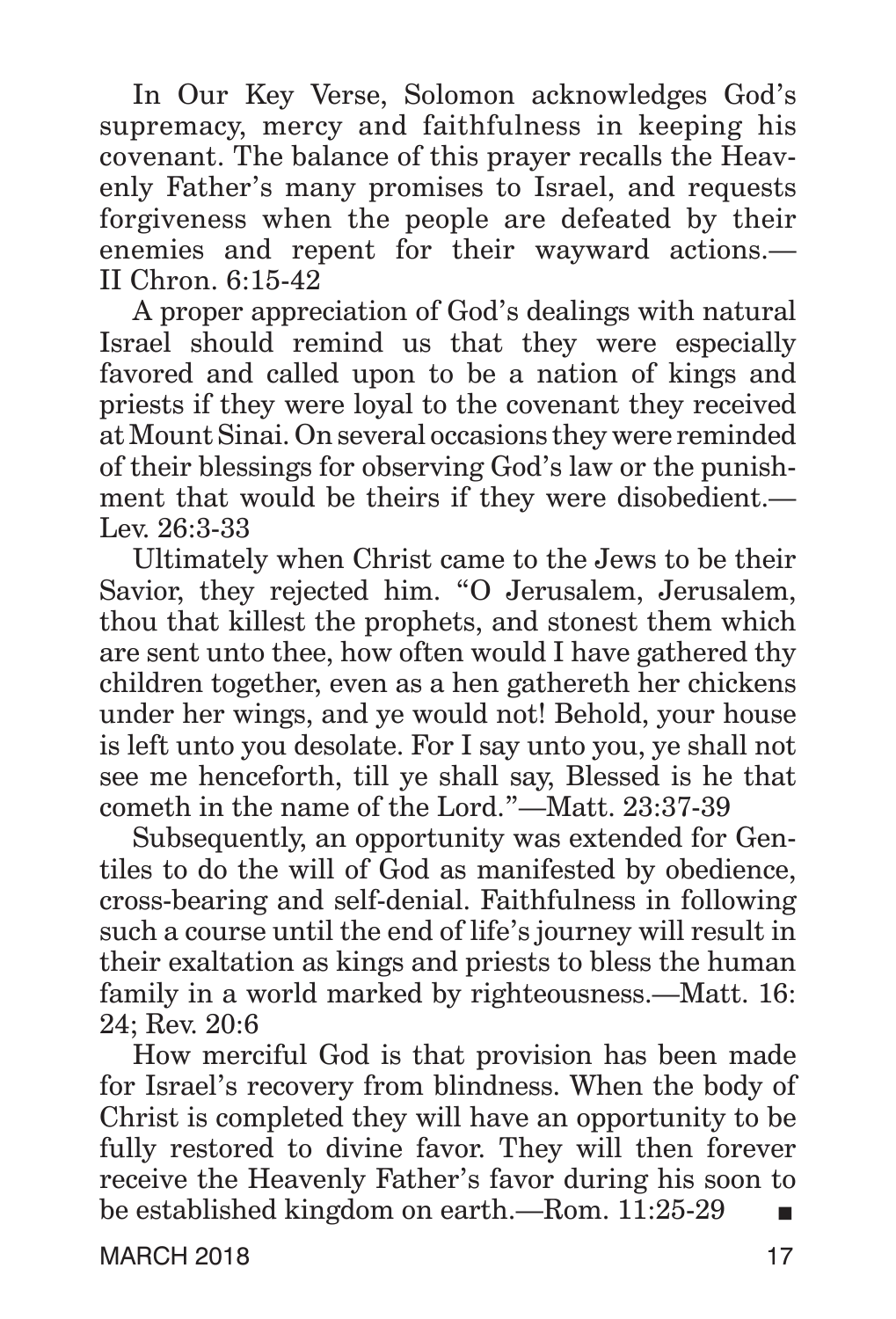In Our Key Verse, Solomon acknowledges God's supremacy, mercy and faithfulness in keeping his covenant. The balance of this prayer recalls the Heavenly Father's many promises to Israel, and requests forgiveness when the people are defeated by their enemies and repent for their wayward actions.— II Chron. 6:15-42

A proper appreciation of God's dealings with natural Israel should remind us that they were especially favored and called upon to be a nation of kings and priests if they were loyal to the covenant they received at Mount Sinai. On several occasions they were reminded of their blessings for observing God's law or the punishment that would be theirs if they were disobedient.— Lev. 26:3-33

Ultimately when Christ came to the Jews to be their Savior, they rejected him. "O Jerusalem, Jerusalem, thou that killest the prophets, and stonest them which are sent unto thee, how often would I have gathered thy children together, even as a hen gathereth her chickens under her wings, and ye would not! Behold, your house is left unto you desolate. For I say unto you, ye shall not see me henceforth, till ye shall say, Blessed is he that cometh in the name of the Lord."—Matt. 23:37-39

Subsequently, an opportunity was extended for Gentiles to do the will of God as manifested by obedience, cross-bearing and self-denial. Faithfulness in following such a course until the end of life's journey will result in their exaltation as kings and priests to bless the human family in a world marked by righteousness.—Matt. 16: 24; Rev. 20:6

How merciful God is that provision has been made for Israel's recovery from blindness. When the body of Christ is completed they will have an opportunity to be fully restored to divine favor. They will then forever receive the Heavenly Father's favor during his soon to be established kingdom on earth.—Rom.  $11:25-29$   $\blacksquare$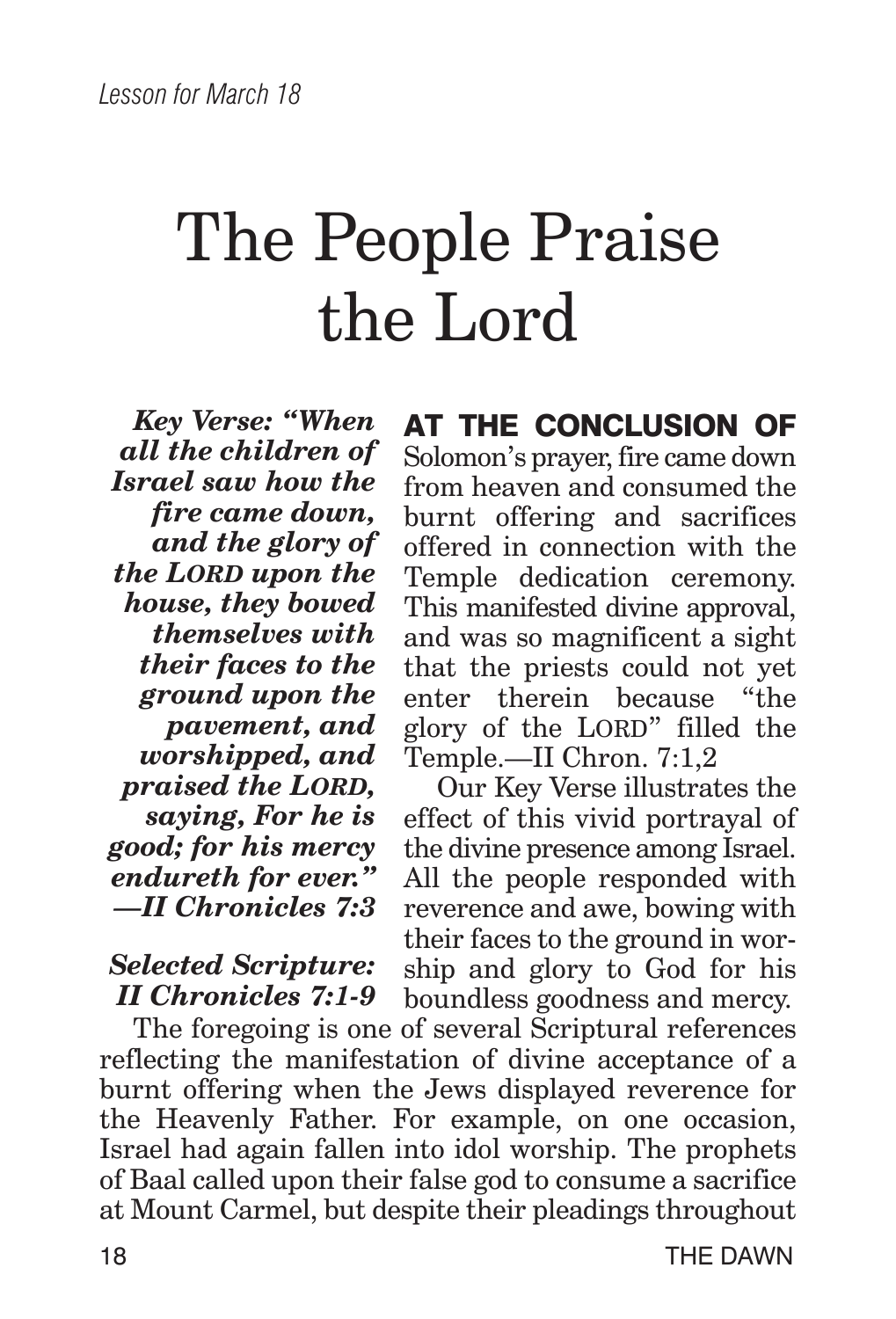# The People Praise the Lord

*Key Verse: "When all the children of Israel saw how the fire came down, and the glory of*   $$ *house, they bowed themselves with their faces to the ground upon the pavement, and worshipped, and praised the Lord, saying, For he is good; for his mercy endureth for ever." —II Chronicles 7:3*

#### *Selected Scripture: II Chronicles 7:1-9*

AT THE CONCLUSION OF Solomon's prayer, fire came down from heaven and consumed the burnt offering and sacrifices offered in connection with the Temple dedication ceremony. This manifested divine approval, and was so magnificent a sight that the priests could not yet enter therein because "the glory of the LORD" filled the Temple.—II Chron. 7:1,2

Our Key Verse illustrates the effect of this vivid portrayal of the divine presence among Israel. All the people responded with reverence and awe, bowing with their faces to the ground in worship and glory to God for his boundless goodness and mercy.

The foregoing is one of several Scriptural references reflecting the manifestation of divine acceptance of a burnt offering when the Jews displayed reverence for the Heavenly Father. For example, on one occasion, Israel had again fallen into idol worship. The prophets of Baal called upon their false god to consume a sacrifice at Mount Carmel, but despite their pleadings throughout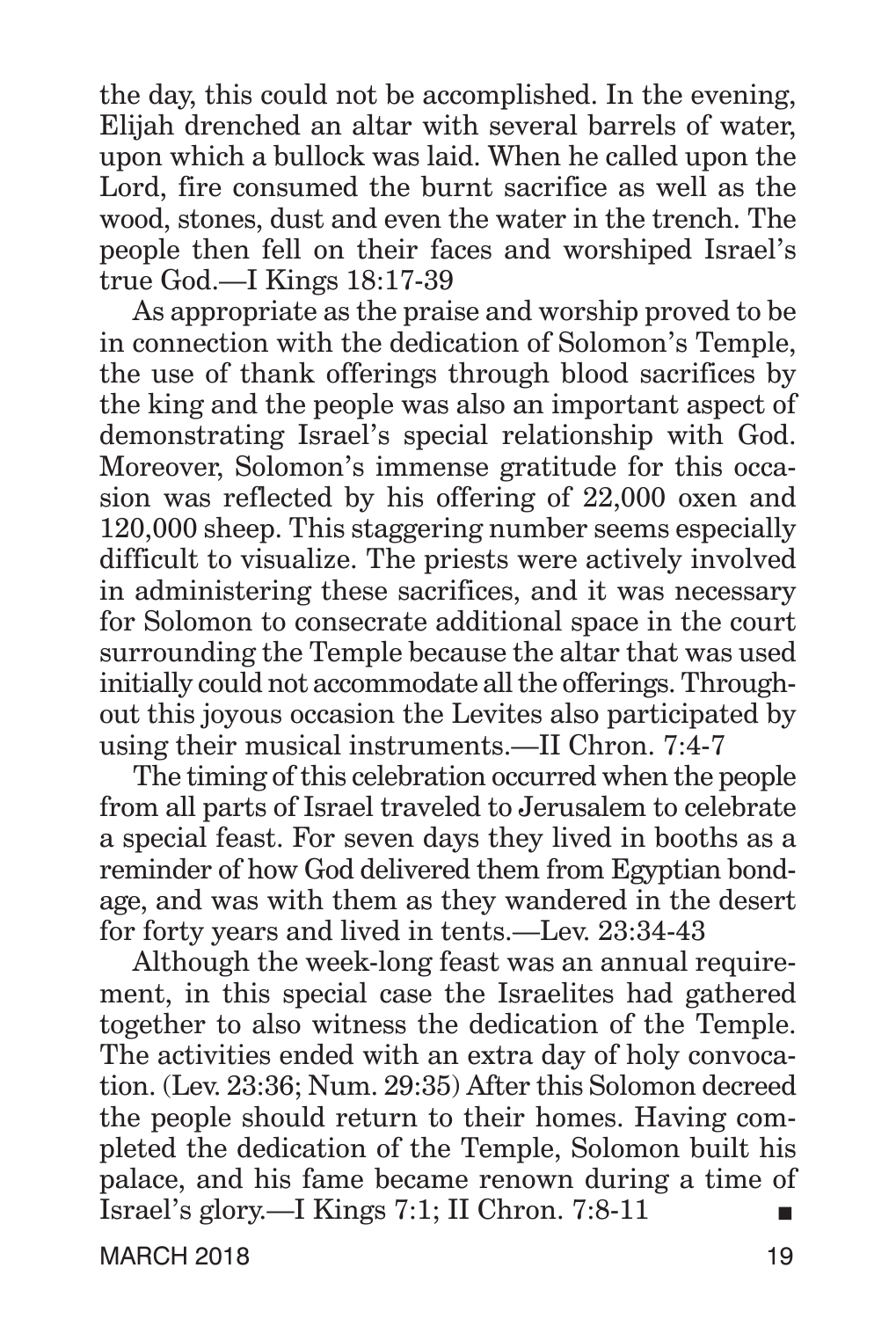the day, this could not be accomplished. In the evening, Elijah drenched an altar with several barrels of water, upon which a bullock was laid. When he called upon the Lord, fire consumed the burnt sacrifice as well as the wood, stones, dust and even the water in the trench. The people then fell on their faces and worshiped Israel's true God.—I Kings 18:17-39

As appropriate as the praise and worship proved to be in connection with the dedication of Solomon's Temple, the use of thank offerings through blood sacrifices by the king and the people was also an important aspect of demonstrating Israel's special relationship with God. Moreover, Solomon's immense gratitude for this occasion was reflected by his offering of 22,000 oxen and 120,000 sheep. This staggering number seems especially difficult to visualize. The priests were actively involved in administering these sacrifices, and it was necessary for Solomon to consecrate additional space in the court surrounding the Temple because the altar that was used initially could not accommodate all the offerings. Throughout this joyous occasion the Levites also participated by using their musical instruments.—II Chron. 7:4-7

The timing of this celebration occurred when the people from all parts of Israel traveled to Jerusalem to celebrate a special feast. For seven days they lived in booths as a reminder of how God delivered them from Egyptian bondage, and was with them as they wandered in the desert for forty years and lived in tents.—Lev. 23:34-43

Although the week-long feast was an annual requirement, in this special case the Israelites had gathered together to also witness the dedication of the Temple. The activities ended with an extra day of holy convocation. (Lev. 23:36; Num. 29:35) After this Solomon decreed the people should return to their homes. Having completed the dedication of the Temple, Solomon built his palace, and his fame became renown during a time of Israel's glory.—I Kings  $7:1$ ; II Chron.  $7:8-11$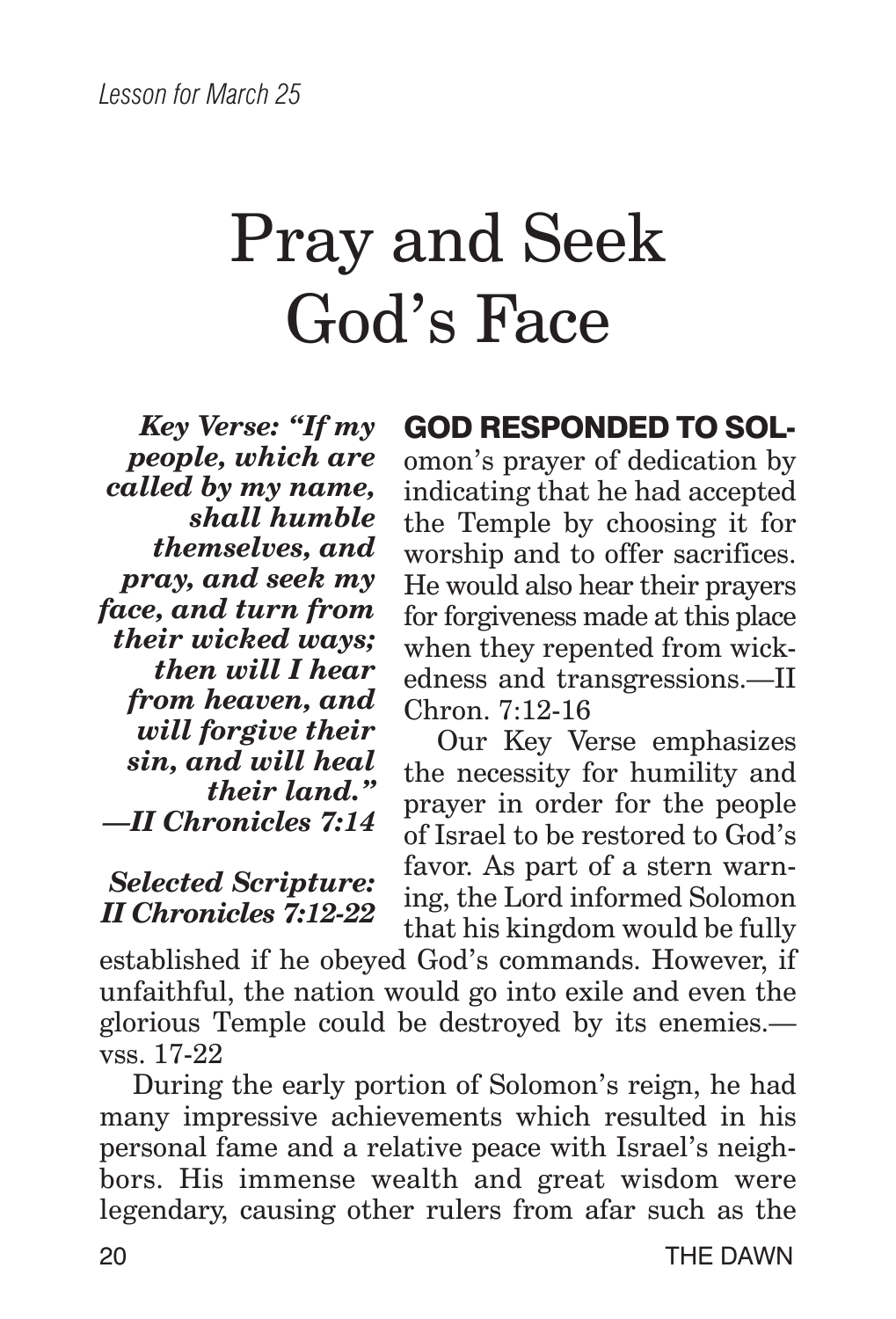# Pray and Seek God's Face

*Key Verse: "If my people, which are called by my name, shall humble themselves, and pray, and seek my face, and turn from their wicked ways; then will I hear from heaven, and will forgive their sin, and will heal their land." —II Chronicles 7:14*

#### *Selected Scripture: II Chronicles 7:12-22*

#### GOD RESPONDED TO SOL-

omon's prayer of dedication by indicating that he had accepted the Temple by choosing it for worship and to offer sacrifices. He would also hear their prayers for forgiveness made at this place when they repented from wickedness and transgressions.—II Chron. 7:12-16

Our Key Verse emphasizes the necessity for humility and prayer in order for the people of Israel to be restored to God's favor. As part of a stern warning, the Lord informed Solomon that his kingdom would be fully

established if he obeyed God's commands. However, if unfaithful, the nation would go into exile and even the glorious Temple could be destroyed by its enemies. vss. 17-22

During the early portion of Solomon's reign, he had many impressive achievements which resulted in his personal fame and a relative peace with Israel's neighbors. His immense wealth and great wisdom were legendary, causing other rulers from afar such as the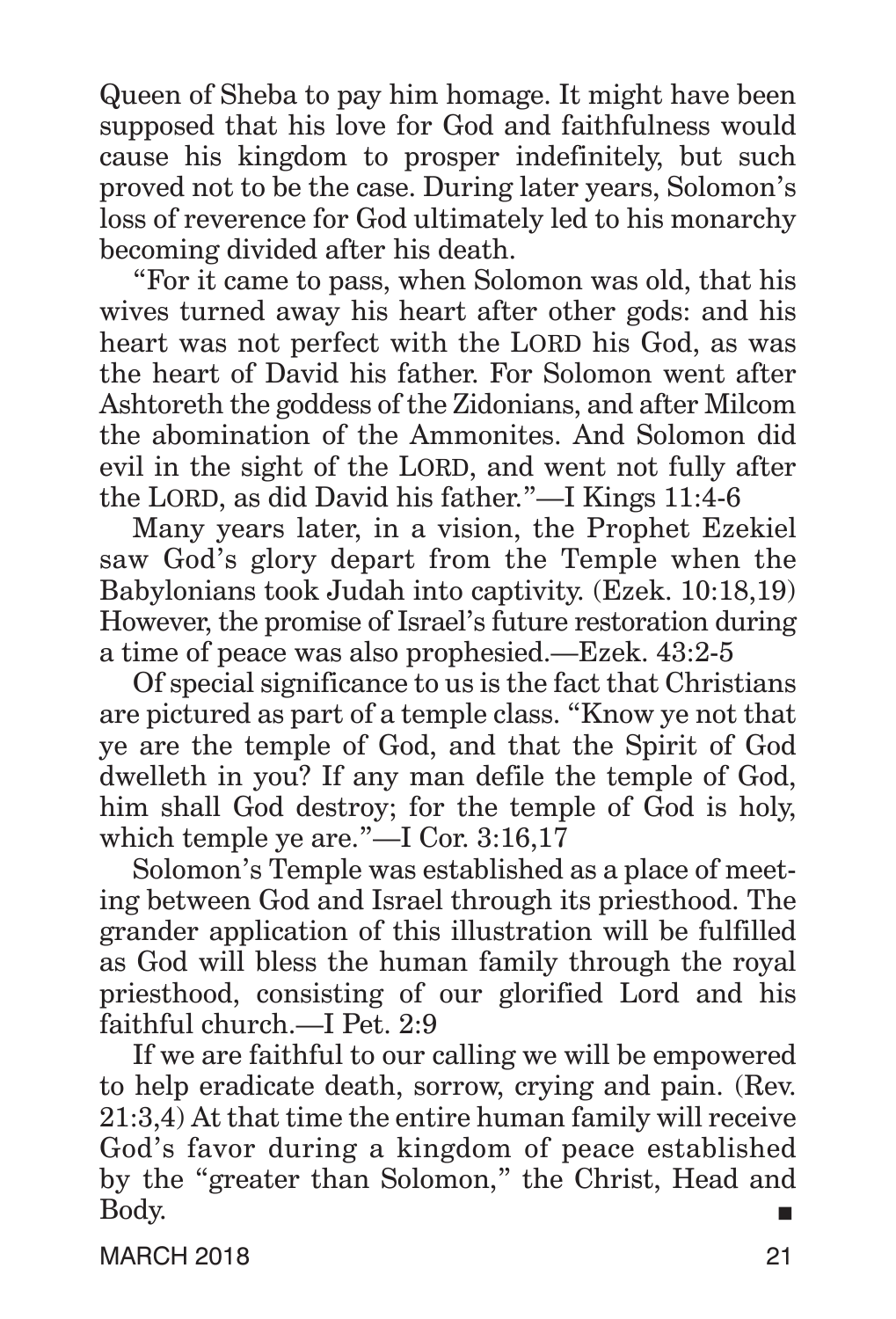Queen of Sheba to pay him homage. It might have been supposed that his love for God and faithfulness would cause his kingdom to prosper indefinitely, but such proved not to be the case. During later years, Solomon's loss of reverence for God ultimately led to his monarchy becoming divided after his death.

"For it came to pass, when Solomon was old, that his wives turned away his heart after other gods: and his heart was not perfect with the LORD his God, as was the heart of David his father. For Solomon went after Ashtoreth the goddess of the Zidonians, and after Milcom the abomination of the Ammonites. And Solomon did evil in the sight of the LORD, and went not fully after the LORD, as did David his father."—I Kings 11:4-6

Many years later, in a vision, the Prophet Ezekiel saw God's glory depart from the Temple when the Babylonians took Judah into captivity. (Ezek. 10:18,19) However, the promise of Israel's future restoration during a time of peace was also prophesied.—Ezek. 43:2-5

Of special significance to us is the fact that Christians are pictured as part of a temple class. "Know ye not that ye are the temple of God, and that the Spirit of God dwelleth in you? If any man defile the temple of God, him shall God destroy; for the temple of God is holy, which temple ye are." $\overline{\phantom{0}}$  Cor. 3:16,17

Solomon's Temple was established as a place of meeting between God and Israel through its priesthood. The grander application of this illustration will be fulfilled as God will bless the human family through the royal priesthood, consisting of our glorified Lord and his faithful church.—I Pet. 2:9

If we are faithful to our calling we will be empowered to help eradicate death, sorrow, crying and pain. (Rev. 21:3,4) At that time the entire human family will receive God's favor during a kingdom of peace established by the "greater than Solomon," the Christ, Head and  $\Box$  Body.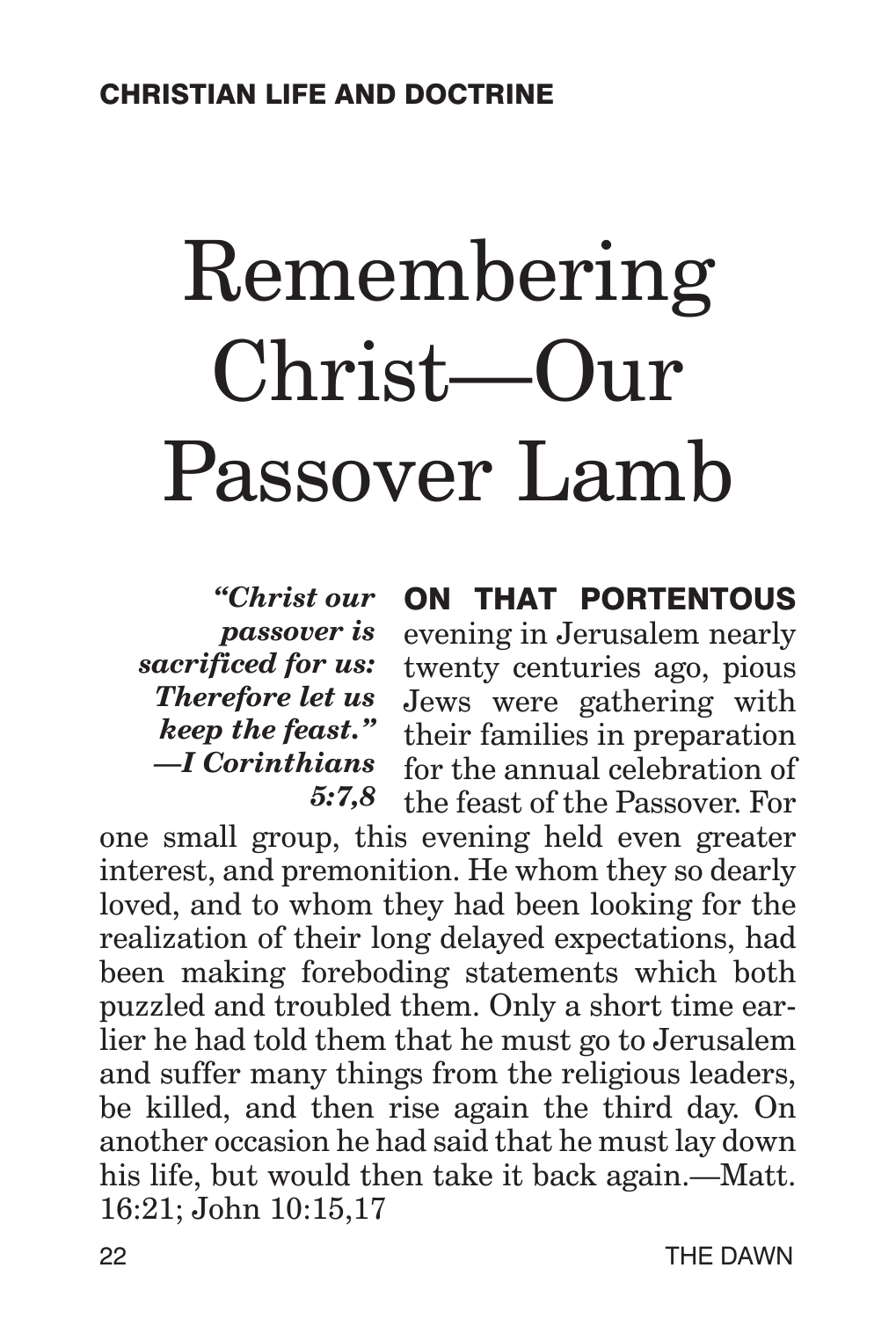# Remembering Christ—Our Passover Lamb

*"Christ our passover is sacrificed for us: Therefore let us keep the feast." —I Corinthians 5:7,8*

ON THAT PORTENTOUS evening in Jerusalem nearly twenty centuries ago, pious Jews were gathering with their families in preparation for the annual celebration of the feast of the Passover. For

one small group, this evening held even greater interest, and premonition. He whom they so dearly loved, and to whom they had been looking for the realization of their long delayed expectations, had been making foreboding statements which both puzzled and troubled them. Only a short time earlier he had told them that he must go to Jerusalem and suffer many things from the religious leaders, be killed, and then rise again the third day. On another occasion he had said that he must lay down his life, but would then take it back again.—Matt. 16:21; John 10:15,17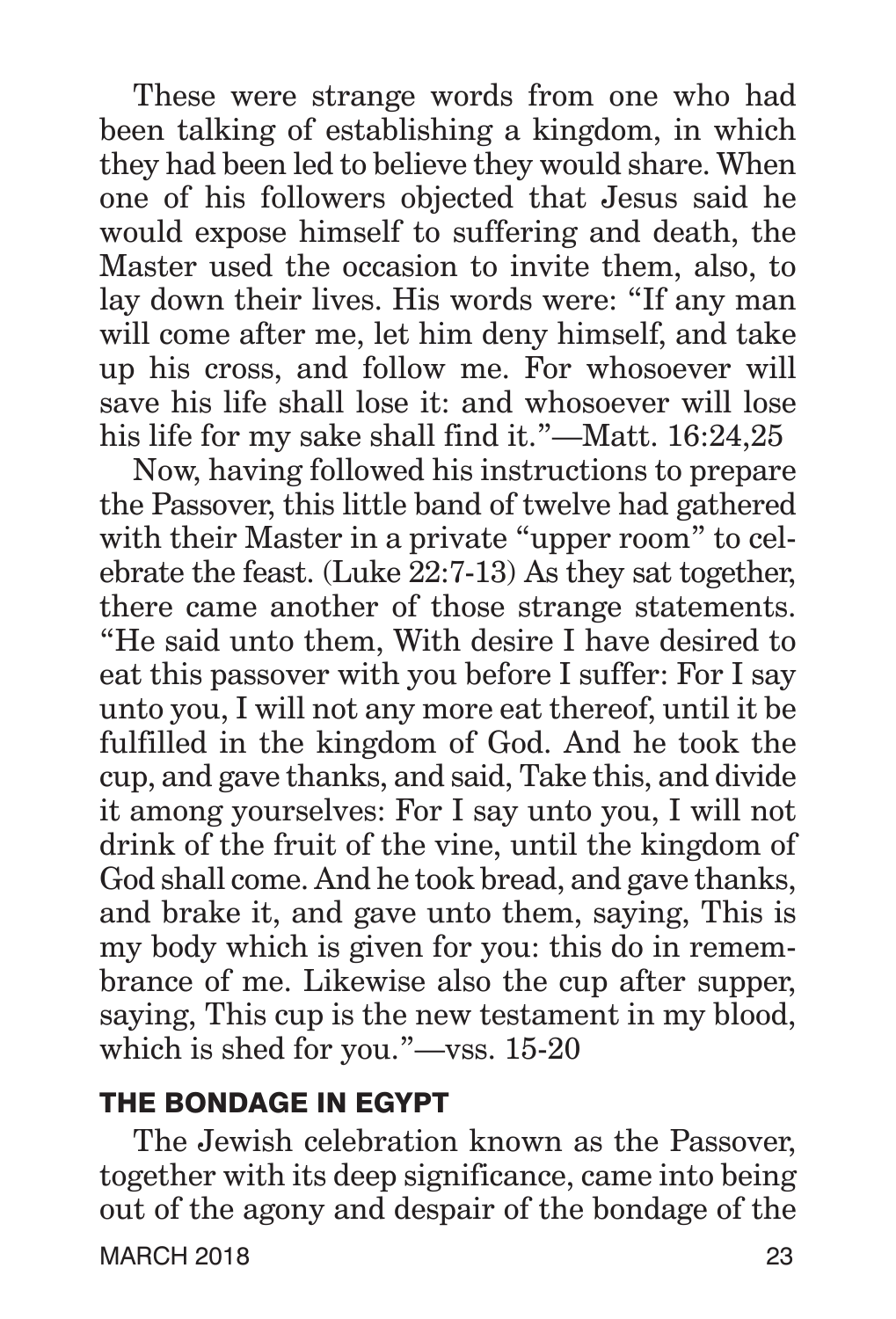These were strange words from one who had been talking of establishing a kingdom, in which they had been led to believe they would share. When one of his followers objected that Jesus said he would expose himself to suffering and death, the Master used the occasion to invite them, also, to lay down their lives. His words were: "If any man will come after me, let him deny himself, and take up his cross, and follow me. For whosoever will save his life shall lose it: and whosoever will lose his life for my sake shall find it."—Matt. 16:24,25

Now, having followed his instructions to prepare the Passover, this little band of twelve had gathered with their Master in a private "upper room" to celebrate the feast. (Luke 22:7-13) As they sat together, there came another of those strange statements. "He said unto them, With desire I have desired to eat this passover with you before I suffer: For I say unto you, I will not any more eat thereof, until it be fulfilled in the kingdom of God. And he took the cup, and gave thanks, and said, Take this, and divide it among yourselves: For I say unto you, I will not drink of the fruit of the vine, until the kingdom of God shall come. And he took bread, and gave thanks, and brake it, and gave unto them, saying, This is my body which is given for you: this do in remembrance of me. Likewise also the cup after supper, saying, This cup is the new testament in my blood, which is shed for you."—vss. 15-20

#### THE BONDAGE IN EGYPT

The Jewish celebration known as the Passover, together with its deep significance, came into being out of the agony and despair of the bondage of the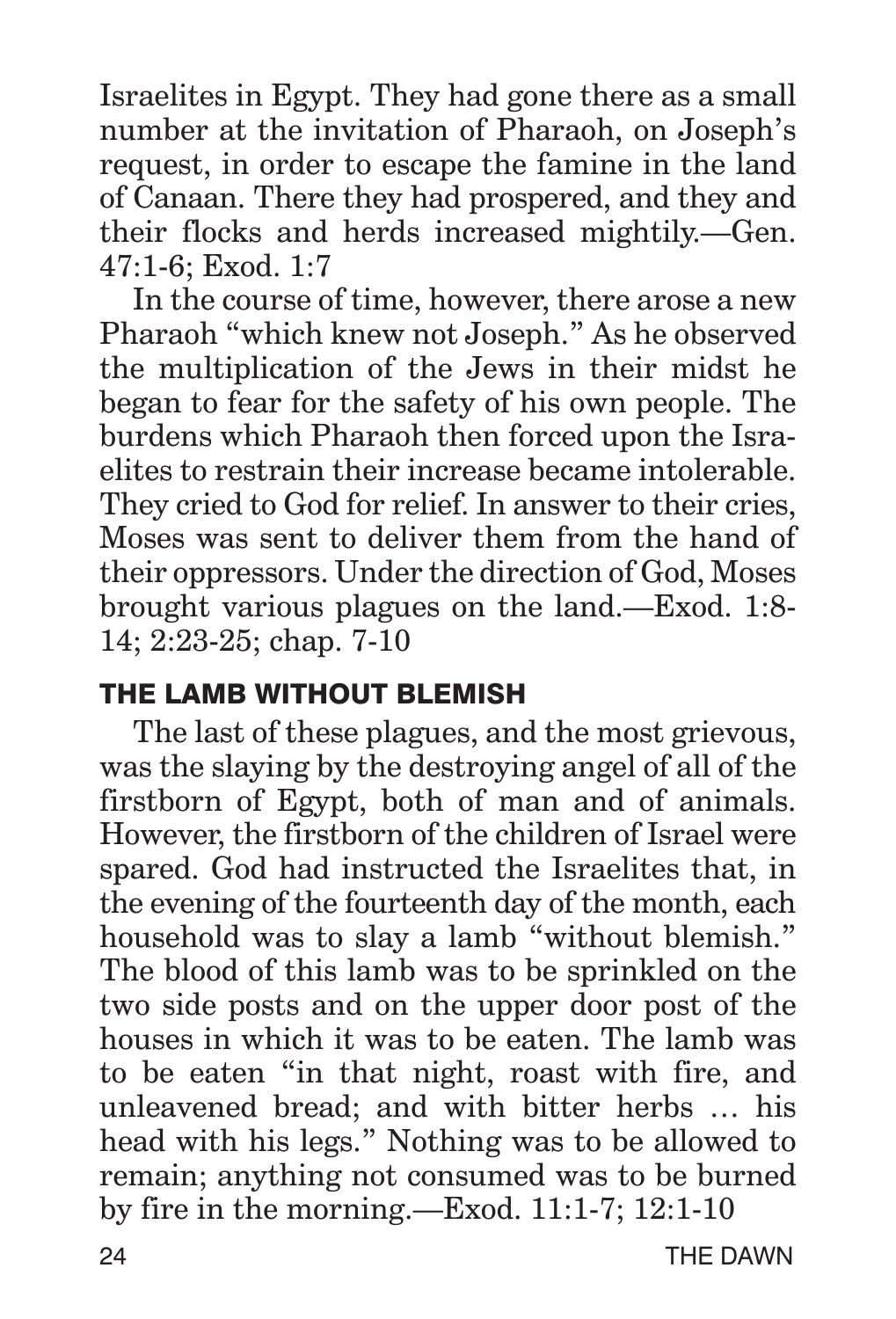Israelites in Egypt. They had gone there as a small number at the invitation of Pharaoh, on Joseph's request, in order to escape the famine in the land of Canaan. There they had prospered, and they and their flocks and herds increased mightily.—Gen. 47:1-6; Exod. 1:7

In the course of time, however, there arose a new Pharaoh "which knew not Joseph." As he observed the multiplication of the Jews in their midst he began to fear for the safety of his own people. The burdens which Pharaoh then forced upon the Israelites to restrain their increase became intolerable. They cried to God for relief. In answer to their cries, Moses was sent to deliver them from the hand of their oppressors. Under the direction of God, Moses brought various plagues on the land.—Exod. 1:8- 14; 2:23-25; chap. 7-10

#### THE LAMB WITHOUT BLEMISH

The last of these plagues, and the most grievous, was the slaying by the destroying angel of all of the firstborn of Egypt, both of man and of animals. However, the firstborn of the children of Israel were spared. God had instructed the Israelites that, in the evening of the fourteenth day of the month, each household was to slay a lamb "without blemish." The blood of this lamb was to be sprinkled on the two side posts and on the upper door post of the houses in which it was to be eaten. The lamb was to be eaten "in that night, roast with fire, and unleavened bread; and with bitter herbs … his head with his legs." Nothing was to be allowed to remain; anything not consumed was to be burned by fire in the morning.—Exod. 11:1-7; 12:1-10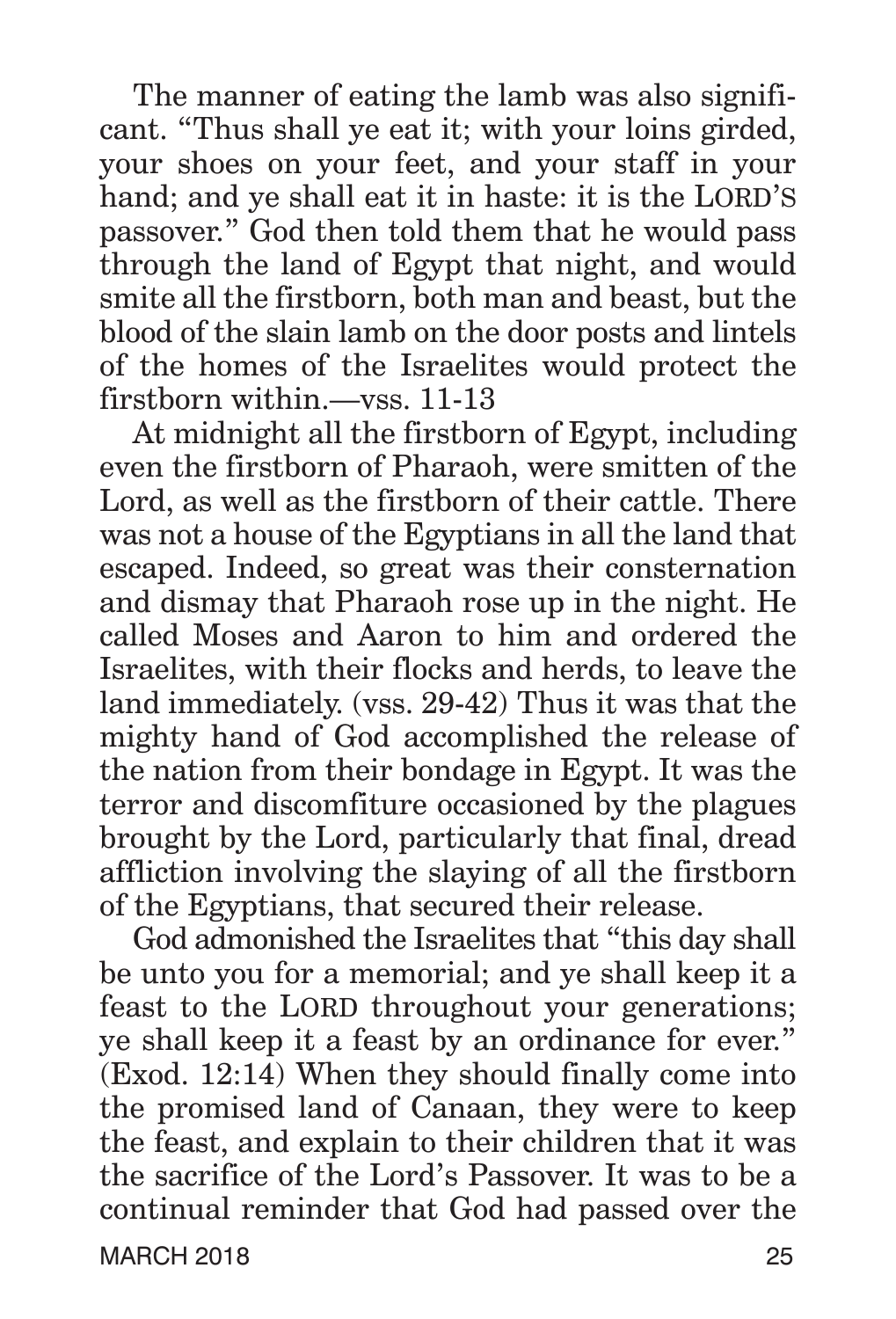The manner of eating the lamb was also significant. "Thus shall ye eat it; with your loins girded, your shoes on your feet, and your staff in your hand; and ye shall eat it in haste: it is the LORD'S passover." God then told them that he would pass through the land of Egypt that night, and would smite all the firstborn, both man and beast, but the blood of the slain lamb on the door posts and lintels of the homes of the Israelites would protect the firstborn within.—vss. 11-13

At midnight all the firstborn of Egypt, including even the firstborn of Pharaoh, were smitten of the Lord, as well as the firstborn of their cattle. There was not a house of the Egyptians in all the land that escaped. Indeed, so great was their consternation and dismay that Pharaoh rose up in the night. He called Moses and Aaron to him and ordered the Israelites, with their flocks and herds, to leave the land immediately. (vss. 29-42) Thus it was that the mighty hand of God accomplished the release of the nation from their bondage in Egypt. It was the terror and discomfiture occasioned by the plagues brought by the Lord, particularly that final, dread affliction involving the slaying of all the firstborn of the Egyptians, that secured their release.

God admonished the Israelites that "this day shall be unto you for a memorial; and ye shall keep it a feast to the LORD throughout your generations; ye shall keep it a feast by an ordinance for ever." (Exod. 12:14) When they should finally come into the promised land of Canaan, they were to keep the feast, and explain to their children that it was the sacrifice of the Lord's Passover. It was to be a continual reminder that God had passed over the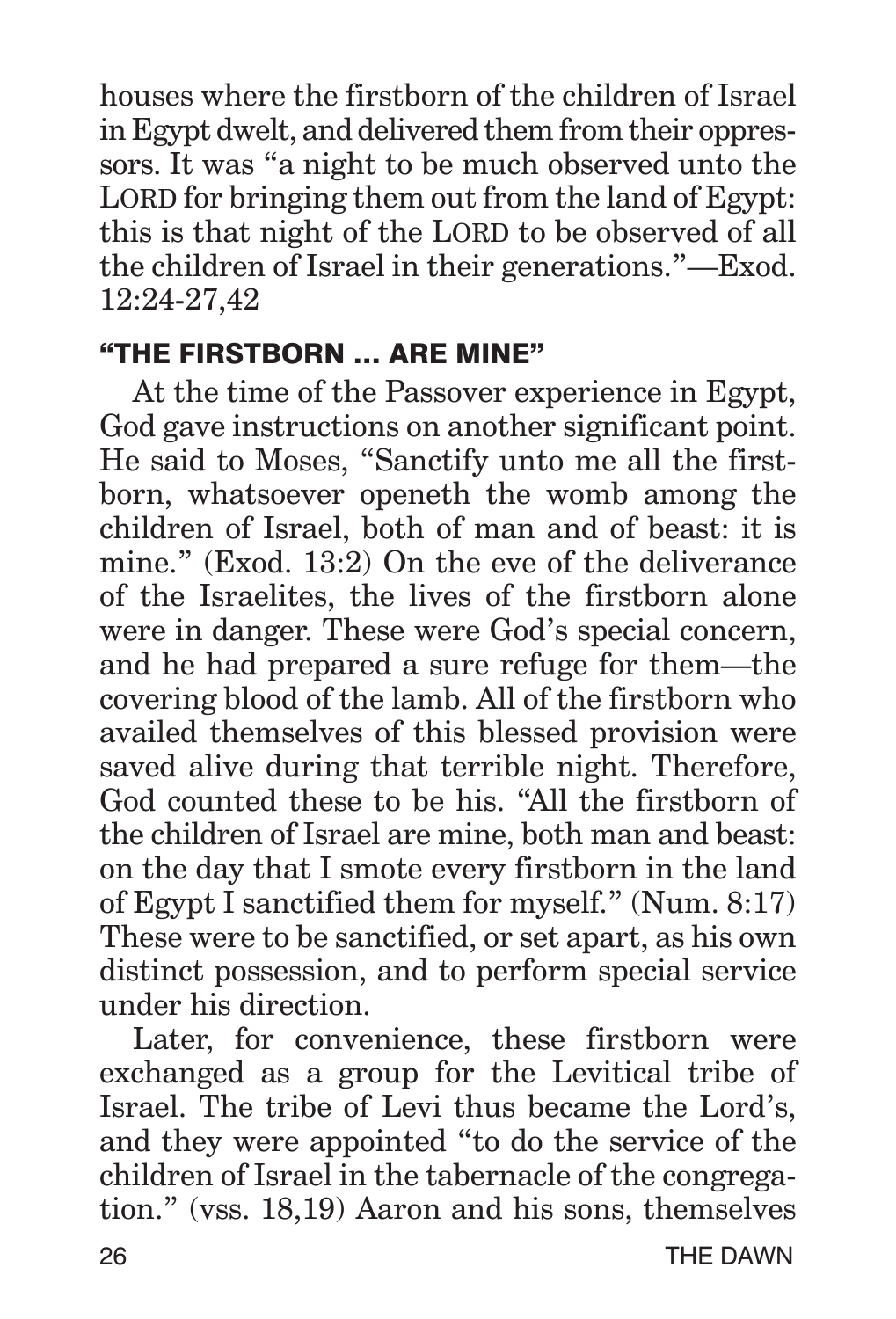houses where the firstborn of the children of Israel in Egypt dwelt, and delivered them from their oppressors. It was "a night to be much observed unto the LORD for bringing them out from the land of Egypt: this is that night of the LORD to be observed of all the children of Israel in their generations."—Exod. 12:24-27,42

#### "THE FIRSTBORN … ARE MINE"

At the time of the Passover experience in Egypt, God gave instructions on another significant point. He said to Moses, "Sanctify unto me all the firstborn, whatsoever openeth the womb among the children of Israel, both of man and of beast: it is mine." (Exod. 13:2) On the eve of the deliverance of the Israelites, the lives of the firstborn alone were in danger. These were God's special concern, and he had prepared a sure refuge for them—the covering blood of the lamb. All of the firstborn who availed themselves of this blessed provision were saved alive during that terrible night. Therefore, God counted these to be his. "All the firstborn of the children of Israel are mine, both man and beast: on the day that I smote every firstborn in the land of Egypt I sanctified them for myself." (Num. 8:17) These were to be sanctified, or set apart, as his own distinct possession, and to perform special service under his direction.

Later, for convenience, these firstborn were exchanged as a group for the Levitical tribe of Israel. The tribe of Levi thus became the Lord's, and they were appointed "to do the service of the children of Israel in the tabernacle of the congregation." (vss. 18,19) Aaron and his sons, themselves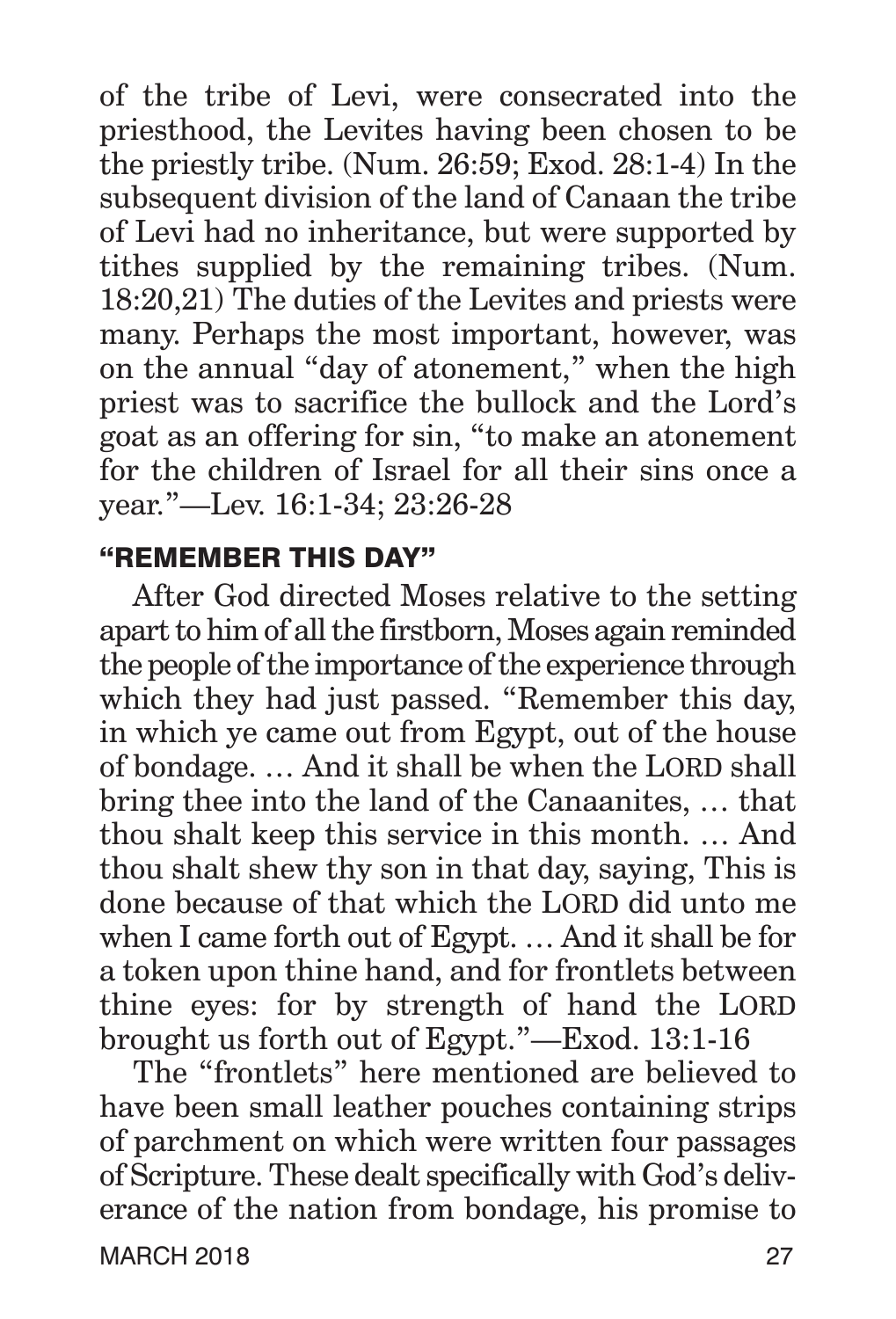of the tribe of Levi, were consecrated into the priesthood, the Levites having been chosen to be the priestly tribe. (Num. 26:59; Exod. 28:1-4) In the subsequent division of the land of Canaan the tribe of Levi had no inheritance, but were supported by tithes supplied by the remaining tribes. (Num. 18:20,21) The duties of the Levites and priests were many. Perhaps the most important, however, was on the annual "day of atonement," when the high priest was to sacrifice the bullock and the Lord's goat as an offering for sin, "to make an atonement for the children of Israel for all their sins once a year."—Lev. 16:1-34; 23:26-28

#### "REMEMBER THIS DAY"

After God directed Moses relative to the setting apart to him of all the firstborn, Moses again reminded the people of the importance of the experience through which they had just passed. "Remember this day, in which ye came out from Egypt, out of the house of bondage. ... And it shall be when the LORD shall bring thee into the land of the Canaanites, … that thou shalt keep this service in this month. … And thou shalt shew thy son in that day, saying, This is done because of that which the LORD did unto me when I came forth out of Egypt. … And it shall be for a token upon thine hand, and for frontlets between thine eyes: for by strength of hand the LORD brought us forth out of Egypt."—Exod. 13:1-16

The "frontlets" here mentioned are believed to have been small leather pouches containing strips of parchment on which were written four passages of Scripture. These dealt specifically with God's deliverance of the nation from bondage, his promise to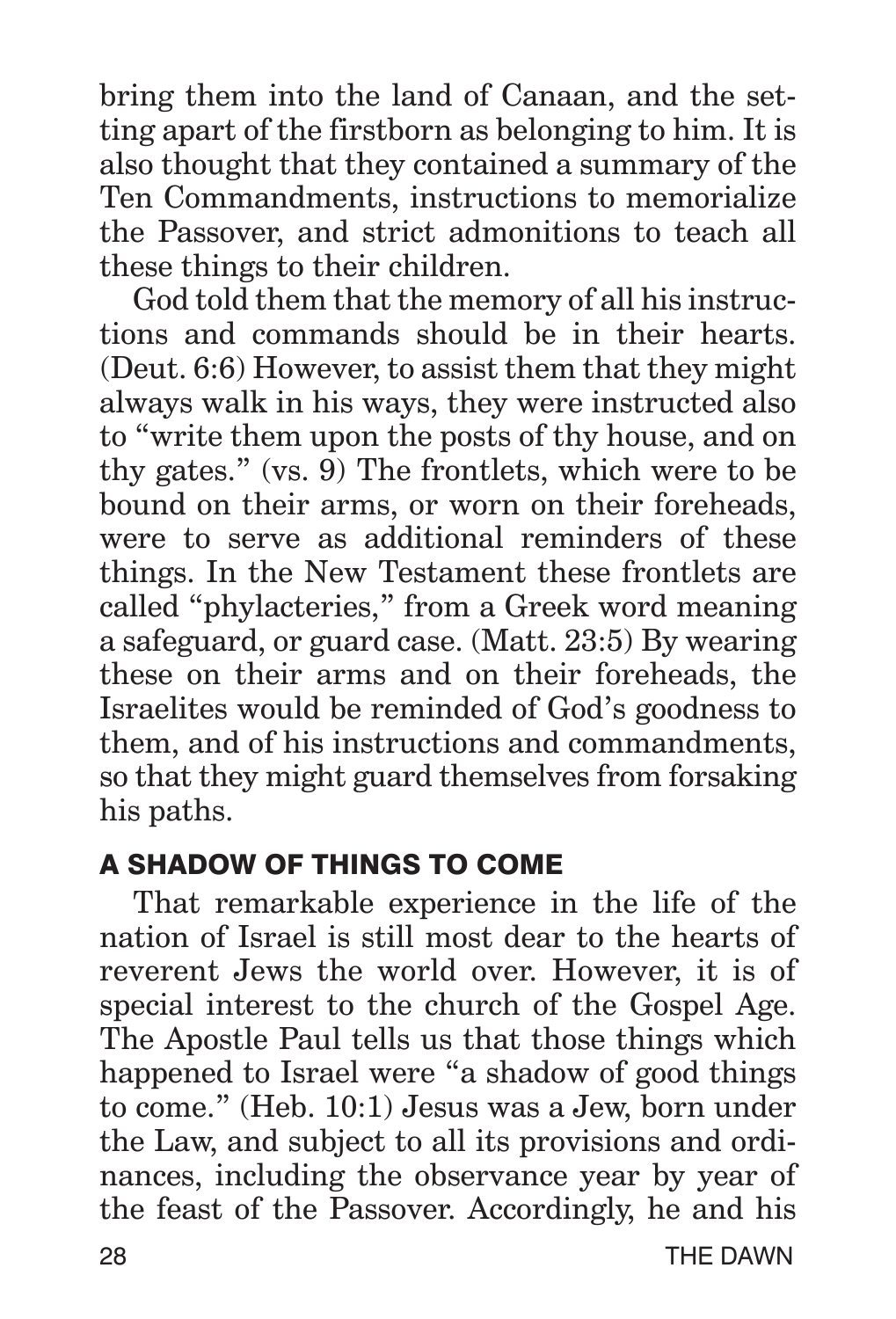bring them into the land of Canaan, and the setting apart of the firstborn as belonging to him. It is also thought that they contained a summary of the Ten Commandments, instructions to memorialize the Passover, and strict admonitions to teach all these things to their children.

God told them that the memory of all his instructions and commands should be in their hearts. (Deut. 6:6) However, to assist them that they might always walk in his ways, they were instructed also to "write them upon the posts of thy house, and on thy gates."  $(vs. 9)$  The frontlets, which were to be bound on their arms, or worn on their foreheads, were to serve as additional reminders of these things. In the New Testament these frontlets are called "phylacteries," from a Greek word meaning a safeguard, or guard case. (Matt. 23:5) By wearing these on their arms and on their foreheads, the Israelites would be reminded of God's goodness to them, and of his instructions and commandments, so that they might guard themselves from forsaking his paths.

#### A SHADOW OF THINGS TO COME

That remarkable experience in the life of the nation of Israel is still most dear to the hearts of reverent Jews the world over. However, it is of special interest to the church of the Gospel Age. The Apostle Paul tells us that those things which happened to Israel were "a shadow of good things to come." (Heb. 10:1) Jesus was a Jew, born under the Law, and subject to all its provisions and ordinances, including the observance year by year of the feast of the Passover. Accordingly, he and his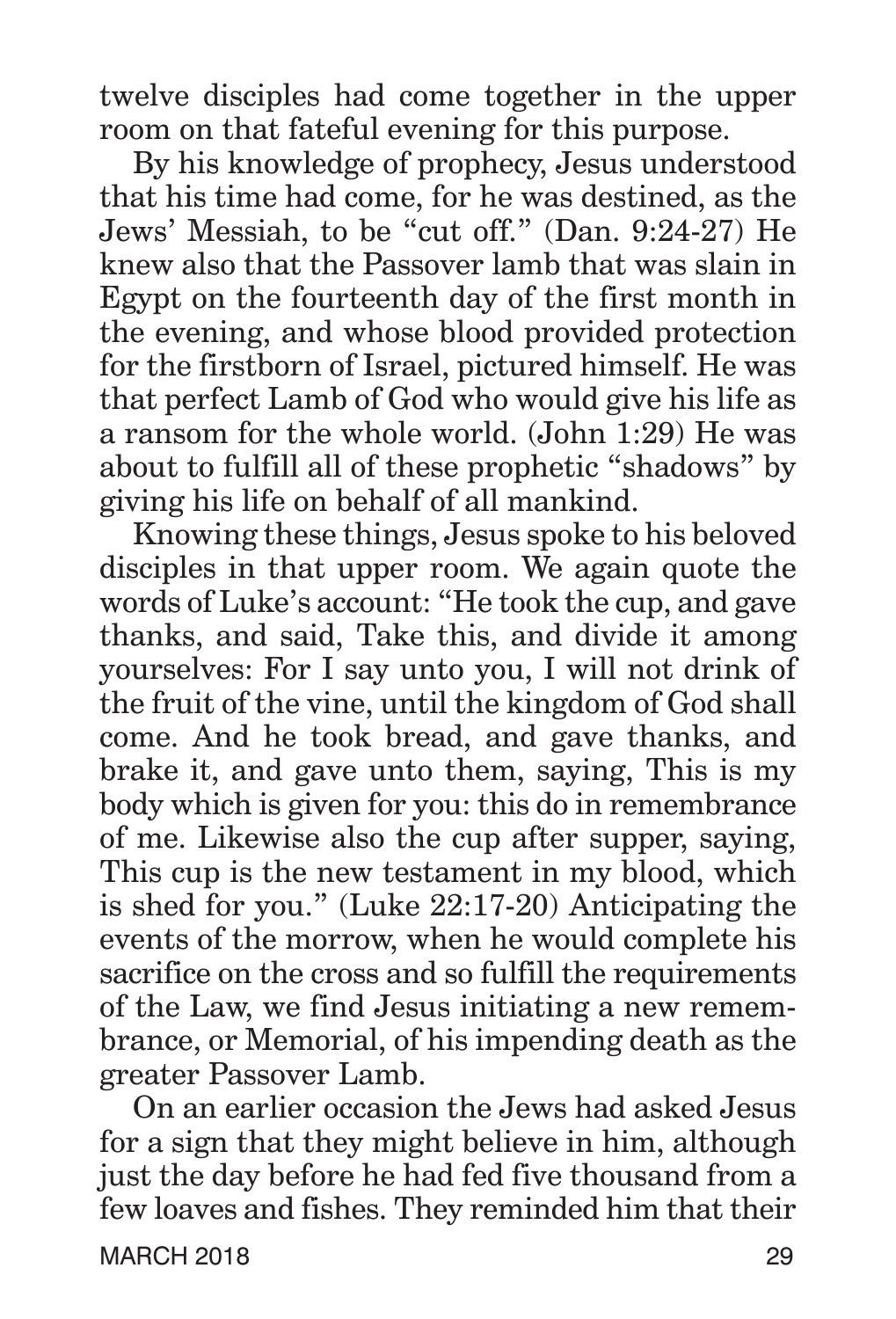twelve disciples had come together in the upper room on that fateful evening for this purpose.

By his knowledge of prophecy, Jesus understood that his time had come, for he was destined, as the Jews' Messiah, to be "cut off." (Dan. 9:24-27) He knew also that the Passover lamb that was slain in Egypt on the fourteenth day of the first month in the evening, and whose blood provided protection for the firstborn of Israel, pictured himself. He was that perfect Lamb of God who would give his life as a ransom for the whole world. (John 1:29) He was about to fulfill all of these prophetic "shadows" by giving his life on behalf of all mankind.

Knowing these things, Jesus spoke to his beloved disciples in that upper room. We again quote the words of Luke's account: "He took the cup, and gave thanks, and said, Take this, and divide it among yourselves: For I say unto you, I will not drink of the fruit of the vine, until the kingdom of God shall come. And he took bread, and gave thanks, and brake it, and gave unto them, saying, This is my body which is given for you: this do in remembrance of me. Likewise also the cup after supper, saying, This cup is the new testament in my blood, which is shed for you." (Luke 22:17-20) Anticipating the events of the morrow, when he would complete his sacrifice on the cross and so fulfill the requirements of the Law, we find Jesus initiating a new remembrance, or Memorial, of his impending death as the greater Passover Lamb.

On an earlier occasion the Jews had asked Jesus for a sign that they might believe in him, although just the day before he had fed five thousand from a few loaves and fishes. They reminded him that their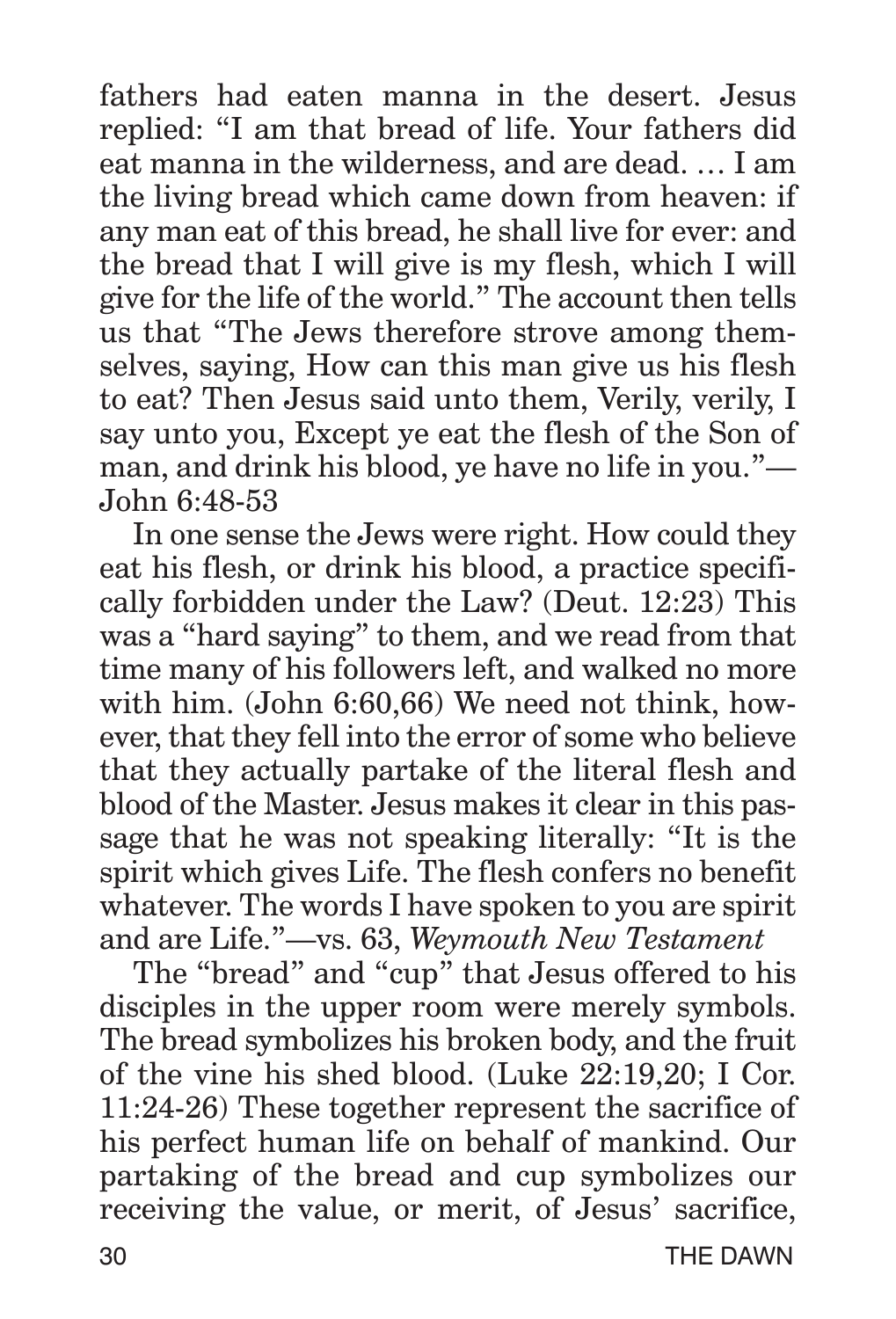fathers had eaten manna in the desert. Jesus replied: "I am that bread of life. Your fathers did eat manna in the wilderness, and are dead. … I am the living bread which came down from heaven: if any man eat of this bread, he shall live for ever: and the bread that I will give is my flesh, which I will give for the life of the world." The account then tells us that "The Jews therefore strove among themselves, saying, How can this man give us his flesh to eat? Then Jesus said unto them, Verily, verily, I say unto you, Except ye eat the flesh of the Son of man, and drink his blood, ye have no life in you."— John 6:48-53

In one sense the Jews were right. How could they eat his flesh, or drink his blood, a practice specifically forbidden under the Law? (Deut. 12:23) This was a "hard saying" to them, and we read from that time many of his followers left, and walked no more with him. (John 6:60,66) We need not think, however, that they fell into the error of some who believe that they actually partake of the literal flesh and blood of the Master. Jesus makes it clear in this passage that he was not speaking literally: "It is the spirit which gives Life. The flesh confers no benefit whatever. The words I have spoken to you are spirit and are Life."—vs. 63, *Weymouth New Testament*

The "bread" and "cup" that Jesus offered to his disciples in the upper room were merely symbols. The bread symbolizes his broken body, and the fruit of the vine his shed blood. (Luke 22:19,20; I Cor. 11:24-26) These together represent the sacrifice of his perfect human life on behalf of mankind. Our partaking of the bread and cup symbolizes our receiving the value, or merit, of Jesus' sacrifice,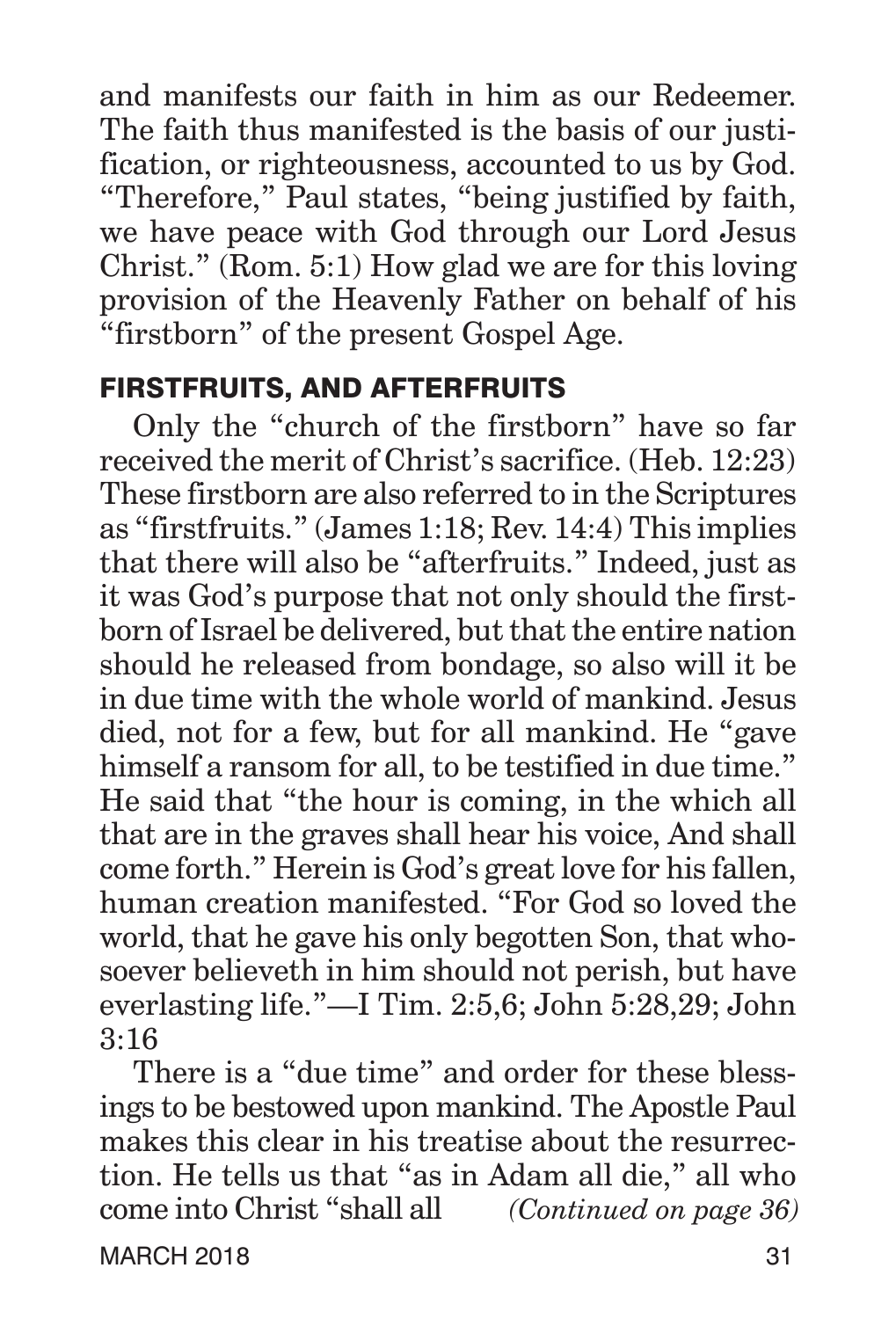and manifests our faith in him as our Redeemer. The faith thus manifested is the basis of our justification, or righteousness, accounted to us by God. "Therefore," Paul states, "being justified by faith, we have peace with God through our Lord Jesus Christ." (Rom. 5:1) How glad we are for this loving provision of the Heavenly Father on behalf of his "firstborn" of the present Gospel Age.

#### FIRSTFRUITS, AND AFTERFRUITS

Only the "church of the firstborn" have so far received the merit of Christ's sacrifice. (Heb. 12:23) These firstborn are also referred to in the Scriptures as "firstfruits." (James 1:18; Rev. 14:4) This implies that there will also be "afterfruits." Indeed, just as it was God's purpose that not only should the firstborn of Israel be delivered, but that the entire nation should he released from bondage, so also will it be in due time with the whole world of mankind. Jesus died, not for a few, but for all mankind. He "gave himself a ransom for all, to be testified in due time." He said that "the hour is coming, in the which all that are in the graves shall hear his voice, And shall come forth." Herein is God's great love for his fallen, human creation manifested. "For God so loved the world, that he gave his only begotten Son, that whosoever believeth in him should not perish, but have everlasting life."—I Tim. 2:5,6; John 5:28,29; John 3:16

There is a "due time" and order for these blessings to be bestowed upon mankind. The Apostle Paul makes this clear in his treatise about the resurrection. He tells us that "as in Adam all die," all who come into Christ "shall all *(Continued on page 36)*

MARCH 2018 31 31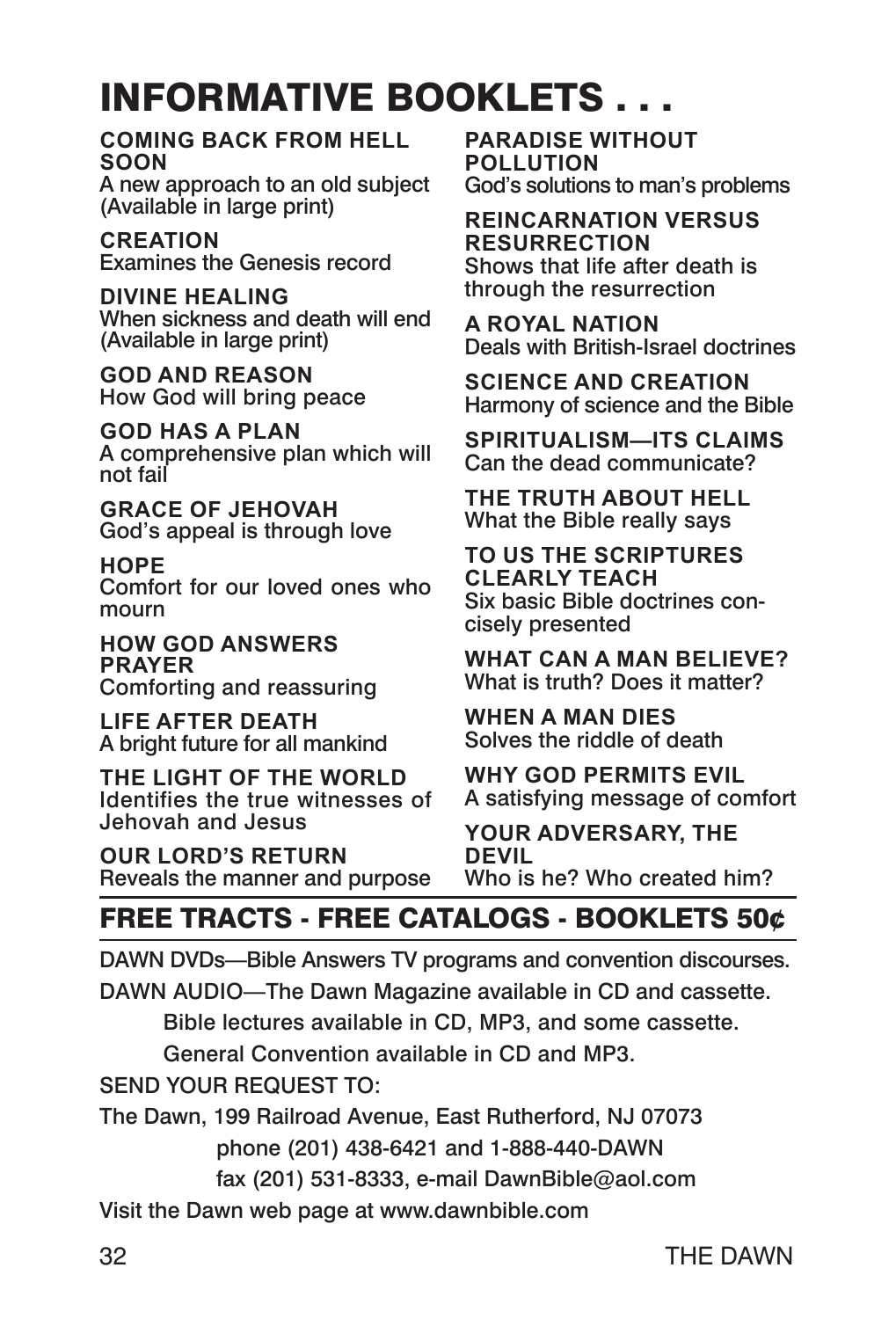### INFORMATIVE BOOKLETS . . .

**COMING BACK FROM HELL SOON**

A new approach to an old subject (Available in large print)

**CREATION** Examines the Genesis record

**DIVINE HEALING** When sickness and death will end (Available in large print)

**GOD AND REASON** How God will bring peace

**GOD HAS A PLAN** A comprehensive plan which will not fail

**GRACE OF JEHOVAH** God's appeal is through love

**HOPE** Comfort for our loved ones who mourn

**HOW GOD ANSWERS PRAYER** Comforting and reassuring

**LIFE AFTER DEATH** A bright future for all mankind

**THE LIGHT OF THE WORLD** Identifies the true witnesses of Jehovah and Jesus

**OUR LORD'S RETURN** Reveals the manner and purpose **PARADISE WITHOUT POLLUTION** God's solutions to man's problems

**REINCARNATION VERSUS RESURRECTION** Shows that life after death is through the resurrection

**A ROYAL NATION** Deals with British-Israel doctrines

**SCIENCE AND CREATION** Harmony of science and the Bible

**SPIRITUALISM—ITS CLAIMS** Can the dead communicate?

**THE TRUTH ABOUT HELL** What the Bible really says

**TO US THE SCRIPTURES CLEARLY TEACH** Six basic Bible doctrines concisely presented

**WHAT CAN A MAN BELIEVE?** What is truth? Does it matter?

**WHEN A MAN DIES** Solves the riddle of death

**WHY GOD PERMITS EVIL** A satisfying message of comfort

**YOUR ADVERSARY, THE DEVIL** Who is he? Who created him?

#### FREE TRACTS - FREE CATALOGS - BOOKLETS 50¢

DAWN DVDs—Bible Answers TV programs and convention discourses.

DAWN AUDIO—The Dawn Magazine available in CD and cassette.

Bible lectures available in CD, MP3, and some cassette.

General Convention available in CD and MP3.

SEND YOUR REQUEST TO:

The Dawn, 199 Railroad Avenue, East Rutherford, NJ 07073 phone (201) 438-6421 and 1-888-440-DAWN fax (201) 531-8333, e-mail DawnBible@aol.com

Visit the Dawn web page at www.dawnbible.com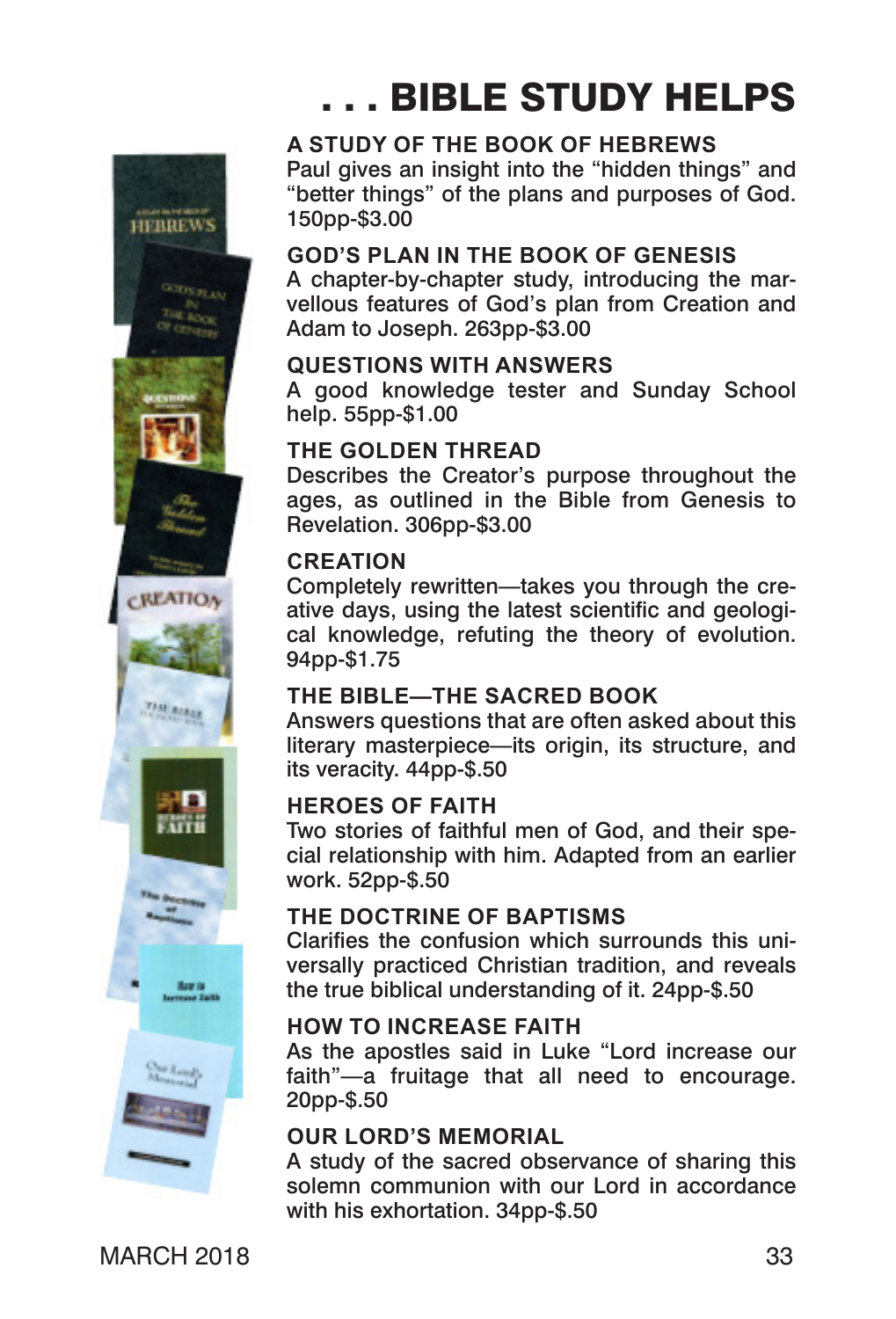

## **BIBLE STUDY HELPS**

#### **A STUDY OF THE BOOK OF HEBREWS**

Paul gives an insight into the "hidden things" and "better things" of the plans and purposes of God. 150pp-\$3.00

#### **GOD'S PLAN IN THE BOOK OF GENESIS**

A chapter-by-chapter study, introducing the marvellous features of God's plan from Creation and Adam to Joseph. 263pp-\$3.00

#### **QUESTIONS WITH ANSWERS**

A good knowledge tester and Sunday School help. 55pp-\$1.00

#### **THE GOLDEN THREAD**

Describes the Creator's purpose throughout the ages, as outlined in the Bible from Genesis to Revelation. 306pp-\$3.00

#### **CREATION**

Completely rewritten—takes you through the creative days, using the latest scientific and geological knowledge, refuting the theory of evolution. 94pp-\$1.75

#### **THE BIBLE—THE SACRED BOOK**

Answers questions that are often asked about this literary masterpiece—its origin, its structure, and its veracity. 44pp-\$.50

#### **HEROES OF FAITH**

Two stories of faithful men of God, and their special relationship with him. Adapted from an earlier work. 52pp-\$.50

#### **THE DOCTRINE OF BAPTISMS**

Clarifies the confusion which surrounds this universally practiced Christian tradition, and reveals the true biblical understanding of it. 24pp-\$.50

#### **HOW TO INCREASE FAITH**

As the apostles said in Luke "Lord increase our faith"—a fruitage that all need to encourage. 20pp-\$.50

#### **OUR LORD'S MEMORIAL**

A study of the sacred observance of sharing this solemn communion with our Lord in accordance with his exhortation. 34pp-\$.50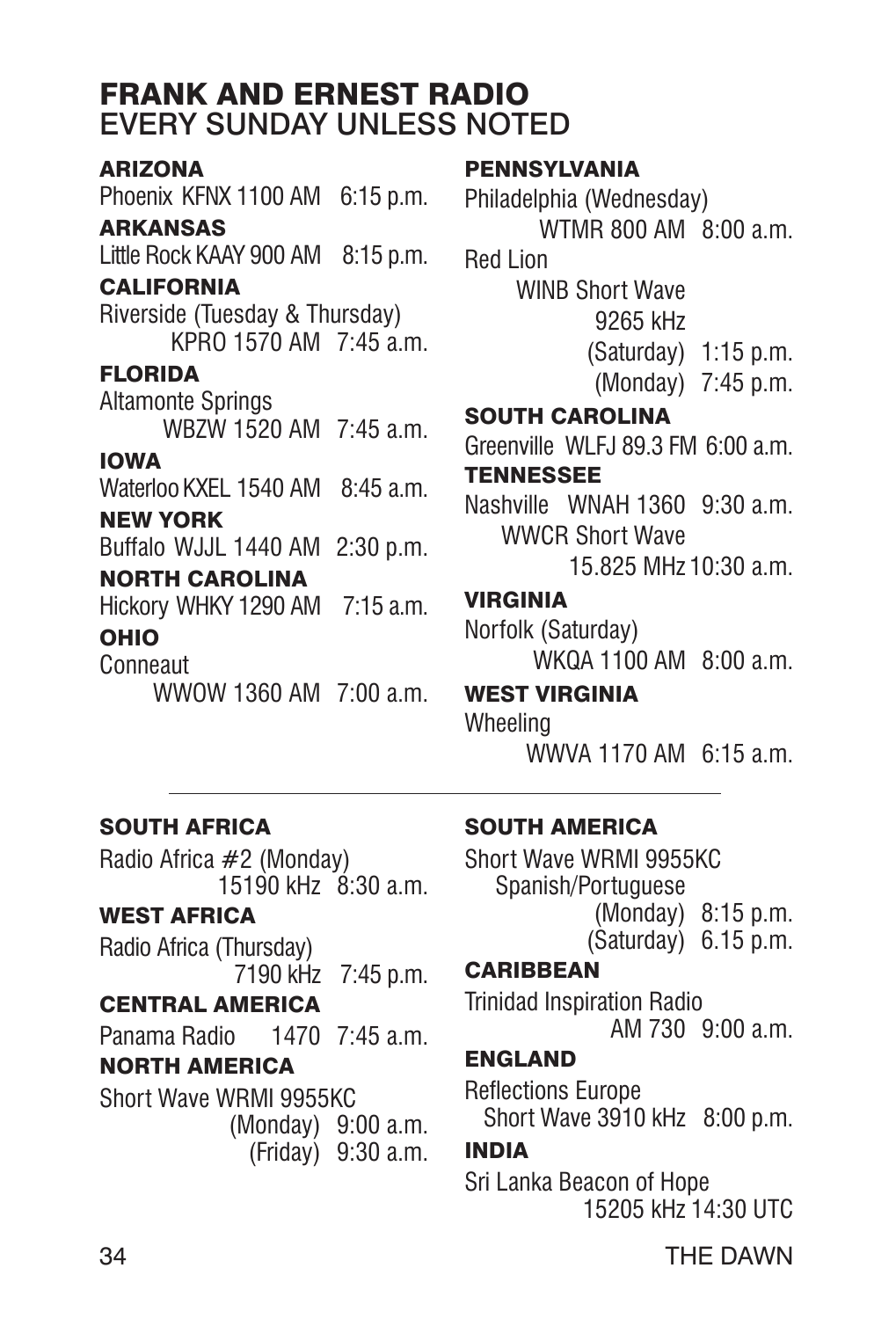#### FRANK AND ERNEST RADIO EVERY SUNDAY UNLESS NOTED

#### **ARIZONA** Phoenix KFNX 1100 AM 6:15 p.m. ARKANSAS Little Rock KAAY 900 AM 8:15 p.m. CALIFORNIA Riverside (Tuesday & Thursday) KPRO 1570 AM 7:45 a.m. FLORIDA Altamonte Springs WBZW 1520 AM 7:45 a.m. IOWA Waterloo KXFL 1540 AM 8:45 a.m. NEW YORK Buffalo WJJL 1440 AM 2:30 p.m. NORTH CAROLINA Hickory WHKY 1290 AM 7:15 a.m. OHIO Conneaut WWOW 1360 AM 7:00 a.m.

#### **PENNSYLVANIA**

Philadelphia (Wednesday) WTMR 800 AM 8:00 a.m. Red Lion WINB Short Wave 9265 kHz (Saturday) 1:15 p.m. (Monday) 7:45 p.m. SOUTH CAROLINA Greenville WLFJ 89.3 FM 6:00 a.m. **TENNESSEE** Nashville WNAH 1360 9:30 a.m. WWCR Short Wave 15.825 MHz 10:30 a.m. VIRGINIA Norfolk (Saturday) WKQA 1100 AM 8:00 a.m.

#### WEST VIRGINIA

Wheeling WWVA 1170 AM 6:15 a.m.

#### SOUTH AFRICA

Radio Africa #2 (Monday) 15190 kHz 8:30 a.m.

#### WEST AFRICA

Radio Africa (Thursday) 7190 kHz 7:45 p.m.

#### CENTRAL AMERICA

Panama Radio 1470 7:45 a.m. NORTH AMERICA

Short Wave WRMI 9955KC (Monday) 9:00 a.m. (Friday) 9:30 a.m.

#### SOUTH AMERICA

Short Wave WRMI 9955KC Spanish/Portuguese (Monday) 8:15 p.m. (Saturday) 6.15 p.m.

#### **CARIBBEAN**

Trinidad Inspiration Radio AM 730 9:00 a.m.

#### ENGLAND

Reflections Europe Short Wave 3910 kHz 8:00 p.m.

#### INDIA

Sri Lanka Beacon of Hope 15205 kHz 14:30 UTC

34 THE DAWN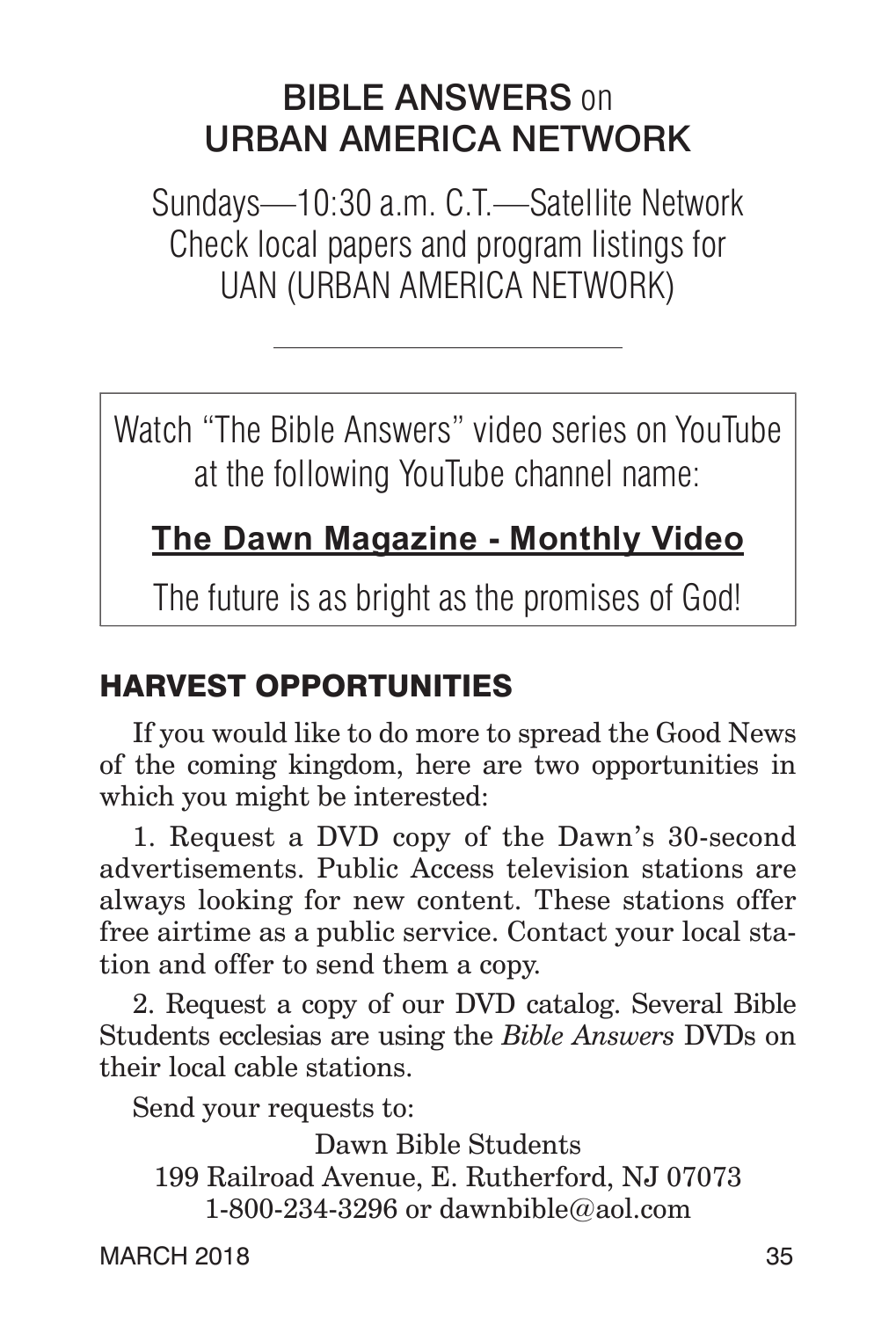### **BIBLE ANSWERS on** URBAN AMERICA NETWORK

Sundays—10:30 a.m. C.T.—Satellite Network Check local papers and program listings for UAN (URBAN AMERICA NETWORK)

Watch "The Bible Answers" video series on YouTube at the following YouTube channel name:

#### **The Dawn Magazine - Monthly Video**

The future is as bright as the promises of God!

#### HARVEST OPPORTUNITIES

If you would like to do more to spread the Good News of the coming kingdom, here are two opportunities in which you might be interested:

1. Request a DVD copy of the Dawn's 30-second advertisements. Public Access television stations are always looking for new content. These stations offer free airtime as a public service. Contact your local station and offer to send them a copy.

2. Request a copy of our DVD catalog. Several Bible Students ecclesias are using the *Bible Answers* DVDs on their local cable stations.

Send your requests to:

Dawn Bible Students 199 Railroad Avenue, E. Rutherford, NJ 07073 1-800-234-3296 or dawnbible@aol.com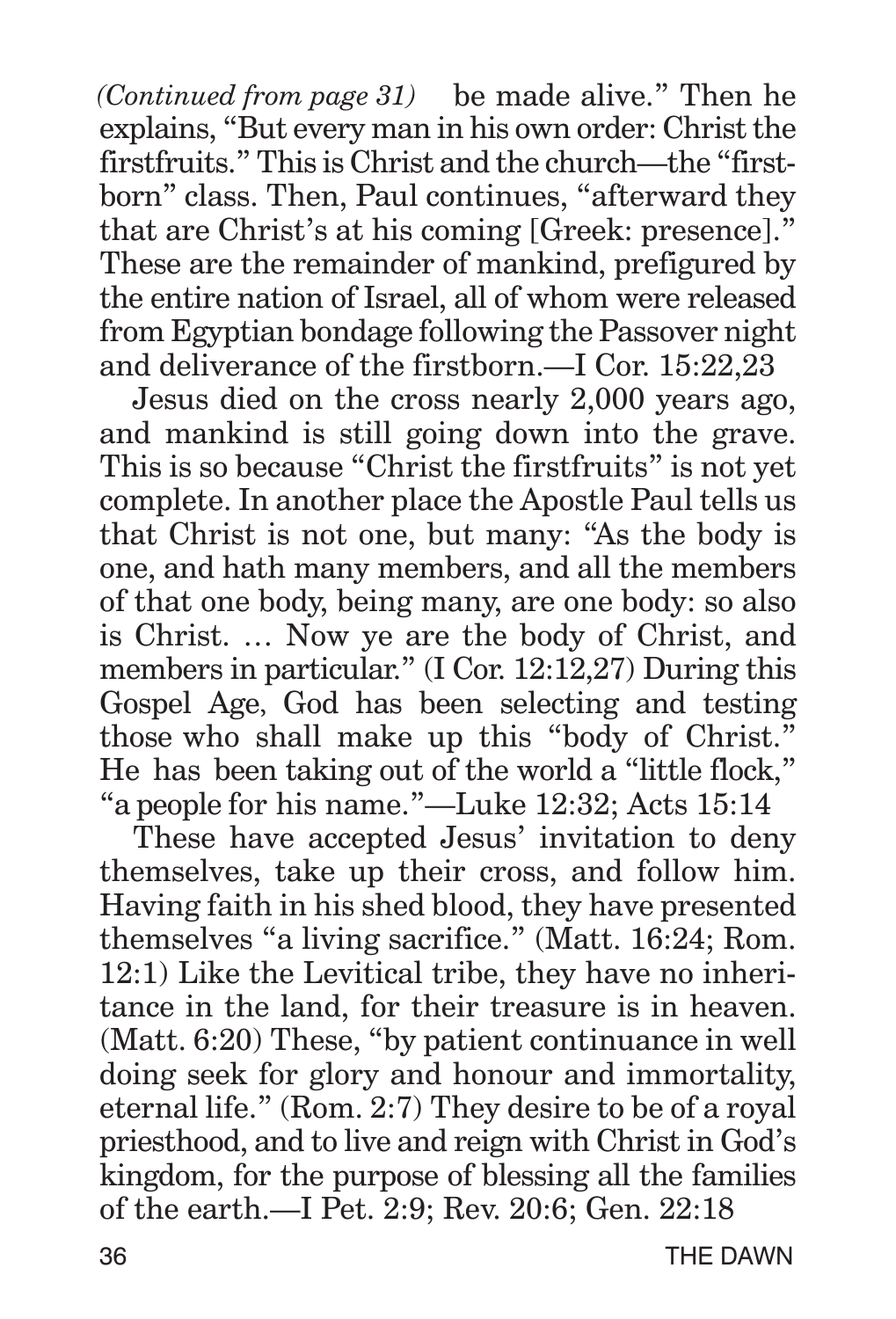*(Continued from page 31)* be made alive." Then he explains, "But every man in his own order: Christ the firstfruits." This is Christ and the church—the "firstborn" class. Then, Paul continues, "afterward they that are Christ's at his coming [Greek: presence]." These are the remainder of mankind, prefigured by the entire nation of Israel, all of whom were released from Egyptian bondage following the Passover night and deliverance of the firstborn.—I Cor. 15:22,23

Jesus died on the cross nearly 2,000 years ago, and mankind is still going down into the grave. This is so because "Christ the firstfruits" is not yet complete. In another place the Apostle Paul tells us that Christ is not one, but many: "As the body is one, and hath many members, and all the members of that one body, being many, are one body: so also is Christ. … Now ye are the body of Christ, and members in particular." (I Cor. 12:12,27) During this Gospel Age, God has been selecting and testing those who shall make up this "body of Christ." He has been taking out of the world a "little flock," "a people for his name."—Luke 12:32; Acts 15:14

These have accepted Jesus' invitation to deny themselves, take up their cross, and follow him. Having faith in his shed blood, they have presented themselves "a living sacrifice." (Matt. 16:24; Rom. 12:1) Like the Levitical tribe, they have no inheritance in the land, for their treasure is in heaven. (Matt. 6:20) These, "by patient continuance in well doing seek for glory and honour and immortality, eternal life." (Rom. 2:7) They desire to be of a royal priesthood, and to live and reign with Christ in God's kingdom, for the purpose of blessing all the families of the earth.—I Pet. 2:9; Rev. 20:6; Gen. 22:18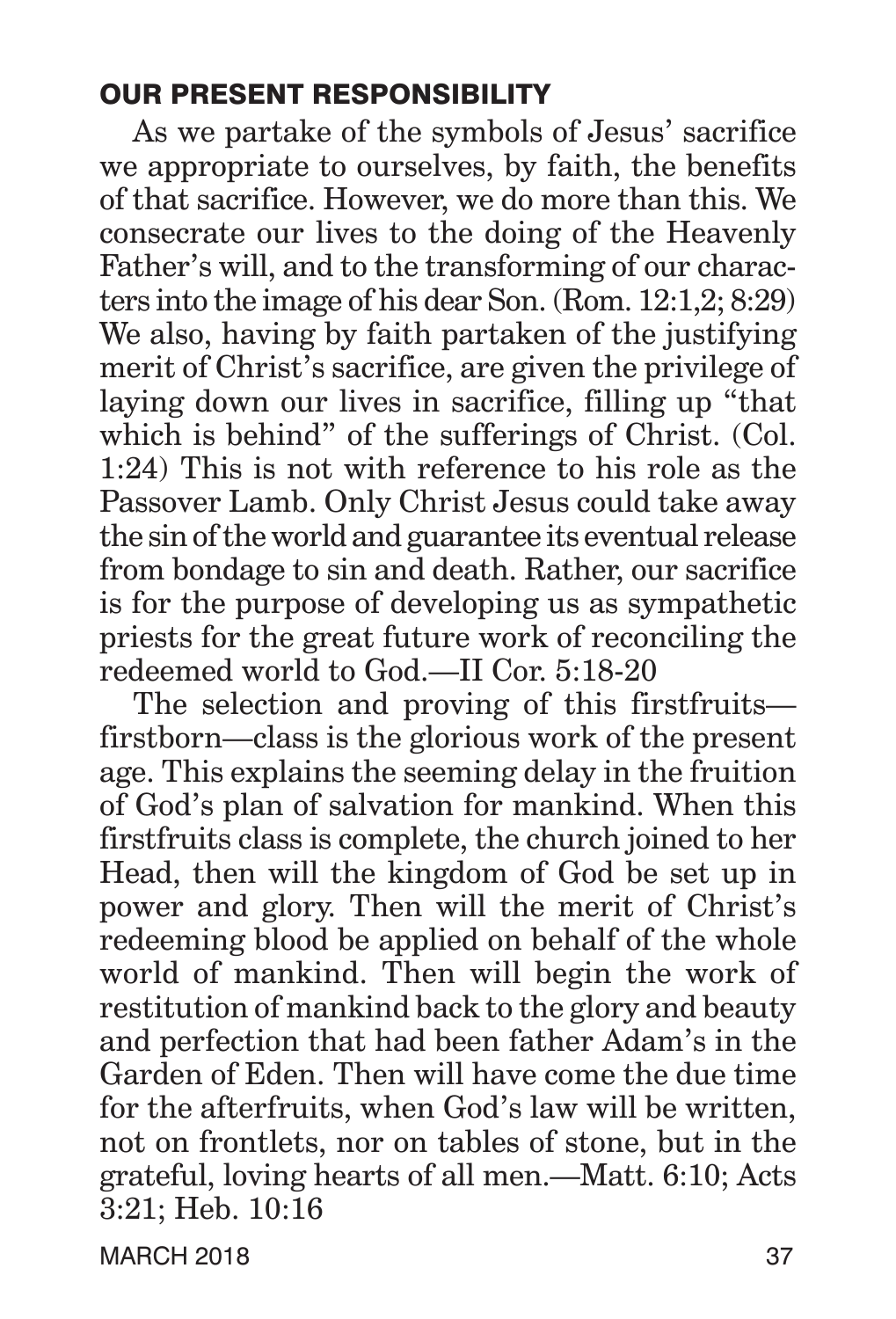#### OUR PRESENT RESPONSIBILITY

As we partake of the symbols of Jesus' sacrifice we appropriate to ourselves, by faith, the benefits of that sacrifice. However, we do more than this. We consecrate our lives to the doing of the Heavenly Father's will, and to the transforming of our characters into the image of his dear Son. (Rom. 12:1,2; 8:29) We also, having by faith partaken of the justifying merit of Christ's sacrifice, are given the privilege of laying down our lives in sacrifice, filling up "that which is behind" of the sufferings of Christ. (Col. 1:24) This is not with reference to his role as the Passover Lamb. Only Christ Jesus could take away the sin of the world and guarantee its eventual release from bondage to sin and death. Rather, our sacrifice is for the purpose of developing us as sympathetic priests for the great future work of reconciling the redeemed world to God.—II Cor. 5:18-20

The selection and proving of this firstfruits firstborn—class is the glorious work of the present age. This explains the seeming delay in the fruition of God's plan of salvation for mankind. When this firstfruits class is complete, the church joined to her Head, then will the kingdom of God be set up in power and glory. Then will the merit of Christ's redeeming blood be applied on behalf of the whole world of mankind. Then will begin the work of restitution of mankind back to the glory and beauty and perfection that had been father Adam's in the Garden of Eden. Then will have come the due time for the afterfruits, when God's law will be written, not on frontlets, nor on tables of stone, but in the grateful, loving hearts of all men.—Matt. 6:10; Acts 3:21; Heb. 10:16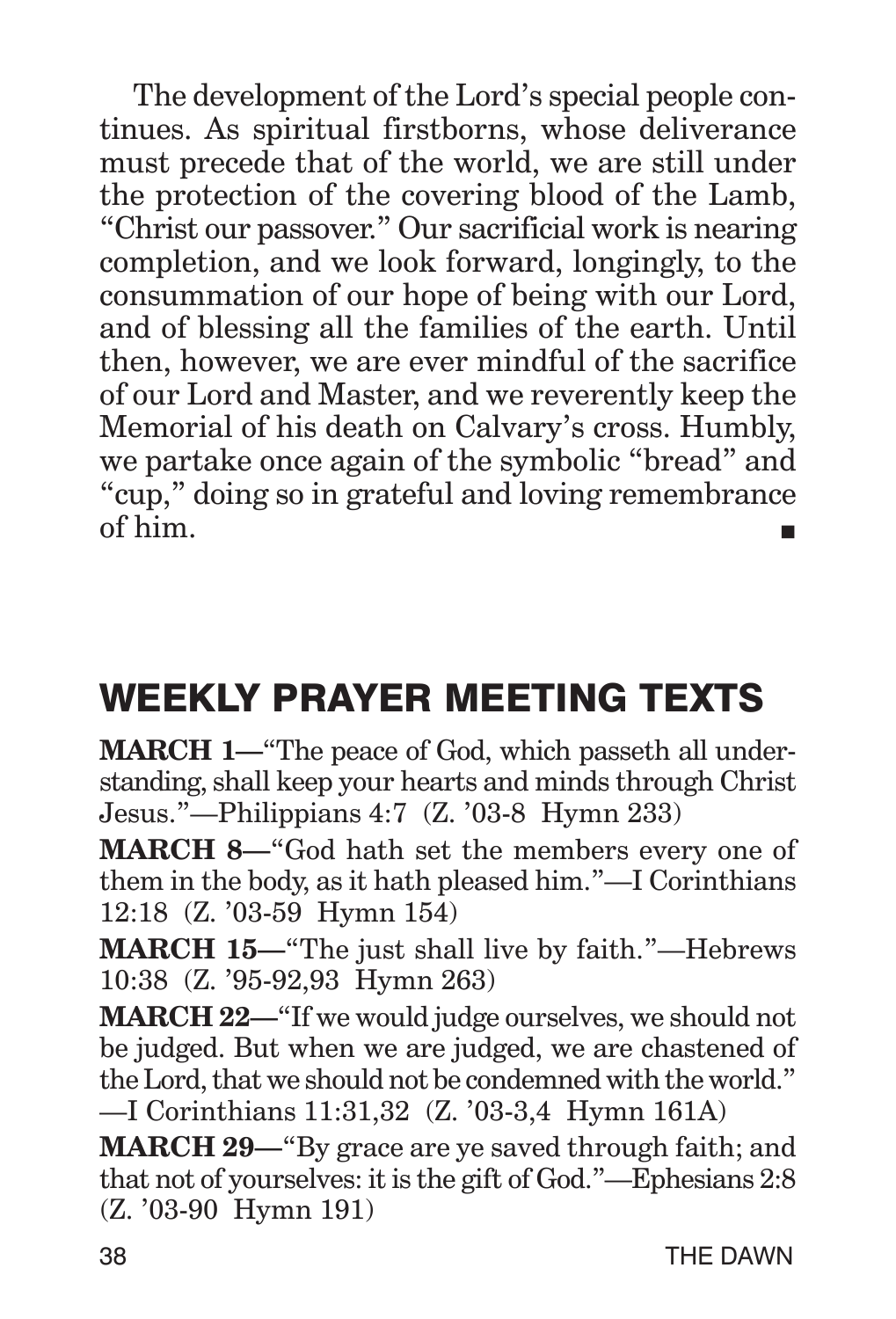The development of the Lord's special people continues. As spiritual firstborns, whose deliverance must precede that of the world, we are still under the protection of the covering blood of the Lamb, "Christ our passover." Our sacrificial work is nearing completion, and we look forward, longingly, to the consummation of our hope of being with our Lord, and of blessing all the families of the earth. Until then, however, we are ever mindful of the sacrifice of our Lord and Master, and we reverently keep the Memorial of his death on Calvary's cross. Humbly, we partake once again of the symbolic "bread" and "cup," doing so in grateful and loving remembrance of him.

### WEEKLY PRAYER MEETING TEXTS

**MARCH 1—**"The peace of God, which passeth all understanding, shall keep your hearts and minds through Christ Jesus."—Philippians 4:7 (Z. '03-8 Hymn 233)

**MARCH 8—**"God hath set the members every one of them in the body, as it hath pleased him."—I Corinthians 12:18 (Z. '03-59 Hymn 154)

**MARCH 15—**"The just shall live by faith."—Hebrews 10:38 (Z. '95-92,93 Hymn 263)

**MARCH 22—**"If we would judge ourselves, we should not be judged. But when we are judged, we are chastened of the Lord, that we should not be condemned with the world." —I Corinthians 11:31,32 (Z. '03-3,4 Hymn 161A)

**MARCH 29—**"By grace are ye saved through faith; and that not of yourselves: it is the gift of God."—Ephesians 2:8 (Z. '03-90 Hymn 191)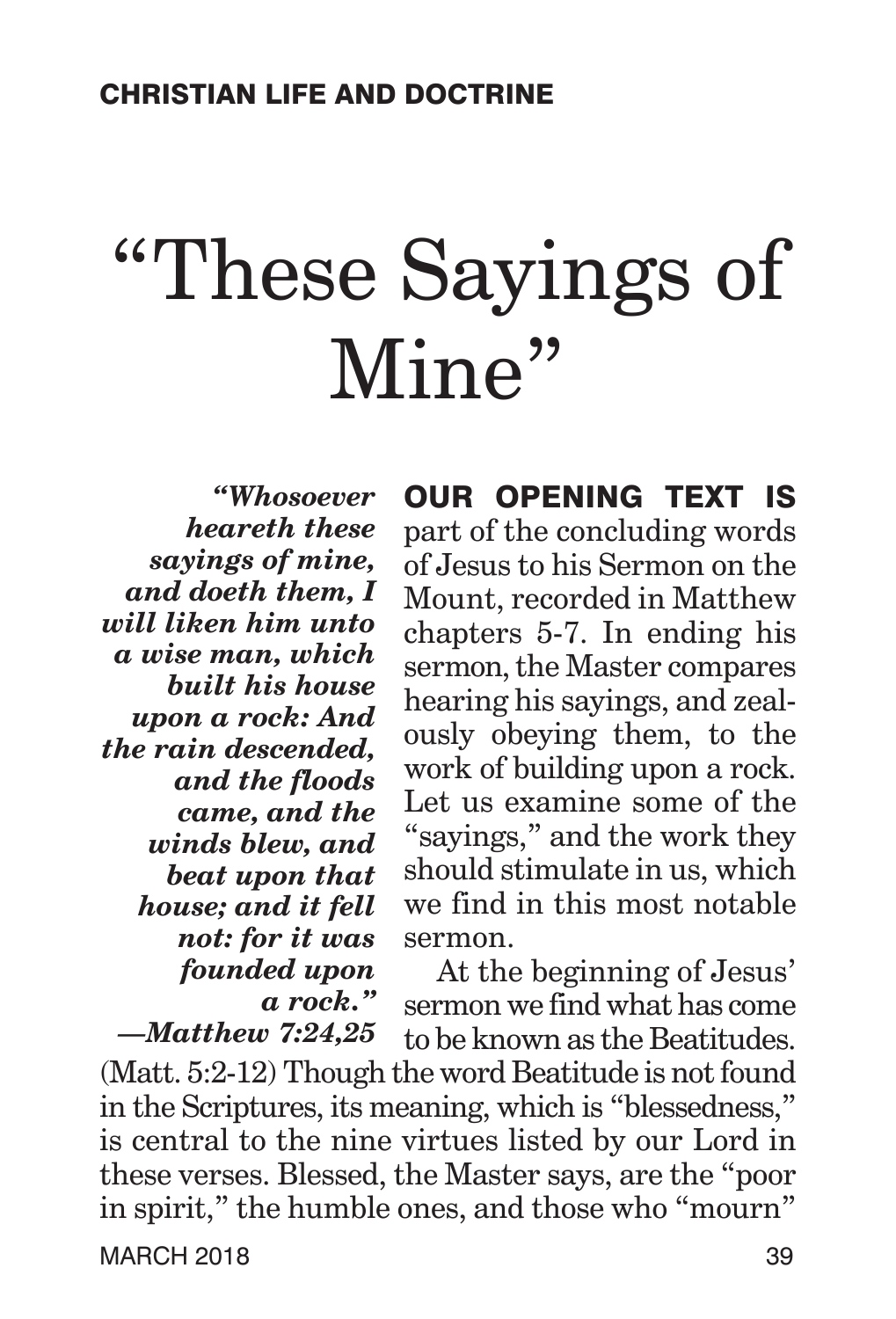# "These Sayings of Mine"

 *"Whosoever heareth these sayings of mine, and doeth them, I will liken him unto a wise man, which built his house upon a rock: And the rain descended, and the floods came, and the winds blew, and beat upon that house; and it fell not: for it was founded upon a rock."*

*—Matthew 7:24,25*

OUR OPENING TEXT IS part of the concluding words of Jesus to his Sermon on the Mount, recorded in Matthew chapters 5-7. In ending his sermon, the Master compares hearing his sayings, and zealously obeying them, to the work of building upon a rock. Let us examine some of the "sayings," and the work they should stimulate in us, which we find in this most notable sermon.

At the beginning of Jesus' sermon we find what has come to be known as the Beatitudes.

(Matt. 5:2-12) Though the word Beatitude is not found in the Scriptures, its meaning, which is "blessedness," is central to the nine virtues listed by our Lord in these verses. Blessed, the Master says, are the "poor in spirit," the humble ones, and those who "mourn"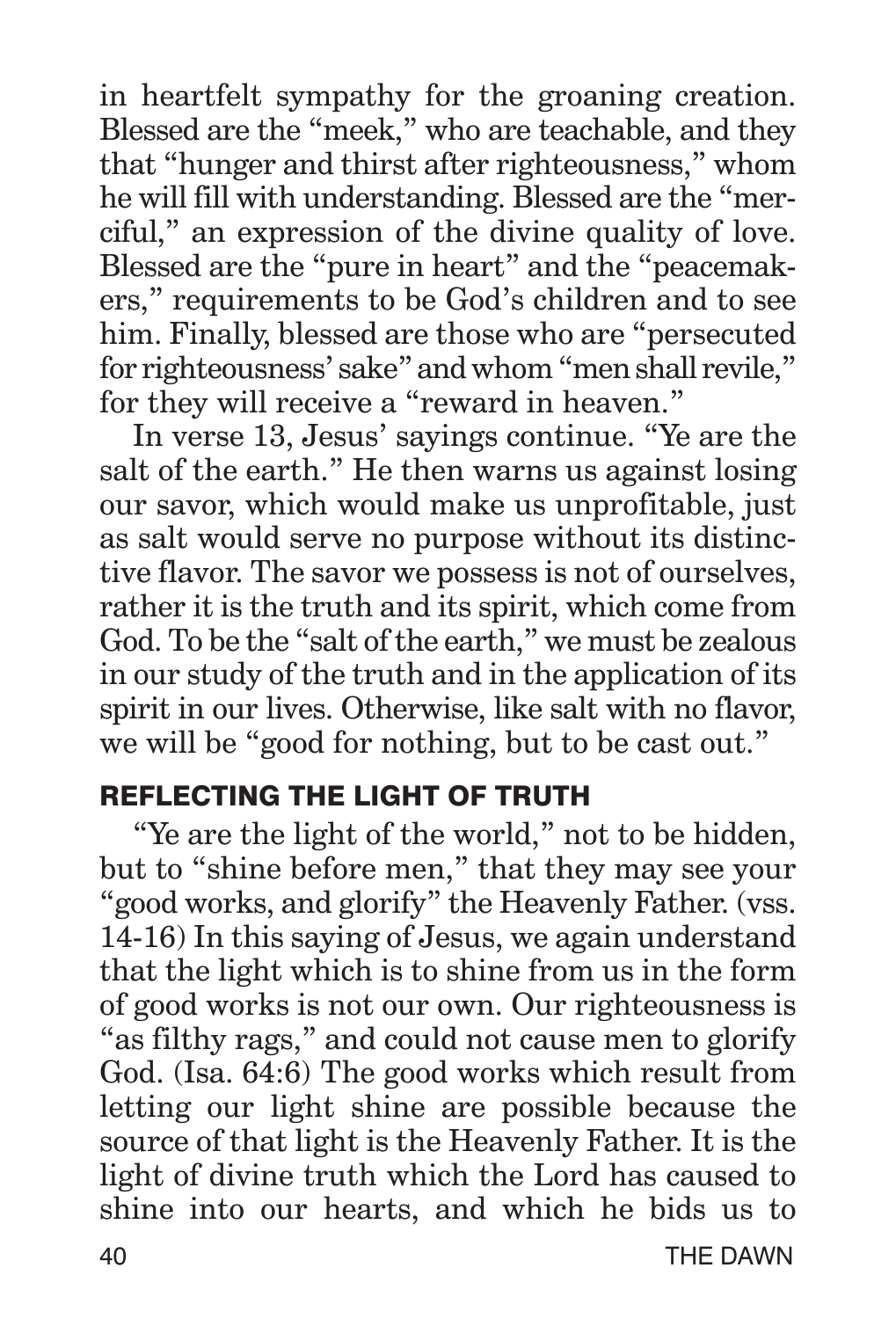in heartfelt sympathy for the groaning creation. Blessed are the "meek," who are teachable, and they that "hunger and thirst after righteousness," whom he will fill with understanding. Blessed are the "merciful," an expression of the divine quality of love. Blessed are the "pure in heart" and the "peacemakers," requirements to be God's children and to see him. Finally, blessed are those who are "persecuted for righteousness' sake" and whom "men shall revile," for they will receive a "reward in heaven."

In verse 13, Jesus' sayings continue. "Ye are the salt of the earth." He then warns us against losing our savor, which would make us unprofitable, just as salt would serve no purpose without its distinctive flavor. The savor we possess is not of ourselves, rather it is the truth and its spirit, which come from God. To be the "salt of the earth," we must be zealous in our study of the truth and in the application of its spirit in our lives. Otherwise, like salt with no flavor, we will be "good for nothing, but to be cast out."

#### REFLECTING THE LIGHT OF TRUTH

"Ye are the light of the world," not to be hidden, but to "shine before men," that they may see your "good works, and glorify" the Heavenly Father. (vss. 14-16) In this saying of Jesus, we again understand that the light which is to shine from us in the form of good works is not our own. Our righteousness is "as filthy rags," and could not cause men to glorify God. (Isa. 64:6) The good works which result from letting our light shine are possible because the source of that light is the Heavenly Father. It is the light of divine truth which the Lord has caused to shine into our hearts, and which he bids us to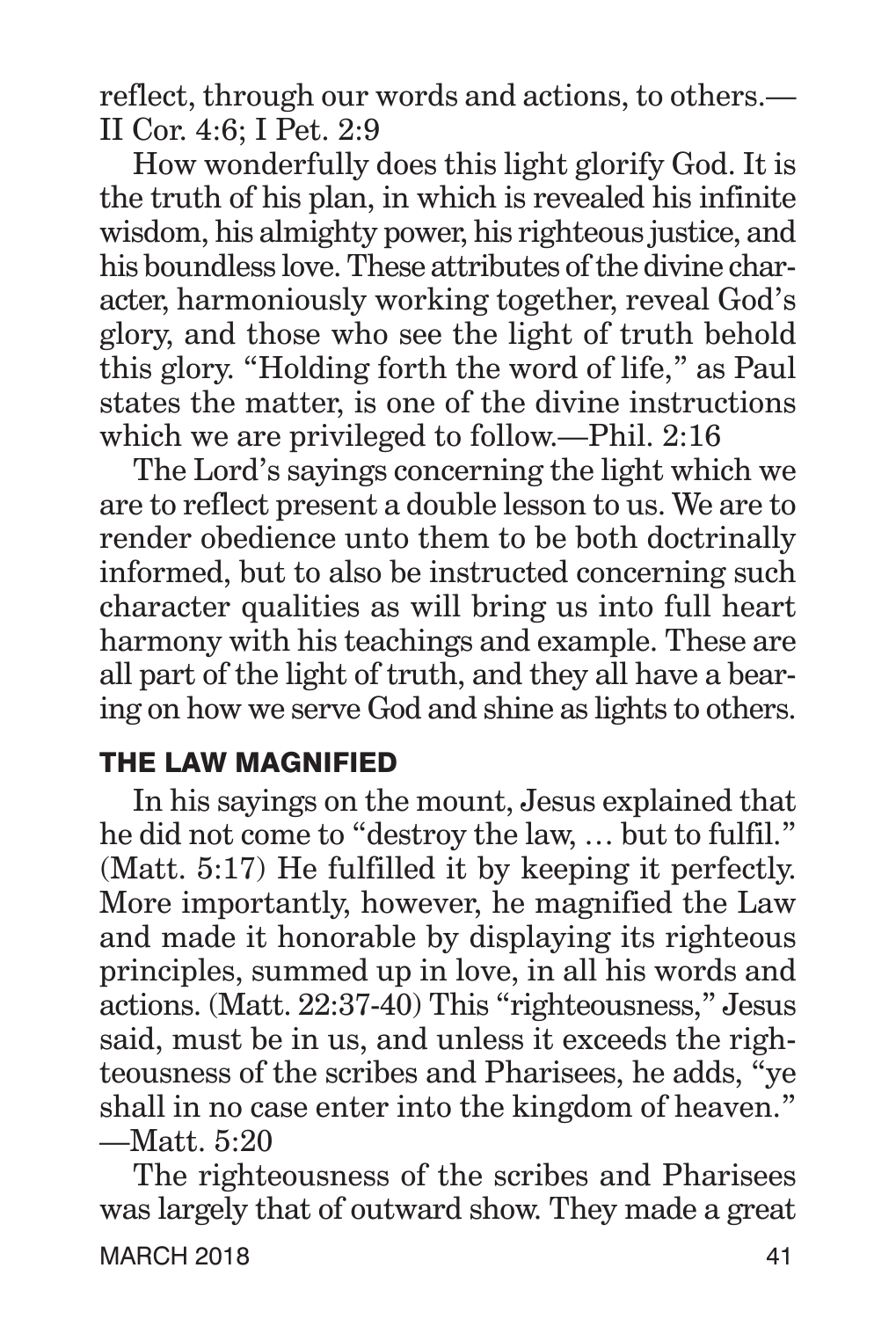reflect, through our words and actions, to others.— II Cor. 4:6; I Pet. 2:9

How wonderfully does this light glorify God. It is the truth of his plan, in which is revealed his infinite wisdom, his almighty power, his righteous justice, and his boundless love. These attributes of the divine character, harmoniously working together, reveal God's glory, and those who see the light of truth behold this glory. "Holding forth the word of life," as Paul states the matter, is one of the divine instructions which we are privileged to follow.—Phil. 2:16

The Lord's sayings concerning the light which we are to reflect present a double lesson to us. We are to render obedience unto them to be both doctrinally informed, but to also be instructed concerning such character qualities as will bring us into full heart harmony with his teachings and example. These are all part of the light of truth, and they all have a bearing on how we serve God and shine as lights to others.

#### THE LAW MAGNIFIED

In his sayings on the mount, Jesus explained that he did not come to "destroy the law, … but to fulfil." (Matt. 5:17) He fulfilled it by keeping it perfectly. More importantly, however, he magnified the Law and made it honorable by displaying its righteous principles, summed up in love, in all his words and actions. (Matt. 22:37-40) This "righteousness," Jesus said, must be in us, and unless it exceeds the righteousness of the scribes and Pharisees, he adds, "ye shall in no case enter into the kingdom of heaven." —Matt. 5:20

The righteousness of the scribes and Pharisees was largely that of outward show. They made a great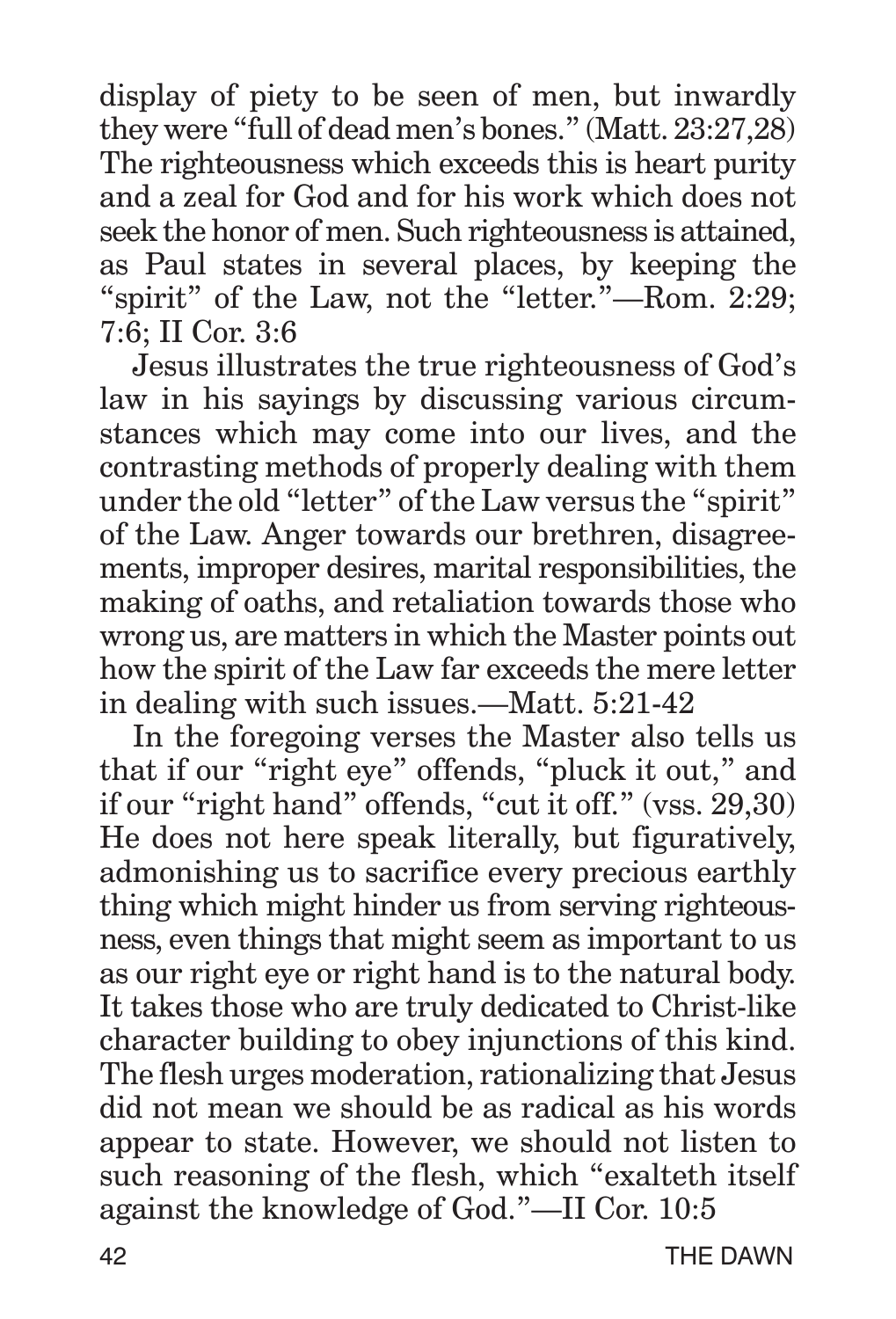display of piety to be seen of men, but inwardly they were "full of dead men's bones." (Matt. 23:27,28) The righteousness which exceeds this is heart purity and a zeal for God and for his work which does not seek the honor of men. Such righteousness is attained, as Paul states in several places, by keeping the "spirit" of the Law, not the "letter."—Rom. 2:29; 7:6; II Cor. 3:6

Jesus illustrates the true righteousness of God's law in his sayings by discussing various circumstances which may come into our lives, and the contrasting methods of properly dealing with them under the old "letter" of the Law versus the "spirit" of the Law. Anger towards our brethren, disagreements, improper desires, marital responsibilities, the making of oaths, and retaliation towards those who wrong us, are matters in which the Master points out how the spirit of the Law far exceeds the mere letter in dealing with such issues.—Matt. 5:21-42

In the foregoing verses the Master also tells us that if our "right eye" offends, "pluck it out," and if our "right hand" offends, "cut it off." (vss. 29,30) He does not here speak literally, but figuratively, admonishing us to sacrifice every precious earthly thing which might hinder us from serving righteousness, even things that might seem as important to us as our right eye or right hand is to the natural body. It takes those who are truly dedicated to Christ-like character building to obey injunctions of this kind. The flesh urges moderation, rationalizing that Jesus did not mean we should be as radical as his words appear to state. However, we should not listen to such reasoning of the flesh, which "exalteth itself against the knowledge of God."—II Cor. 10:5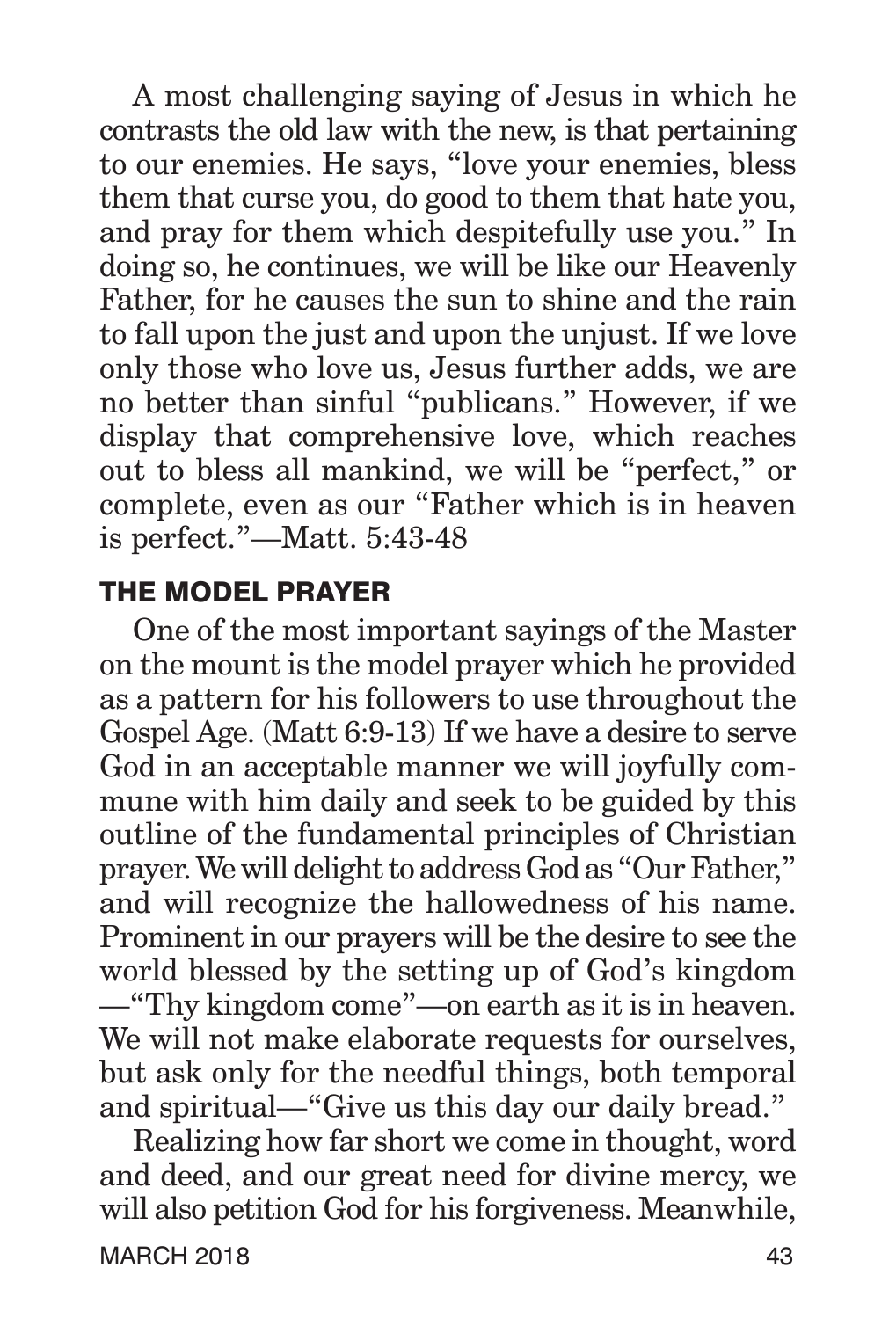A most challenging saying of Jesus in which he contrasts the old law with the new, is that pertaining to our enemies. He says, "love your enemies, bless them that curse you, do good to them that hate you, and pray for them which despitefully use you." In doing so, he continues, we will be like our Heavenly Father, for he causes the sun to shine and the rain to fall upon the just and upon the unjust. If we love only those who love us, Jesus further adds, we are no better than sinful "publicans." However, if we display that comprehensive love, which reaches out to bless all mankind, we will be "perfect," or complete, even as our "Father which is in heaven is perfect."—Matt. 5:43-48

#### THE MODEL PRAYER

One of the most important sayings of the Master on the mount is the model prayer which he provided as a pattern for his followers to use throughout the Gospel Age. (Matt 6:9-13) If we have a desire to serve God in an acceptable manner we will joyfully commune with him daily and seek to be guided by this outline of the fundamental principles of Christian prayer. We will delight to address God as "Our Father," and will recognize the hallowedness of his name. Prominent in our prayers will be the desire to see the world blessed by the setting up of God's kingdom —"Thy kingdom come"—on earth as it is in heaven. We will not make elaborate requests for ourselves, but ask only for the needful things, both temporal and spiritual—"Give us this day our daily bread."

Realizing how far short we come in thought, word and deed, and our great need for divine mercy, we will also petition God for his forgiveness. Meanwhile,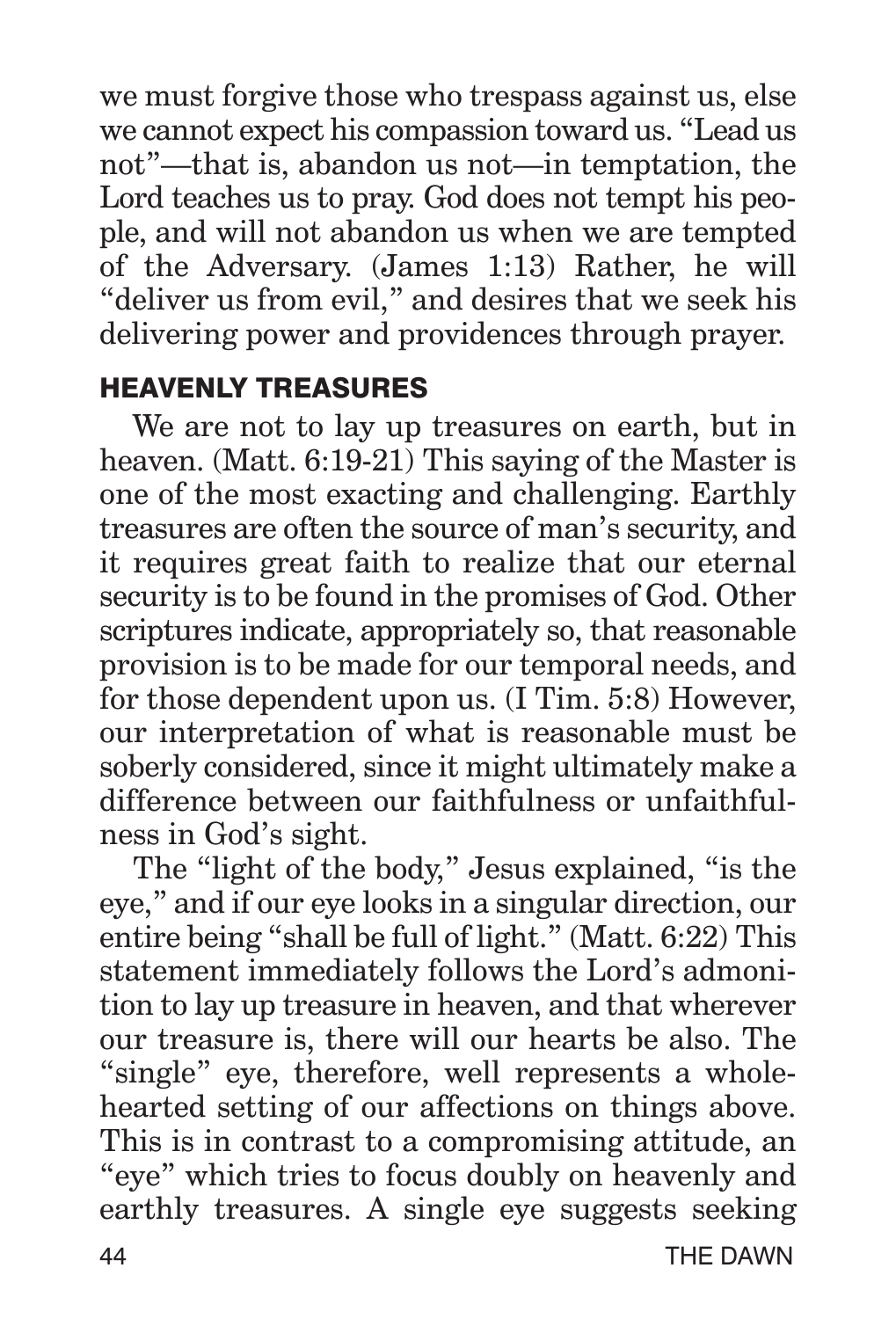we must forgive those who trespass against us, else we cannot expect his compassion toward us. "Lead us not"—that is, abandon us not—in temptation, the Lord teaches us to pray. God does not tempt his people, and will not abandon us when we are tempted of the Adversary. (James 1:13) Rather, he will "deliver us from evil," and desires that we seek his delivering power and providences through prayer.

#### HEAVENLY TREASURES

We are not to lay up treasures on earth, but in heaven. (Matt. 6:19-21) This saying of the Master is one of the most exacting and challenging. Earthly treasures are often the source of man's security, and it requires great faith to realize that our eternal security is to be found in the promises of God. Other scriptures indicate, appropriately so, that reasonable provision is to be made for our temporal needs, and for those dependent upon us. (I Tim. 5:8) However, our interpretation of what is reasonable must be soberly considered, since it might ultimately make a difference between our faithfulness or unfaithfulness in God's sight.

The "light of the body," Jesus explained, "is the eye," and if our eye looks in a singular direction, our entire being "shall be full of light." (Matt. 6:22) This statement immediately follows the Lord's admonition to lay up treasure in heaven, and that wherever our treasure is, there will our hearts be also. The "single" eye, therefore, well represents a wholehearted setting of our affections on things above. This is in contrast to a compromising attitude, an "eye" which tries to focus doubly on heavenly and earthly treasures. A single eye suggests seeking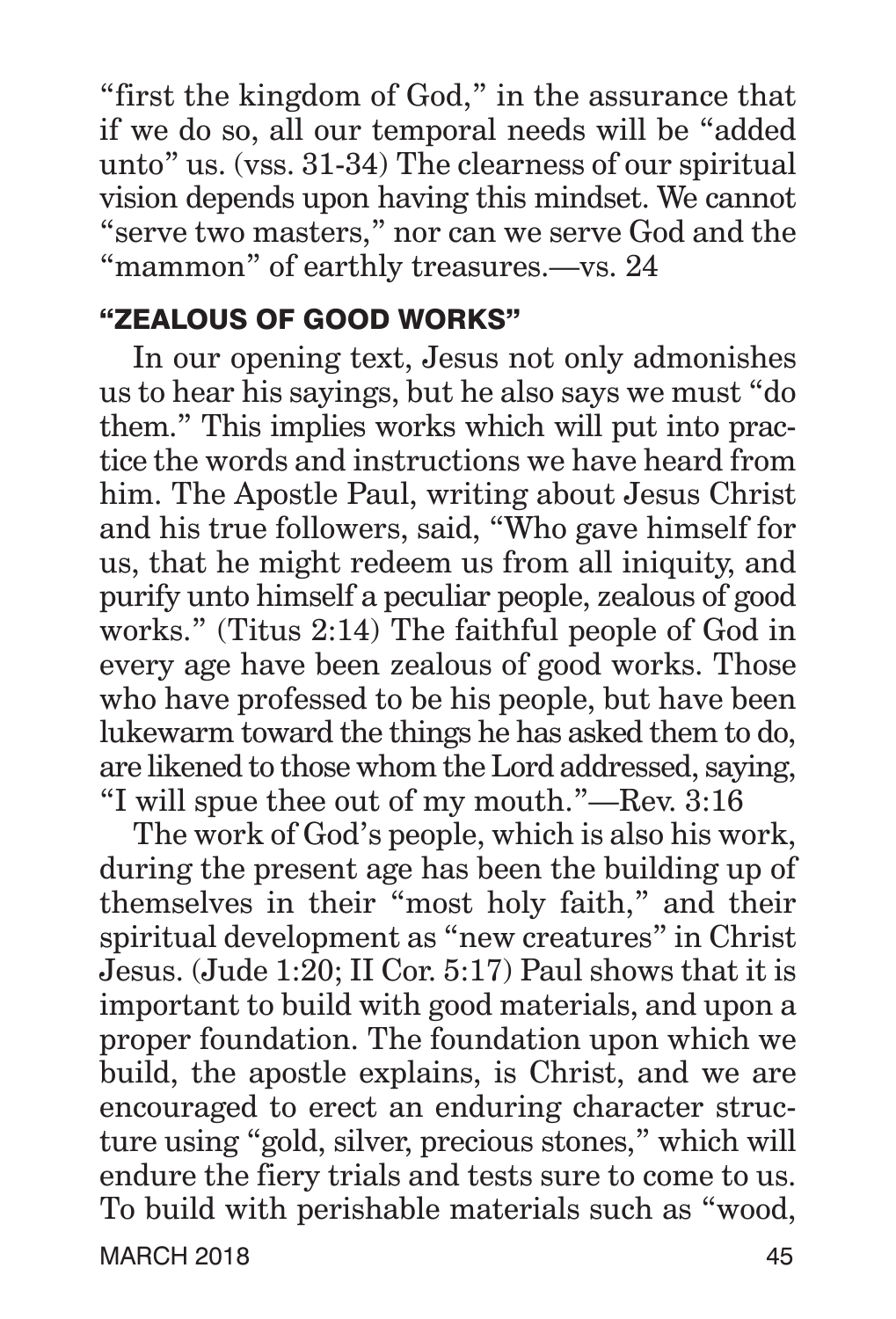"first the kingdom of God," in the assurance that if we do so, all our temporal needs will be "added unto" us. (vss. 31-34) The clearness of our spiritual vision depends upon having this mindset. We cannot "serve two masters," nor can we serve God and the "mammon" of earthly treasures.—vs. 24

#### "ZEALOUS OF GOOD WORKS"

In our opening text, Jesus not only admonishes us to hear his sayings, but he also says we must "do them." This implies works which will put into practice the words and instructions we have heard from him. The Apostle Paul, writing about Jesus Christ and his true followers, said, "Who gave himself for us, that he might redeem us from all iniquity, and purify unto himself a peculiar people, zealous of good works." (Titus 2:14) The faithful people of God in every age have been zealous of good works. Those who have professed to be his people, but have been lukewarm toward the things he has asked them to do, are likened to those whom the Lord addressed, saying, "I will spue thee out of my mouth."—Rev. 3:16

The work of God's people, which is also his work, during the present age has been the building up of themselves in their "most holy faith," and their spiritual development as "new creatures" in Christ Jesus. (Jude 1:20; II Cor. 5:17) Paul shows that it is important to build with good materials, and upon a proper foundation. The foundation upon which we build, the apostle explains, is Christ, and we are encouraged to erect an enduring character structure using "gold, silver, precious stones," which will endure the fiery trials and tests sure to come to us. To build with perishable materials such as "wood,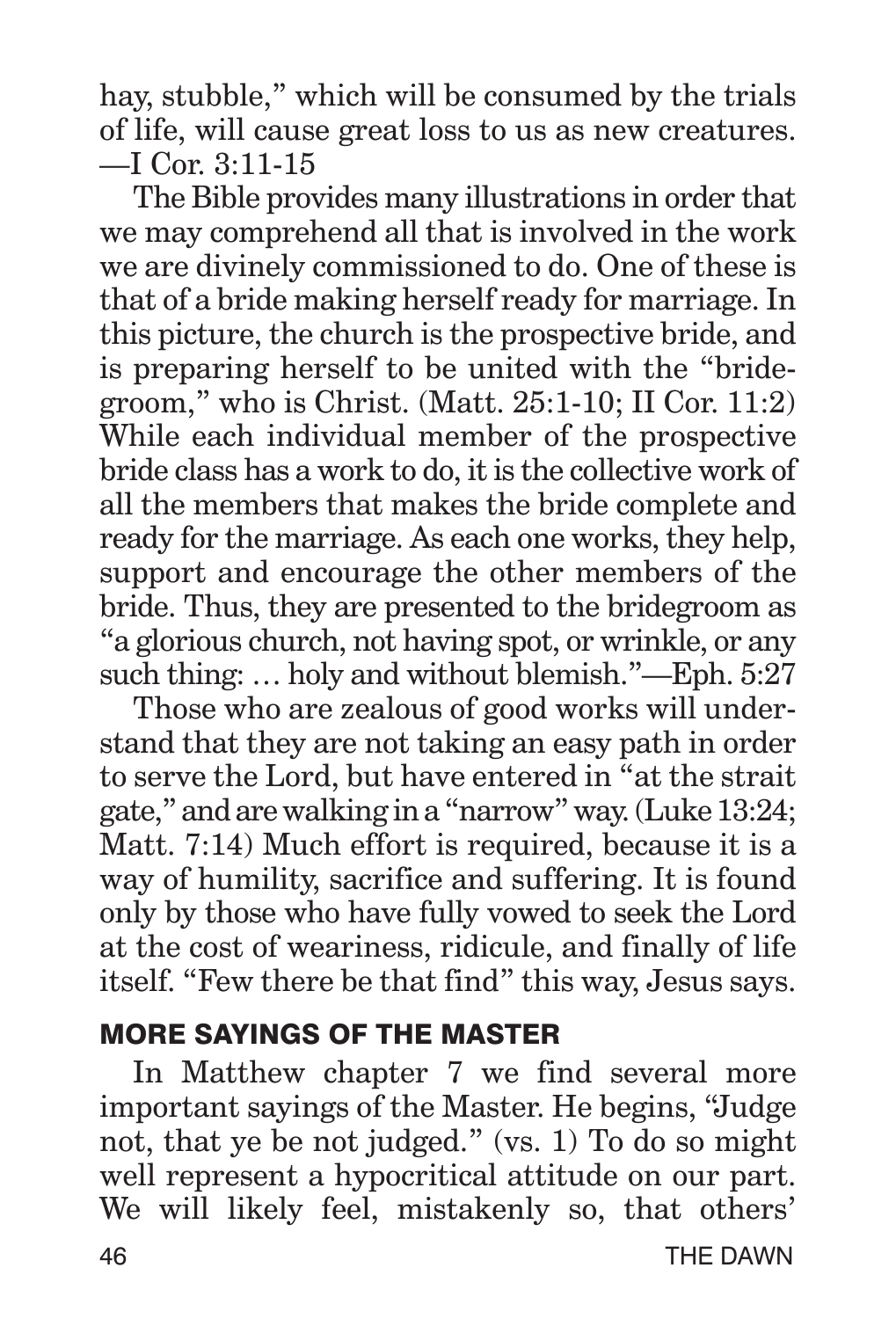hay, stubble," which will be consumed by the trials of life, will cause great loss to us as new creatures. —I Cor. 3:11-15

The Bible provides many illustrations in order that we may comprehend all that is involved in the work we are divinely commissioned to do. One of these is that of a bride making herself ready for marriage. In this picture, the church is the prospective bride, and is preparing herself to be united with the "bridegroom," who is Christ. (Matt. 25:1-10; II Cor. 11:2) While each individual member of the prospective bride class has a work to do, it is the collective work of all the members that makes the bride complete and ready for the marriage. As each one works, they help, support and encourage the other members of the bride. Thus, they are presented to the bridegroom as "a glorious church, not having spot, or wrinkle, or any such thing: … holy and without blemish."—Eph. 5:27

Those who are zealous of good works will understand that they are not taking an easy path in order to serve the Lord, but have entered in "at the strait gate," and are walking in a "narrow" way. (Luke 13:24; Matt. 7:14) Much effort is required, because it is a way of humility, sacrifice and suffering. It is found only by those who have fully vowed to seek the Lord at the cost of weariness, ridicule, and finally of life itself. "Few there be that find" this way, Jesus says.

#### MORE SAYINGS OF THE MASTER

In Matthew chapter 7 we find several more important sayings of the Master. He begins, "Judge not, that ye be not judged." (vs. 1) To do so might well represent a hypocritical attitude on our part. We will likely feel, mistakenly so, that others'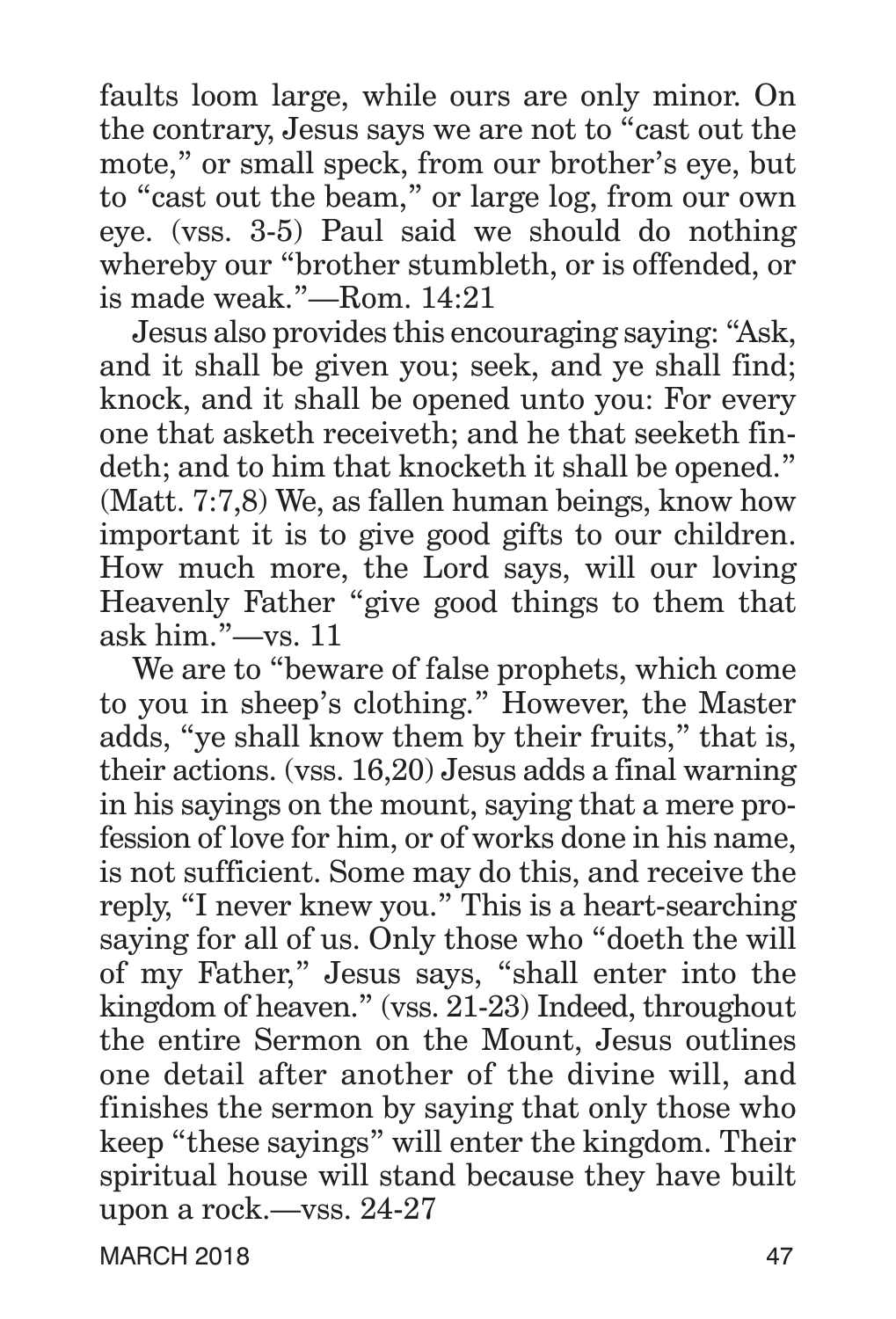faults loom large, while ours are only minor. On the contrary, Jesus says we are not to "cast out the mote," or small speck, from our brother's eye, but to "cast out the beam," or large log, from our own eye. (vss. 3-5) Paul said we should do nothing whereby our "brother stumbleth, or is offended, or is made weak."—Rom. 14:21

Jesus also provides this encouraging saying: "Ask, and it shall be given you; seek, and ye shall find; knock, and it shall be opened unto you: For every one that asketh receiveth; and he that seeketh findeth; and to him that knocketh it shall be opened." (Matt. 7:7,8) We, as fallen human beings, know how important it is to give good gifts to our children. How much more, the Lord says, will our loving Heavenly Father "give good things to them that ask him."—vs. 11

We are to "beware of false prophets, which come to you in sheep's clothing." However, the Master adds, "ye shall know them by their fruits," that is, their actions. (vss. 16,20) Jesus adds a final warning in his sayings on the mount, saying that a mere profession of love for him, or of works done in his name, is not sufficient. Some may do this, and receive the reply, "I never knew you." This is a heart-searching saying for all of us. Only those who "doeth the will of my Father," Jesus says, "shall enter into the kingdom of heaven." (vss. 21-23) Indeed, throughout the entire Sermon on the Mount, Jesus outlines one detail after another of the divine will, and finishes the sermon by saying that only those who keep "these sayings" will enter the kingdom. Their spiritual house will stand because they have built upon a rock.—vss. 24-27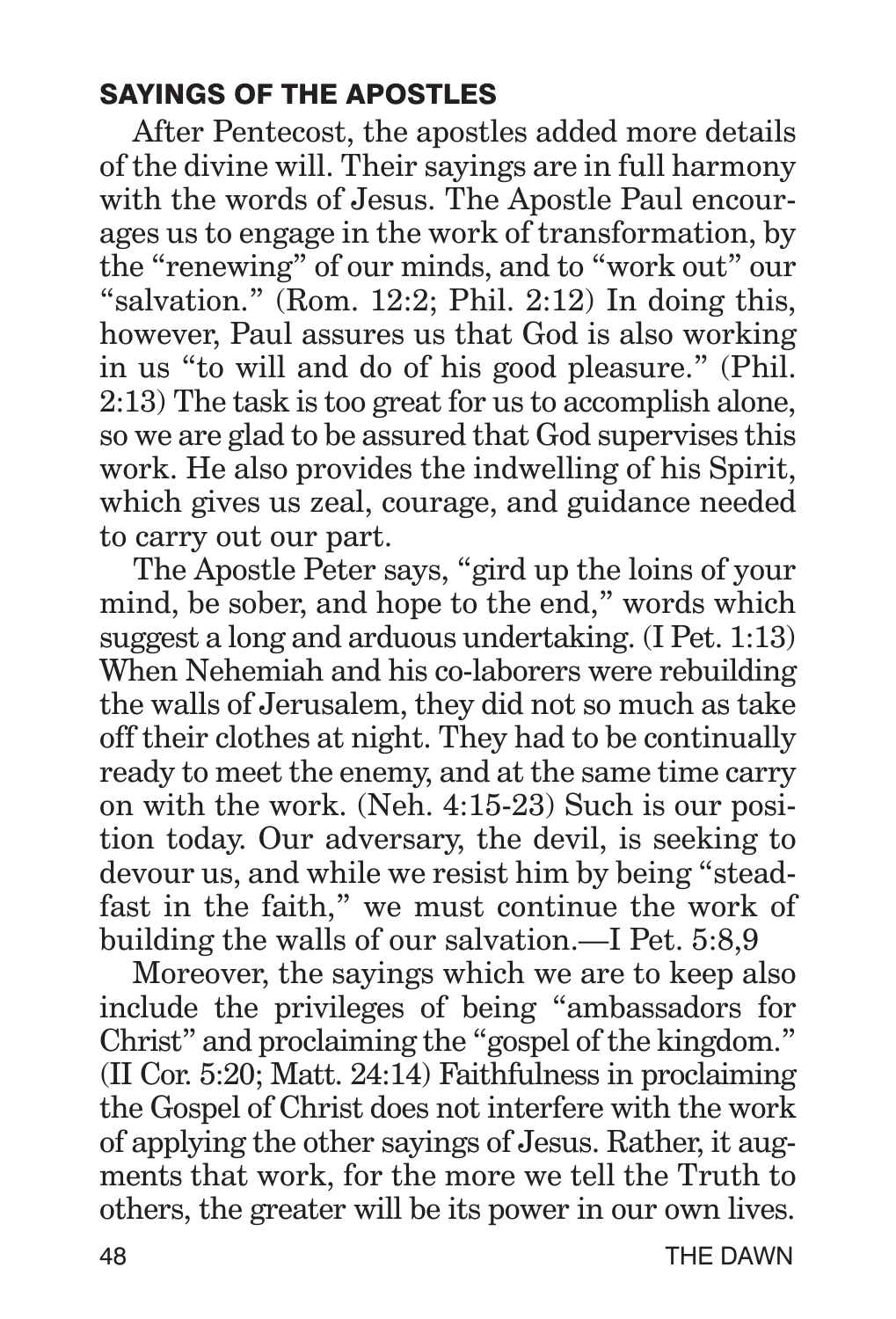#### SAYINGS OF THE APOSTLES

After Pentecost, the apostles added more details of the divine will. Their sayings are in full harmony with the words of Jesus. The Apostle Paul encourages us to engage in the work of transformation, by the "renewing" of our minds, and to "work out" our "salvation." (Rom. 12:2; Phil. 2:12) In doing this, however, Paul assures us that God is also working in us "to will and do of his good pleasure." (Phil. 2:13) The task is too great for us to accomplish alone, so we are glad to be assured that God supervises this work. He also provides the indwelling of his Spirit, which gives us zeal, courage, and guidance needed to carry out our part.

The Apostle Peter says, "gird up the loins of your mind, be sober, and hope to the end," words which suggest a long and arduous undertaking. (I Pet. 1:13) When Nehemiah and his co-laborers were rebuilding the walls of Jerusalem, they did not so much as take off their clothes at night. They had to be continually ready to meet the enemy, and at the same time carry on with the work. (Neh. 4:15-23) Such is our position today. Our adversary, the devil, is seeking to devour us, and while we resist him by being "steadfast in the faith," we must continue the work of building the walls of our salvation.—I Pet. 5:8,9

Moreover, the sayings which we are to keep also include the privileges of being "ambassadors for Christ" and proclaiming the "gospel of the kingdom." (II Cor. 5:20; Matt. 24:14) Faithfulness in proclaiming the Gospel of Christ does not interfere with the work of applying the other sayings of Jesus. Rather, it augments that work, for the more we tell the Truth to others, the greater will be its power in our own lives.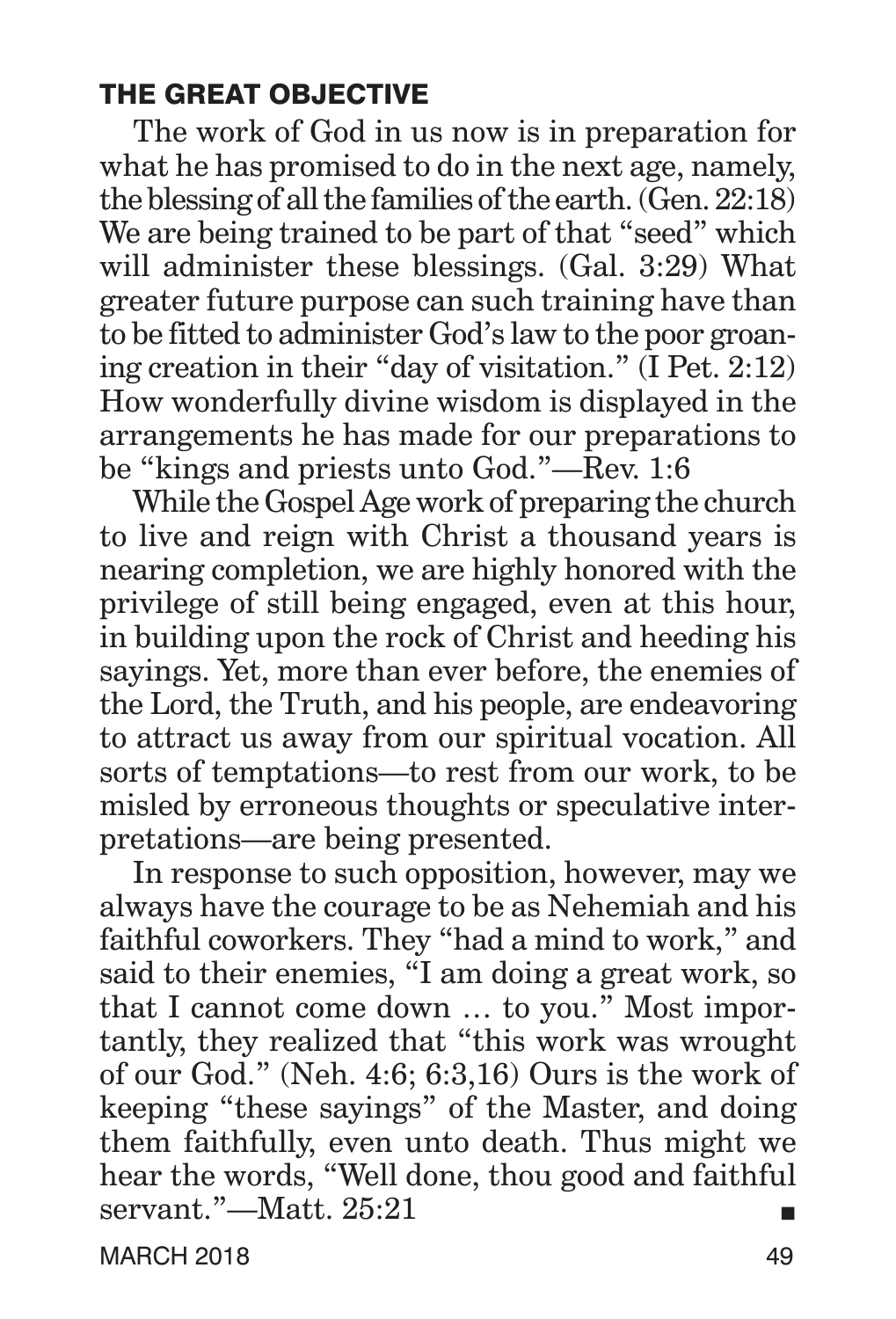#### THE GREAT OBJECTIVE

The work of God in us now is in preparation for what he has promised to do in the next age, namely, the blessing of all the families of the earth. (Gen. 22:18) We are being trained to be part of that "seed" which will administer these blessings. (Gal. 3:29) What greater future purpose can such training have than to be fitted to administer God's law to the poor groaning creation in their "day of visitation." (I Pet. 2:12) How wonderfully divine wisdom is displayed in the arrangements he has made for our preparations to be "kings and priests unto God."—Rev. 1:6

While the Gospel Age work of preparing the church to live and reign with Christ a thousand years is nearing completion, we are highly honored with the privilege of still being engaged, even at this hour, in building upon the rock of Christ and heeding his sayings. Yet, more than ever before, the enemies of the Lord, the Truth, and his people, are endeavoring to attract us away from our spiritual vocation. All sorts of temptations—to rest from our work, to be misled by erroneous thoughts or speculative interpretations—are being presented.

In response to such opposition, however, may we always have the courage to be as Nehemiah and his faithful coworkers. They "had a mind to work," and said to their enemies, "I am doing a great work, so that I cannot come down … to you." Most importantly, they realized that "this work was wrought of our God." (Neh. 4:6; 6:3,16) Ours is the work of keeping "these sayings" of the Master, and doing them faithfully, even unto death. Thus might we hear the words, "Well done, thou good and faithful servant."—Matt. 25:21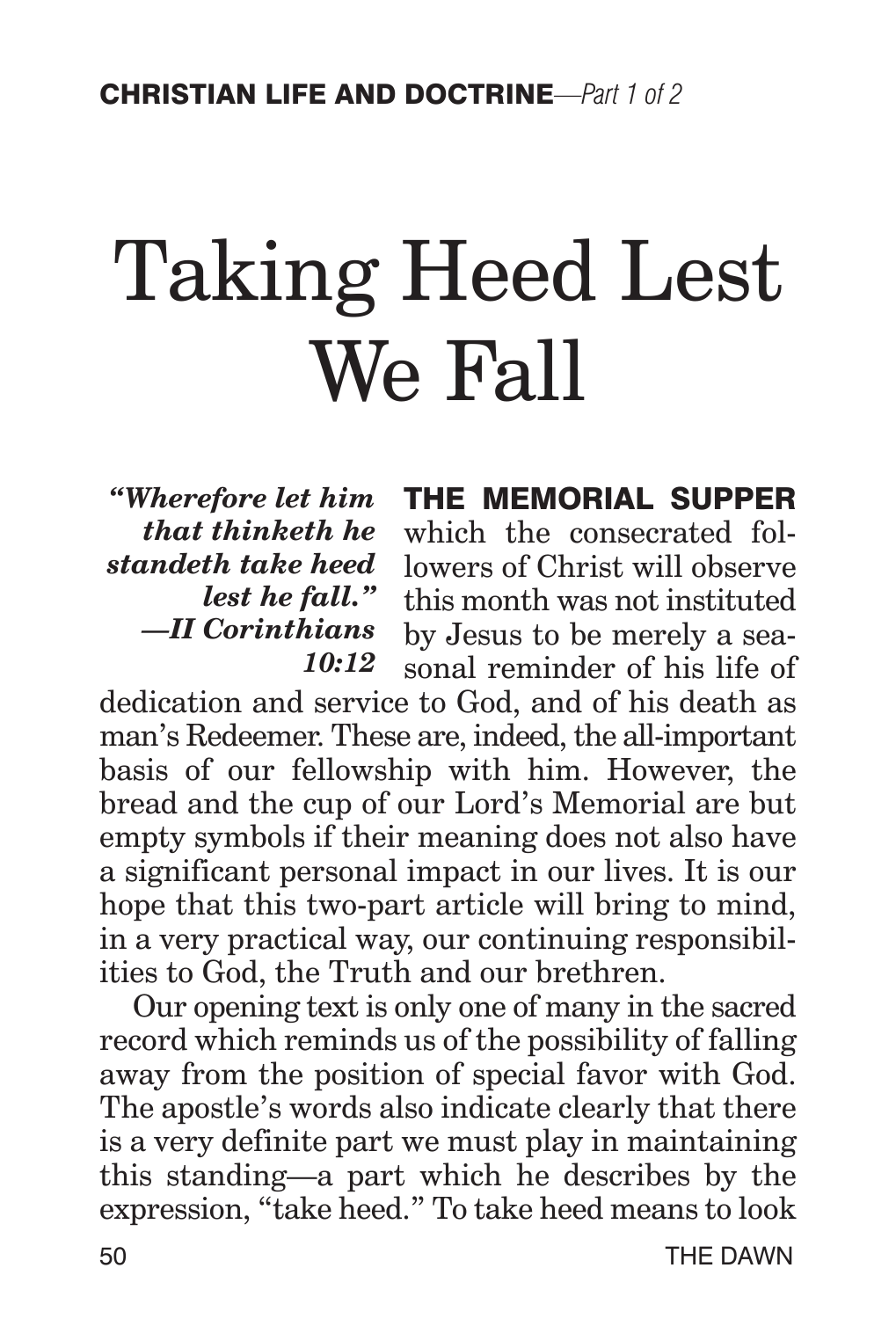# Taking Heed Lest We Fall

*"Wherefore let him that thinketh he standeth take heed lest he fall." —II Corinthians 10:12*

THE MEMORIAL SUPPER which the consecrated followers of Christ will observe this month was not instituted by Jesus to be merely a seasonal reminder of his life of

dedication and service to God, and of his death as man's Redeemer. These are, indeed, the all-important basis of our fellowship with him. However, the bread and the cup of our Lord's Memorial are but empty symbols if their meaning does not also have a significant personal impact in our lives. It is our hope that this two-part article will bring to mind, in a very practical way, our continuing responsibilities to God, the Truth and our brethren.

Our opening text is only one of many in the sacred record which reminds us of the possibility of falling away from the position of special favor with God. The apostle's words also indicate clearly that there is a very definite part we must play in maintaining this standing—a part which he describes by the expression, "take heed." To take heed means to look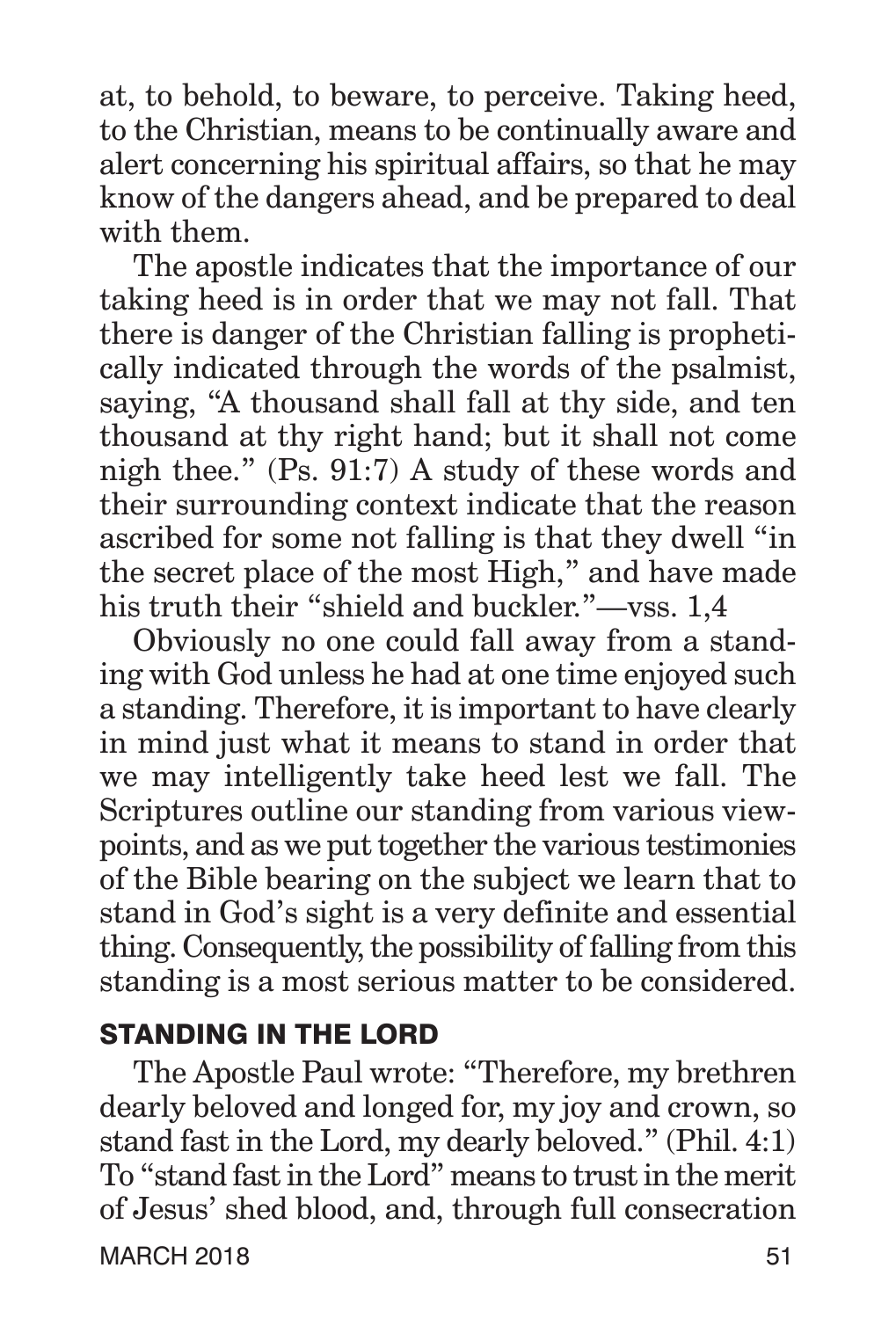at, to behold, to beware, to perceive. Taking heed, to the Christian, means to be continually aware and alert concerning his spiritual affairs, so that he may know of the dangers ahead, and be prepared to deal with them.

The apostle indicates that the importance of our taking heed is in order that we may not fall. That there is danger of the Christian falling is prophetically indicated through the words of the psalmist, saying, "A thousand shall fall at thy side, and ten thousand at thy right hand; but it shall not come nigh thee." (Ps. 91:7) A study of these words and their surrounding context indicate that the reason ascribed for some not falling is that they dwell "in the secret place of the most High," and have made his truth their "shield and buckler."—vss. 1,4

Obviously no one could fall away from a standing with God unless he had at one time enjoyed such a standing. Therefore, it is important to have clearly in mind just what it means to stand in order that we may intelligently take heed lest we fall. The Scriptures outline our standing from various viewpoints, and as we put together the various testimonies of the Bible bearing on the subject we learn that to stand in God's sight is a very definite and essential thing. Consequently, the possibility of falling from this standing is a most serious matter to be considered.

#### STANDING IN THE LORD

The Apostle Paul wrote: "Therefore, my brethren dearly beloved and longed for, my joy and crown, so stand fast in the Lord, my dearly beloved." (Phil. 4:1) To "stand fast in the Lord" means to trust in the merit of Jesus' shed blood, and, through full consecration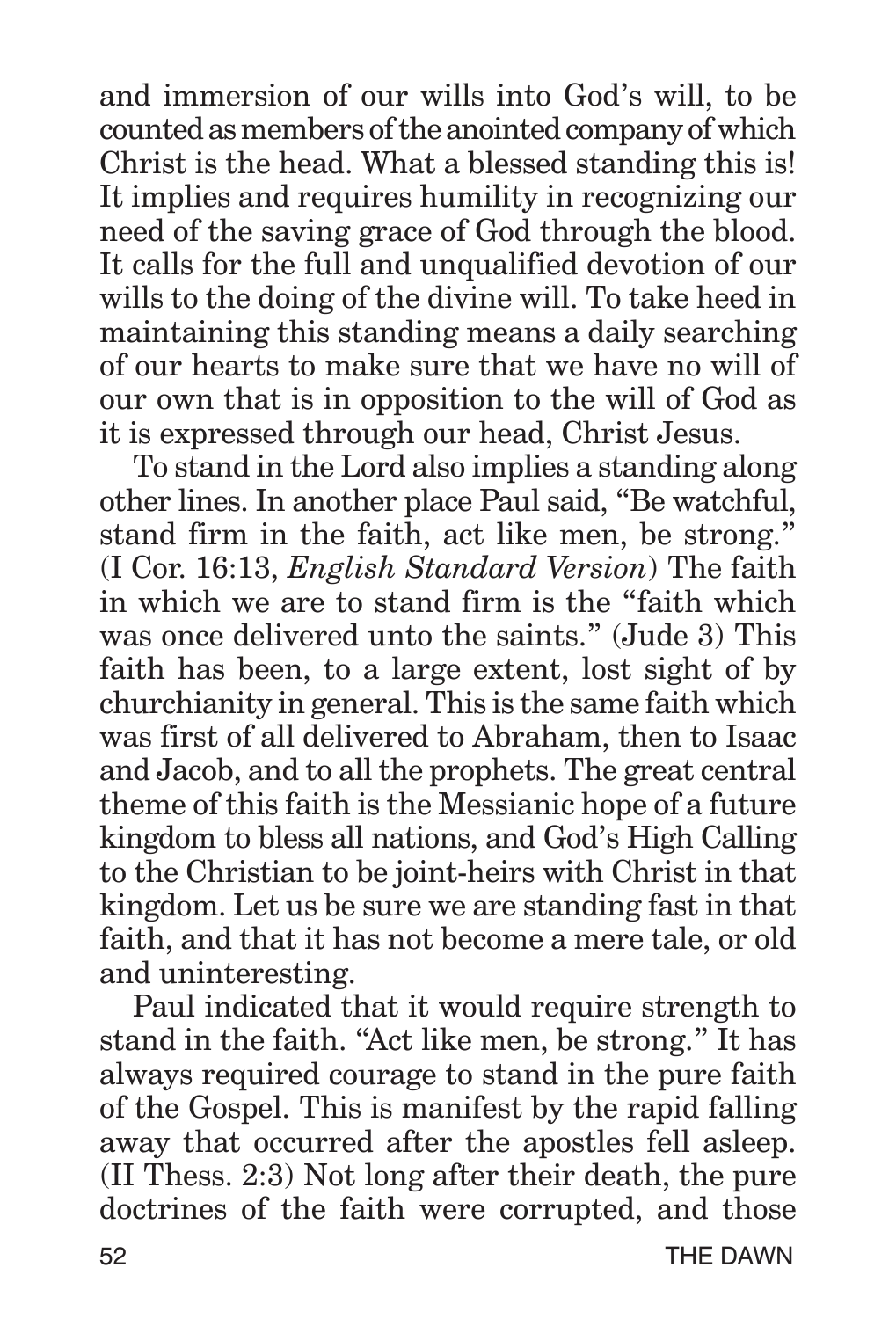and immersion of our wills into God's will, to be counted as members of the anointed company of which Christ is the head. What a blessed standing this is! It implies and requires humility in recognizing our need of the saving grace of God through the blood. It calls for the full and unqualified devotion of our wills to the doing of the divine will. To take heed in maintaining this standing means a daily searching of our hearts to make sure that we have no will of our own that is in opposition to the will of God as it is expressed through our head, Christ Jesus.

To stand in the Lord also implies a standing along other lines. In another place Paul said, "Be watchful, stand firm in the faith, act like men, be strong." (I Cor. 16:13, *English Standard Version*) The faith in which we are to stand firm is the "faith which was once delivered unto the saints." (Jude 3) This faith has been, to a large extent, lost sight of by churchianity in general. This is the same faith which was first of all delivered to Abraham, then to Isaac and Jacob, and to all the prophets. The great central theme of this faith is the Messianic hope of a future kingdom to bless all nations, and God's High Calling to the Christian to be joint-heirs with Christ in that kingdom. Let us be sure we are standing fast in that faith, and that it has not become a mere tale, or old and uninteresting.

Paul indicated that it would require strength to stand in the faith. "Act like men, be strong." It has always required courage to stand in the pure faith of the Gospel. This is manifest by the rapid falling away that occurred after the apostles fell asleep. (II Thess. 2:3) Not long after their death, the pure doctrines of the faith were corrupted, and those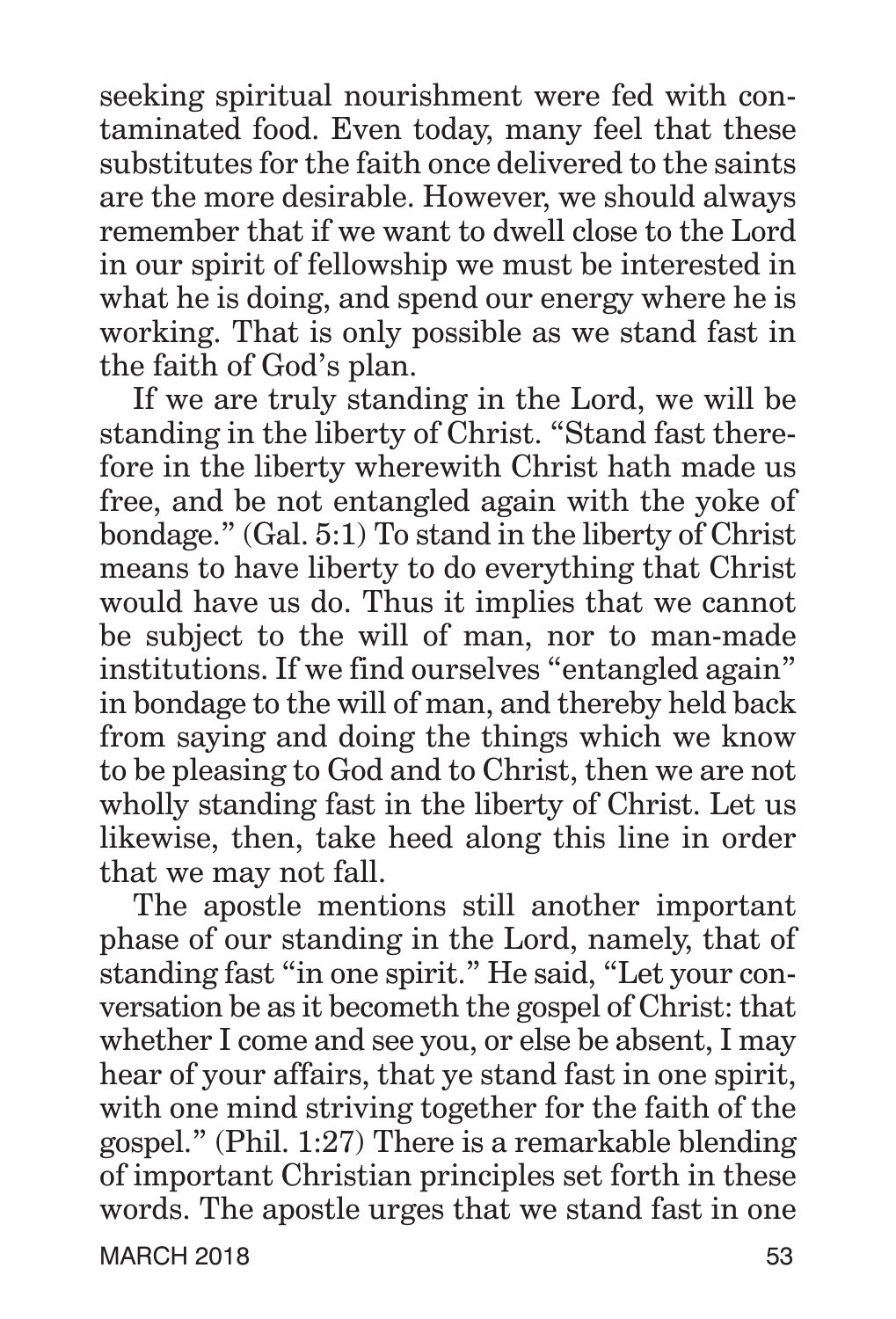seeking spiritual nourishment were fed with contaminated food. Even today, many feel that these substitutes for the faith once delivered to the saints are the more desirable. However, we should always remember that if we want to dwell close to the Lord in our spirit of fellowship we must be interested in what he is doing, and spend our energy where he is working. That is only possible as we stand fast in the faith of God's plan.

If we are truly standing in the Lord, we will be standing in the liberty of Christ. "Stand fast therefore in the liberty wherewith Christ hath made us free, and be not entangled again with the yoke of bondage." (Gal. 5:1) To stand in the liberty of Christ means to have liberty to do everything that Christ would have us do. Thus it implies that we cannot be subject to the will of man, nor to man-made institutions. If we find ourselves "entangled again" in bondage to the will of man, and thereby held back from saying and doing the things which we know to be pleasing to God and to Christ, then we are not wholly standing fast in the liberty of Christ. Let us likewise, then, take heed along this line in order that we may not fall.

The apostle mentions still another important phase of our standing in the Lord, namely, that of standing fast "in one spirit." He said, "Let your conversation be as it becometh the gospel of Christ: that whether I come and see you, or else be absent, I may hear of your affairs, that ye stand fast in one spirit, with one mind striving together for the faith of the gospel." (Phil. 1:27) There is a remarkable blending of important Christian principles set forth in these words. The apostle urges that we stand fast in one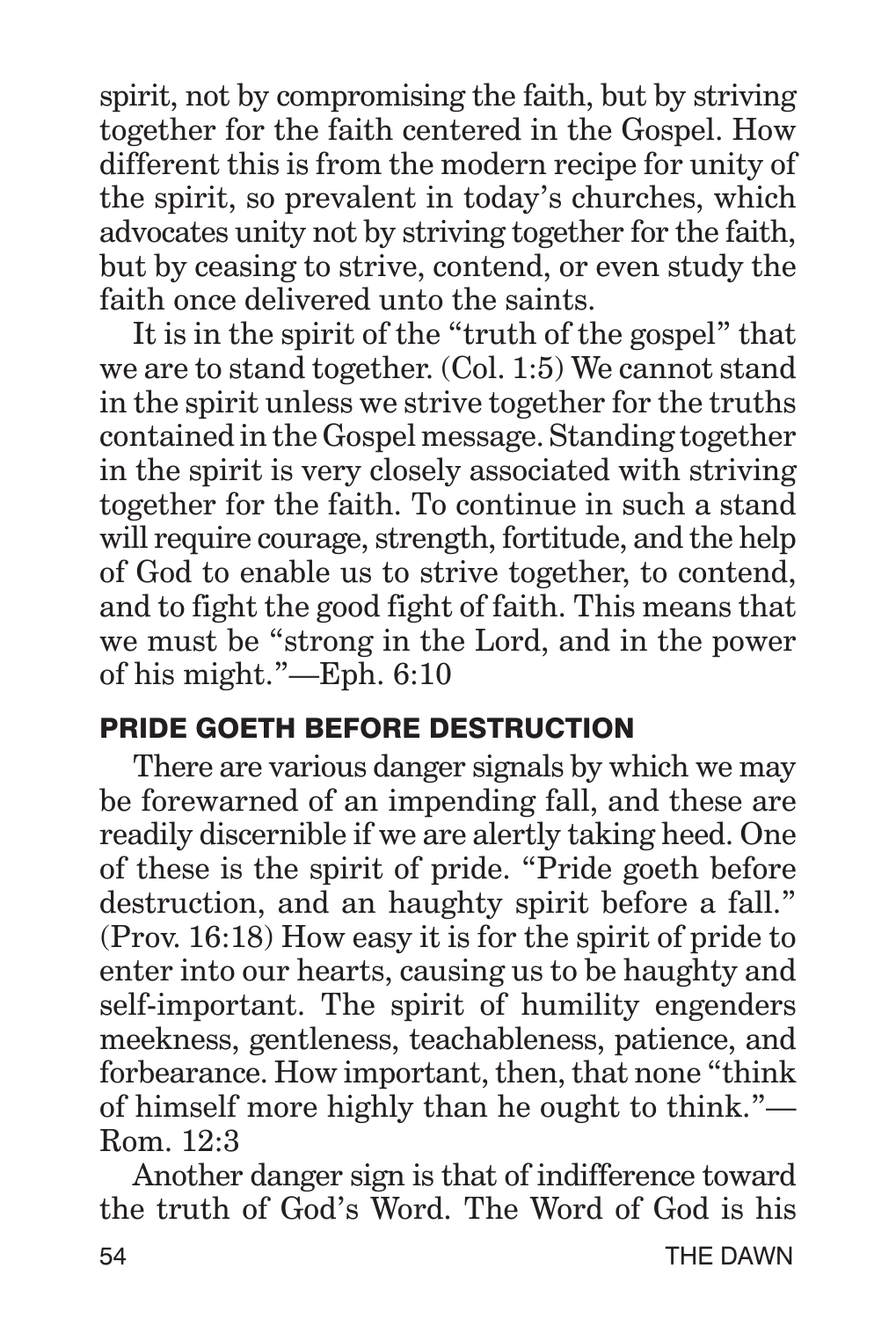spirit, not by compromising the faith, but by striving together for the faith centered in the Gospel. How different this is from the modern recipe for unity of the spirit, so prevalent in today's churches, which advocates unity not by striving together for the faith, but by ceasing to strive, contend, or even study the faith once delivered unto the saints.

It is in the spirit of the "truth of the gospel" that we are to stand together. (Col. 1:5) We cannot stand in the spirit unless we strive together for the truths contained in the Gospel message. Standing together in the spirit is very closely associated with striving together for the faith. To continue in such a stand will require courage, strength, fortitude, and the help of God to enable us to strive together, to contend, and to fight the good fight of faith. This means that we must be "strong in the Lord, and in the power of his might."—Eph. 6:10

#### PRIDE GOETH BEFORE DESTRUCTION

There are various danger signals by which we may be forewarned of an impending fall, and these are readily discernible if we are alertly taking heed. One of these is the spirit of pride. "Pride goeth before destruction, and an haughty spirit before a fall." (Prov. 16:18) How easy it is for the spirit of pride to enter into our hearts, causing us to be haughty and self-important. The spirit of humility engenders meekness, gentleness, teachableness, patience, and forbearance. How important, then, that none "think of himself more highly than he ought to think."— Rom. 12:3

Another danger sign is that of indifference toward the truth of God's Word. The Word of God is his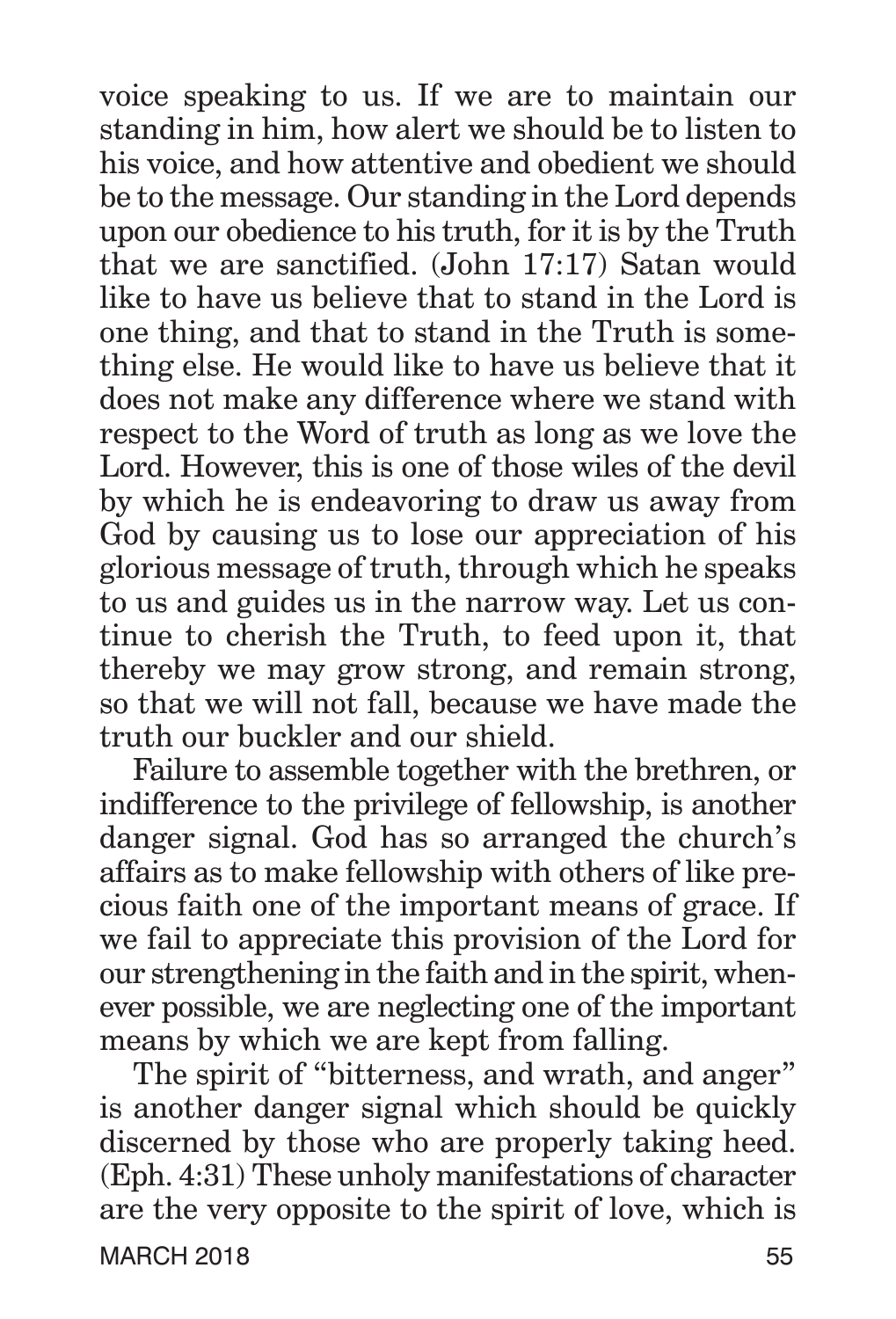voice speaking to us. If we are to maintain our standing in him, how alert we should be to listen to his voice, and how attentive and obedient we should be to the message. Our standing in the Lord depends upon our obedience to his truth, for it is by the Truth that we are sanctified. (John 17:17) Satan would like to have us believe that to stand in the Lord is one thing, and that to stand in the Truth is something else. He would like to have us believe that it does not make any difference where we stand with respect to the Word of truth as long as we love the Lord. However, this is one of those wiles of the devil by which he is endeavoring to draw us away from God by causing us to lose our appreciation of his glorious message of truth, through which he speaks to us and guides us in the narrow way. Let us continue to cherish the Truth, to feed upon it, that thereby we may grow strong, and remain strong, so that we will not fall, because we have made the truth our buckler and our shield.

Failure to assemble together with the brethren, or indifference to the privilege of fellowship, is another danger signal. God has so arranged the church's affairs as to make fellowship with others of like precious faith one of the important means of grace. If we fail to appreciate this provision of the Lord for our strengthening in the faith and in the spirit, whenever possible, we are neglecting one of the important means by which we are kept from falling.

MARCH 2018 55 The spirit of "bitterness, and wrath, and anger" is another danger signal which should be quickly discerned by those who are properly taking heed. (Eph. 4:31) These unholy manifestations of character are the very opposite to the spirit of love, which is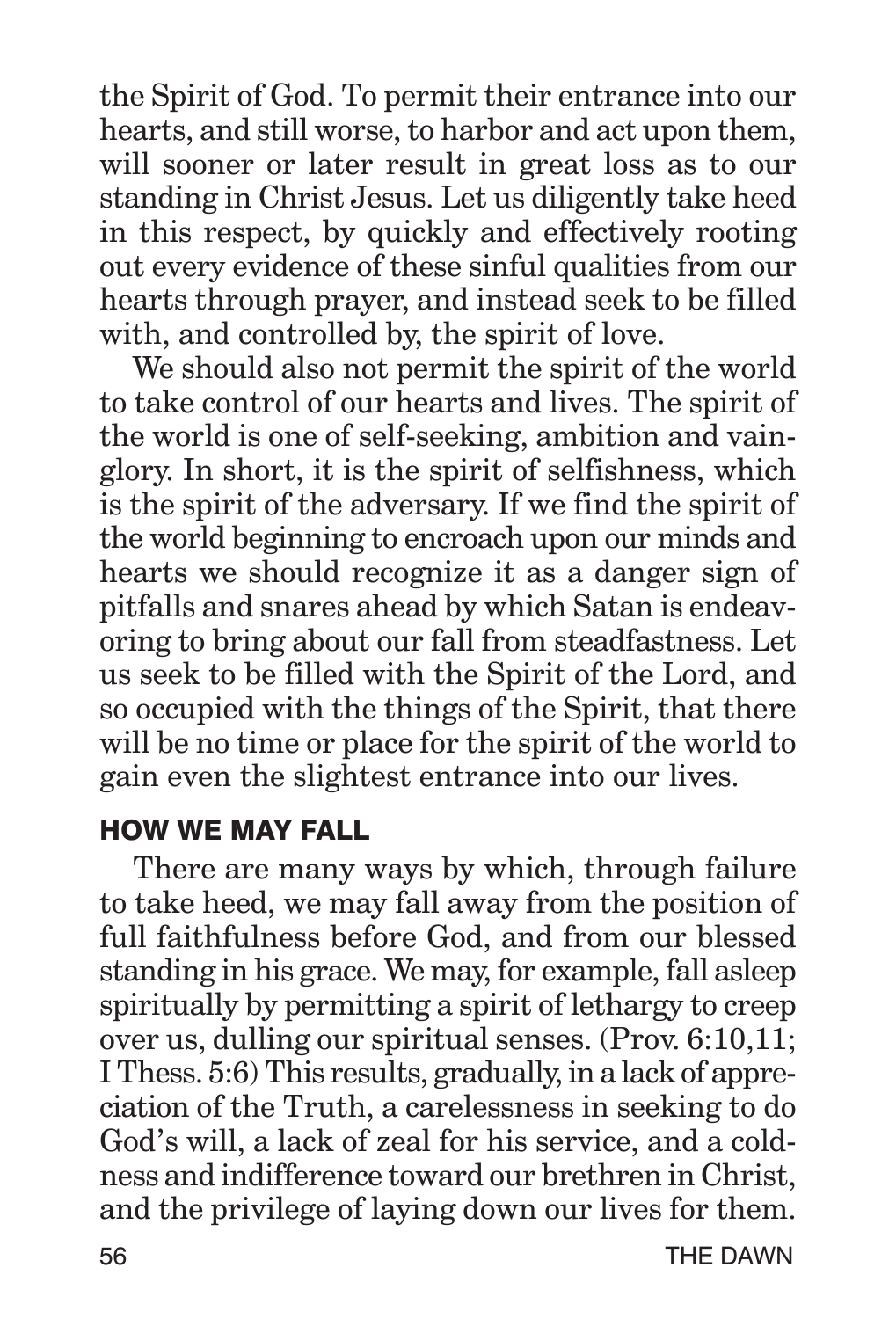the Spirit of God. To permit their entrance into our hearts, and still worse, to harbor and act upon them, will sooner or later result in great loss as to our standing in Christ Jesus. Let us diligently take heed in this respect, by quickly and effectively rooting out every evidence of these sinful qualities from our hearts through prayer, and instead seek to be filled with, and controlled by, the spirit of love.

We should also not permit the spirit of the world to take control of our hearts and lives. The spirit of the world is one of self-seeking, ambition and vainglory. In short, it is the spirit of selfishness, which is the spirit of the adversary. If we find the spirit of the world beginning to encroach upon our minds and hearts we should recognize it as a danger sign of pitfalls and snares ahead by which Satan is endeavoring to bring about our fall from steadfastness. Let us seek to be filled with the Spirit of the Lord, and so occupied with the things of the Spirit, that there will be no time or place for the spirit of the world to gain even the slightest entrance into our lives.

#### HOW WE MAY FALL

There are many ways by which, through failure to take heed, we may fall away from the position of full faithfulness before God, and from our blessed standing in his grace. We may, for example, fall asleep spiritually by permitting a spirit of lethargy to creep over us, dulling our spiritual senses. (Prov. 6:10,11; I Thess. 5:6) This results, gradually, in a lack of appreciation of the Truth, a carelessness in seeking to do God's will, a lack of zeal for his service, and a coldness and indifference toward our brethren in Christ, and the privilege of laying down our lives for them.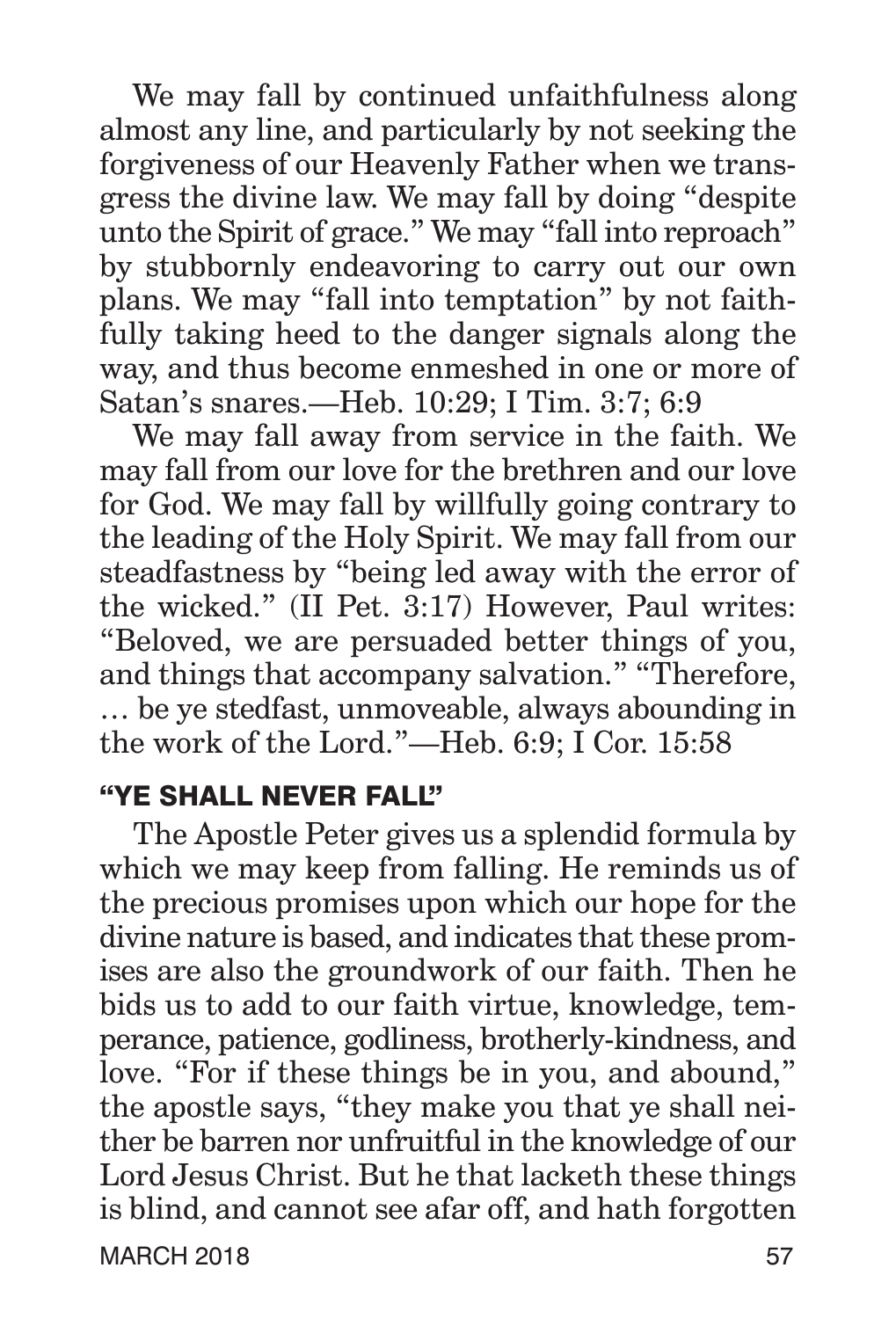We may fall by continued unfaithfulness along almost any line, and particularly by not seeking the forgiveness of our Heavenly Father when we transgress the divine law. We may fall by doing "despite unto the Spirit of grace." We may "fall into reproach" by stubbornly endeavoring to carry out our own plans. We may "fall into temptation" by not faithfully taking heed to the danger signals along the way, and thus become enmeshed in one or more of Satan's snares.—Heb. 10:29; I Tim. 3:7; 6:9

We may fall away from service in the faith. We may fall from our love for the brethren and our love for God. We may fall by willfully going contrary to the leading of the Holy Spirit. We may fall from our steadfastness by "being led away with the error of the wicked." (II Pet. 3:17) However, Paul writes: "Beloved, we are persuaded better things of you, and things that accompany salvation." "Therefore, … be ye stedfast, unmoveable, always abounding in the work of the Lord."—Heb. 6:9; I Cor. 15:58

#### "YE SHALL NEVER FALL"

The Apostle Peter gives us a splendid formula by which we may keep from falling. He reminds us of the precious promises upon which our hope for the divine nature is based, and indicates that these promises are also the groundwork of our faith. Then he bids us to add to our faith virtue, knowledge, temperance, patience, godliness, brotherly-kindness, and love. "For if these things be in you, and abound," the apostle says, "they make you that ye shall neither be barren nor unfruitful in the knowledge of our Lord Jesus Christ. But he that lacketh these things is blind, and cannot see afar off, and hath forgotten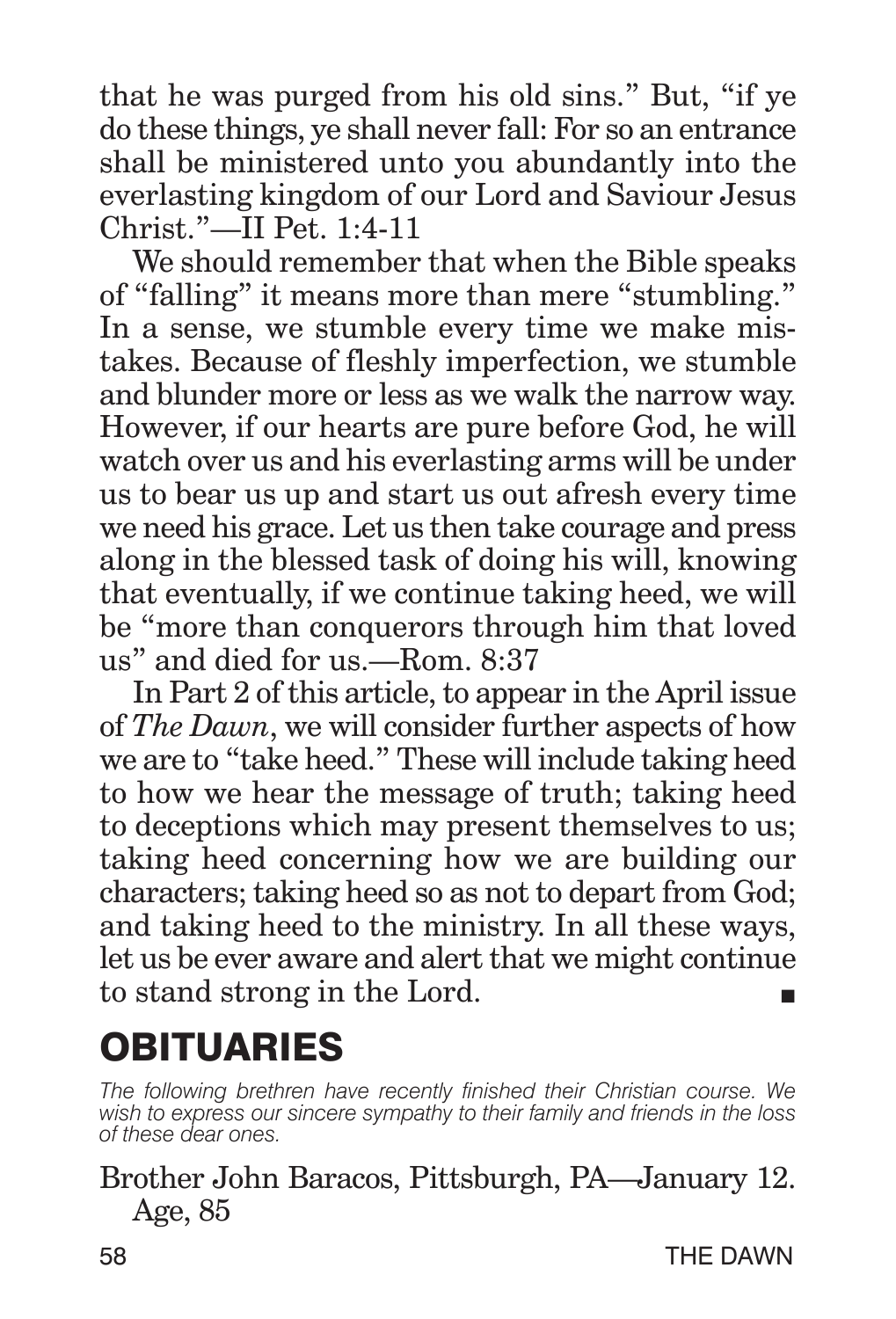that he was purged from his old sins." But, "if ye do these things, ye shall never fall: For so an entrance shall be ministered unto you abundantly into the everlasting kingdom of our Lord and Saviour Jesus Christ."—II Pet. 1:4-11

We should remember that when the Bible speaks of "falling" it means more than mere "stumbling." In a sense, we stumble every time we make mistakes. Because of fleshly imperfection, we stumble and blunder more or less as we walk the narrow way. However, if our hearts are pure before God, he will watch over us and his everlasting arms will be under us to bear us up and start us out afresh every time we need his grace. Let us then take courage and press along in the blessed task of doing his will, knowing that eventually, if we continue taking heed, we will be "more than conquerors through him that loved us" and died for us.—Rom. 8:37

In Part 2 of this article, to appear in the April issue of *The Dawn*, we will consider further aspects of how we are to "take heed." These will include taking heed to how we hear the message of truth; taking heed to deceptions which may present themselves to us; taking heed concerning how we are building our characters; taking heed so as not to depart from God; and taking heed to the ministry. In all these ways, let us be ever aware and alert that we might continue to stand strong in the Lord.

### OBITUARIES

*The following brethren have recently finished their Christian course. We wish to express our sincere sympathy to their family and friends in the loss of these dear ones.*

#### Brother John Baracos, Pittsburgh, PA—January 12. Age, 85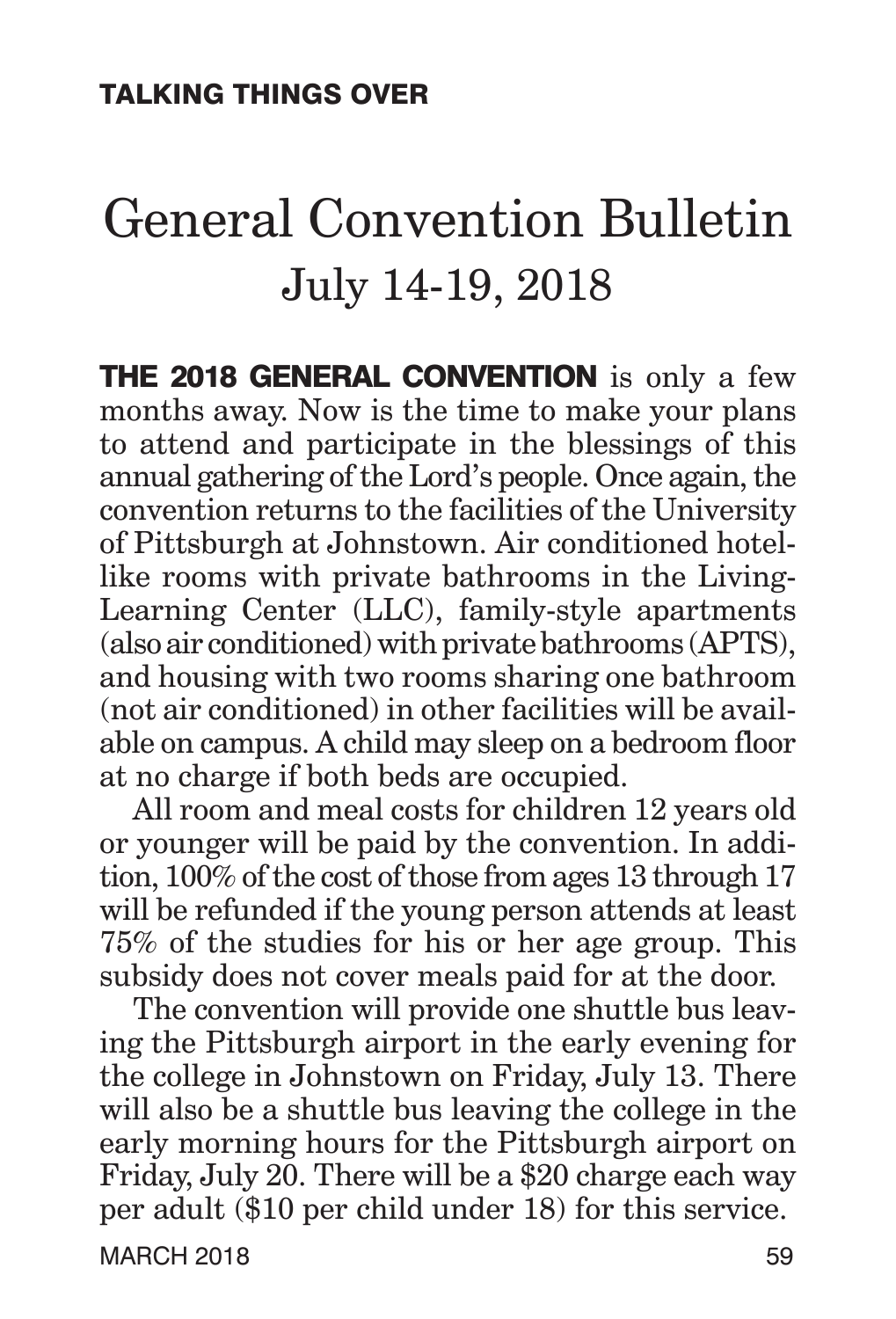## General Convention Bulletin July 14-19, 2018

THE 2018 GENERAL CONVENTION is only a few months away. Now is the time to make your plans to attend and participate in the blessings of this annual gathering of the Lord's people. Once again, the convention returns to the facilities of the University of Pittsburgh at Johnstown. Air conditioned hotellike rooms with private bathrooms in the Living-Learning Center (LLC), family-style apartments (also air conditioned) with private bathrooms (APTS), and housing with two rooms sharing one bathroom (not air conditioned) in other facilities will be available on campus. A child may sleep on a bedroom floor at no charge if both beds are occupied.

All room and meal costs for children 12 years old or younger will be paid by the convention. In addition, 100% of the cost of those from ages 13 through 17 will be refunded if the young person attends at least 75% of the studies for his or her age group. This subsidy does not cover meals paid for at the door.

The convention will provide one shuttle bus leaving the Pittsburgh airport in the early evening for the college in Johnstown on Friday, July 13. There will also be a shuttle bus leaving the college in the early morning hours for the Pittsburgh airport on Friday, July 20. There will be a \$20 charge each way per adult (\$10 per child under 18) for this service.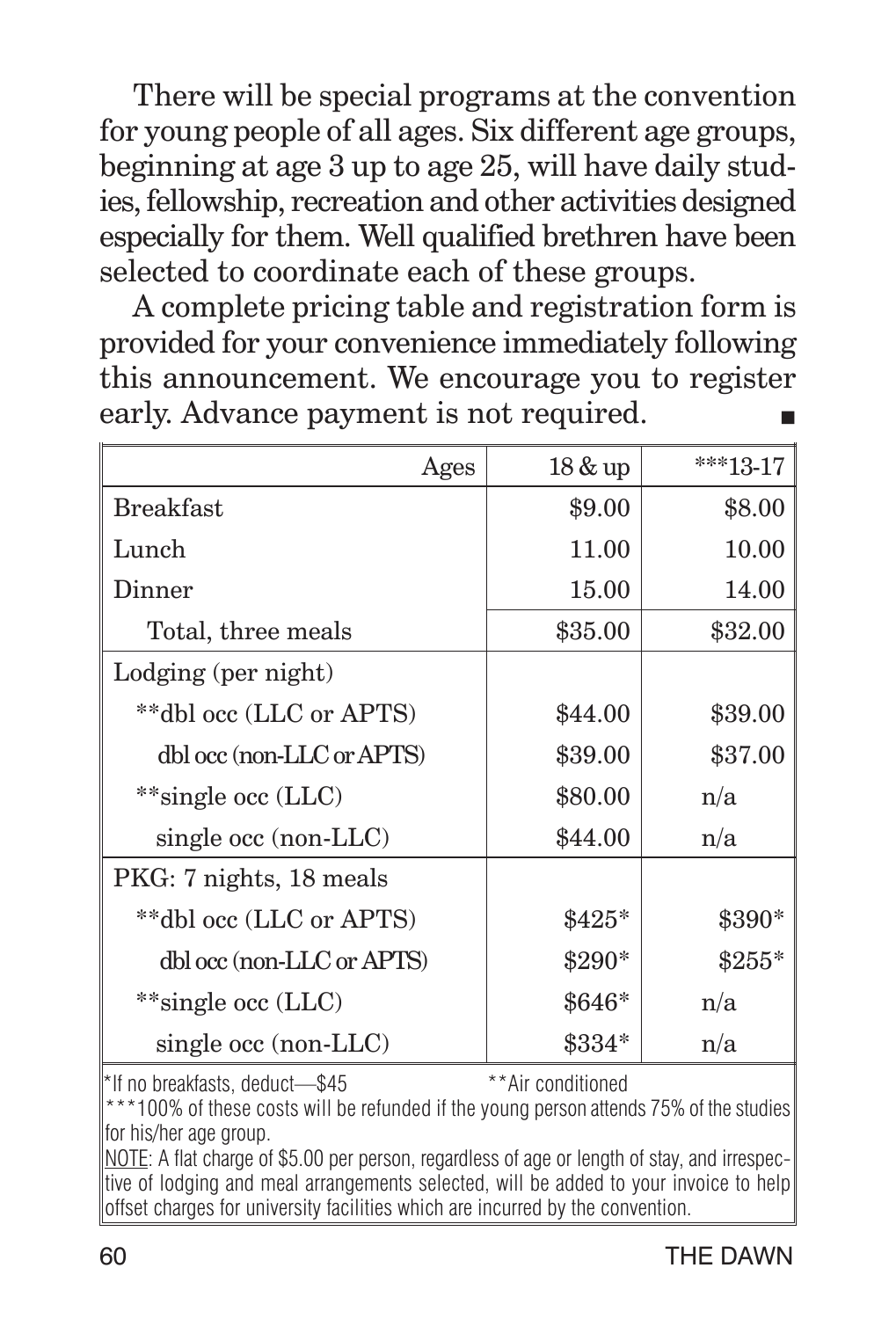There will be special programs at the convention for young people of all ages. Six different age groups, beginning at age 3 up to age 25, will have daily studies, fellowship, recreation and other activities designed especially for them. Well qualified brethren have been selected to coordinate each of these groups.

A complete pricing table and registration form is provided for your convenience immediately following this announcement. We encourage you to register early. Advance payment is not required.

| Ages                       | 18 & up        | $***13-17$ |
|----------------------------|----------------|------------|
| Breakfast                  | \$9.00         | \$8.00     |
| Lunch                      | 11.00          | 10.00      |
| Dinner                     | 15.00          | 14.00      |
| Total, three meals         | \$35.00        | \$32.00    |
| Lodging (per night)        |                |            |
| **dbl occ (LLC or APTS)    | \$44.00        | \$39.00    |
| dbl occ (non-LLC or APTS)  | \$39.00        | \$37.00    |
| **single occ $(LLC)$       | \$80.00        | n/a        |
| single $\rm occ$ (non-LLC) | \$44.00        | n/a        |
| PKG: 7 nights, 18 meals    |                |            |
| **dbl occ (LLC or APTS)    | $$425*$        | \$390*     |
| dbl occ (non-LLC or APTS)  | $$290*$        | $$255*$    |
| **single occ (LLC)         | $$646*$<br>n/a |            |
| single occ (non-LLC)       | \$334*         | n/a        |
|                            |                |            |

\*If no breakfasts, deduct—\$45 \*\*Air conditioned \*\*\*100% of these costs will be refunded if the young person attends 75% of the studies for his/her age group.

NOTE: A flat charge of \$5.00 per person, regardless of age or length of stay, and irrespective of lodging and meal arrangements selected, will be added to your invoice to help offset charges for university facilities which are incurred by the convention.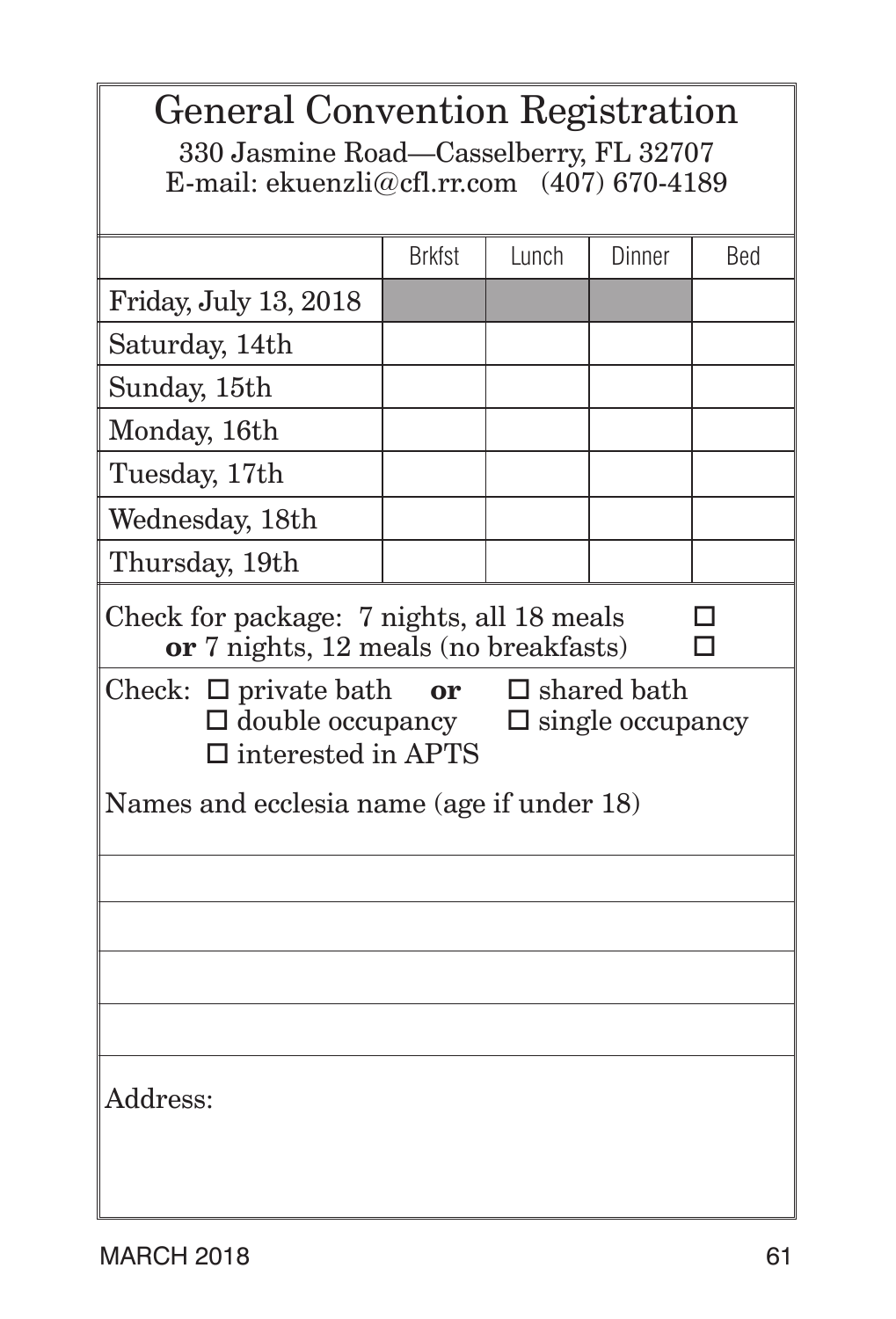| General Convention Registration                                                                                                                                                                 |               |       |        |            |  |  |
|-------------------------------------------------------------------------------------------------------------------------------------------------------------------------------------------------|---------------|-------|--------|------------|--|--|
| 330 Jasmine Road-Casselberry, FL 32707<br>E-mail: ekuenzli@cfl.rr.com $(407)$ 670-4189                                                                                                          |               |       |        |            |  |  |
|                                                                                                                                                                                                 | <b>Brkfst</b> | Lunch | Dinner | <b>Bed</b> |  |  |
| Friday, July 13, 2018                                                                                                                                                                           |               |       |        |            |  |  |
| Saturday, 14th                                                                                                                                                                                  |               |       |        |            |  |  |
| Sunday, 15th                                                                                                                                                                                    |               |       |        |            |  |  |
| Monday, 16th                                                                                                                                                                                    |               |       |        |            |  |  |
| Tuesday, 17th                                                                                                                                                                                   |               |       |        |            |  |  |
| Wednesday, 18th                                                                                                                                                                                 |               |       |        |            |  |  |
| Thursday, 19th                                                                                                                                                                                  |               |       |        |            |  |  |
| Check for package: 7 nights, all 18 meals<br>п<br>or 7 nights, 12 meals (no breakfasts)<br>п                                                                                                    |               |       |        |            |  |  |
| Check: $\square$ private bath or $\square$ shared bath<br>$\square$ double occupancy<br>$\square$ single occupancy<br>$\square$ interested in APTS<br>Names and ecclesia name (age if under 18) |               |       |        |            |  |  |
|                                                                                                                                                                                                 |               |       |        |            |  |  |
|                                                                                                                                                                                                 |               |       |        |            |  |  |
|                                                                                                                                                                                                 |               |       |        |            |  |  |
|                                                                                                                                                                                                 |               |       |        |            |  |  |
|                                                                                                                                                                                                 |               |       |        |            |  |  |
| Address:                                                                                                                                                                                        |               |       |        |            |  |  |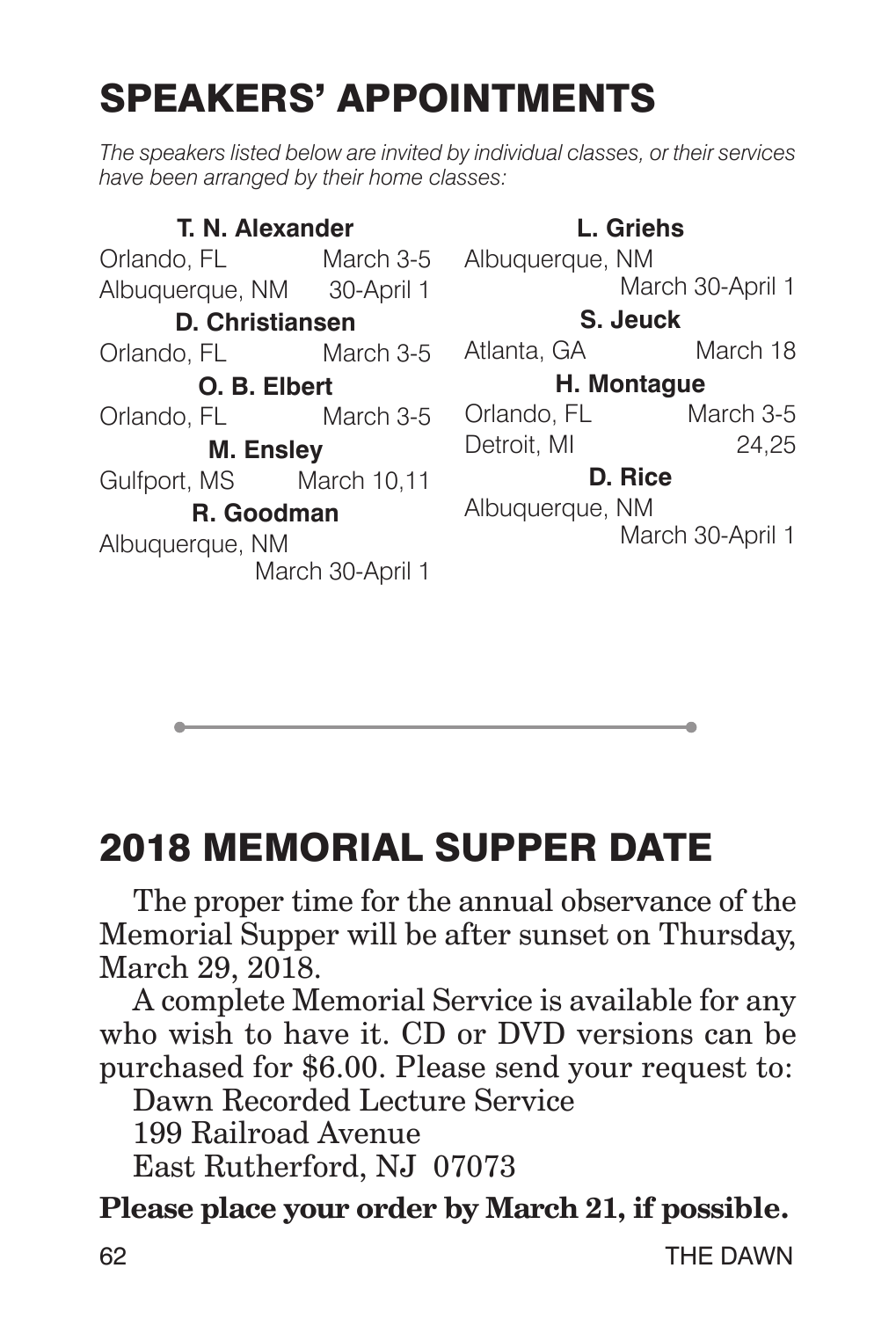### SPEAKERS' APPOINTMENTS

*The speakers listed below are invited by individual classes, or their services have been arranged by their home classes:*

**T. N. Alexander** Orlando, FL March 3-5 Albuquerque, NM 30-April 1 **D. Christiansen** Orlando. Fl **O. B. Elbert** Orlando, FL March 3-5 **M. Ensley** Gulfport, MS March 10,11 **R. Goodman** Albuquerque, NM March 30-April 1

#### **L. Griehs**

Albuquerque, NM March 30-April 1

#### **S. Jeuck**

March 3-5 Atlanta, GA March 18

#### **H. Montague**

Orlando, FL March 3-5 Detroit, MI 24,25

#### **D. Rice**

Albuquerque, NM March 30-April 1

## 2018 MEMORIAL SUPPER DATE

The proper time for the annual observance of the Memorial Supper will be after sunset on Thursday, March 29, 2018.

A complete Memorial Service is available for any who wish to have it. CD or DVD versions can be purchased for \$6.00. Please send your request to:

Dawn Recorded Lecture Service

199 Railroad Avenue

East Rutherford, NJ 07073

#### **Please place your order by March 21, if possible.**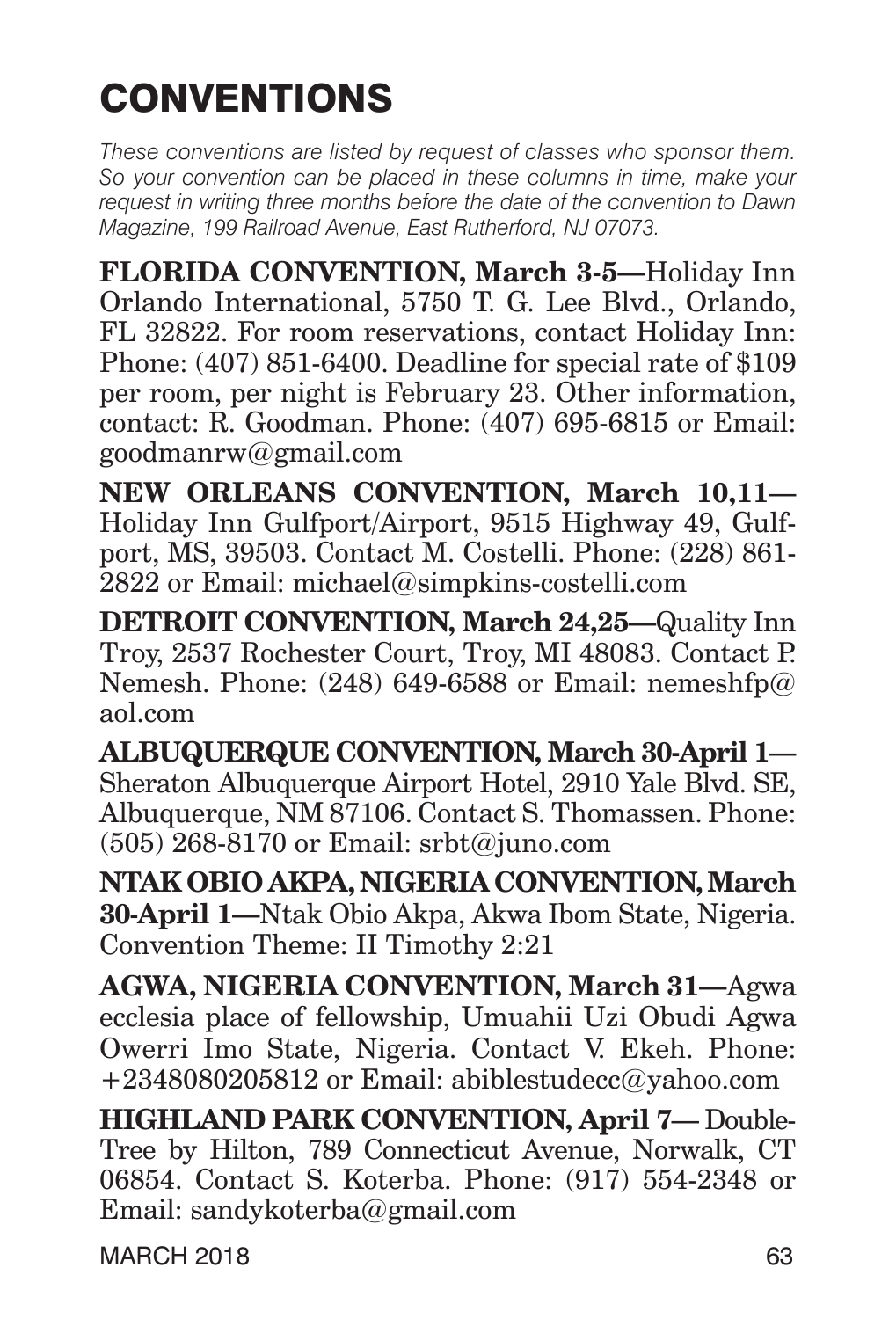## **CONVENTIONS**

*These conventions are listed by request of classes who sponsor them. So your convention can be placed in these columns in time, make your request in writing three months before the date of the convention to Dawn Magazine, 199 Railroad Avenue, East Rutherford, NJ 07073.*

**FLORIDA CONVENTION, March 3-5—**Holiday Inn Orlando International, 5750 T. G. Lee Blvd., Orlando, FL 32822. For room reservations, contact Holiday Inn: Phone: (407) 851-6400. Deadline for special rate of \$109 per room, per night is February 23. Other information, contact: R. Goodman. Phone: (407) 695-6815 or Email: goodmanrw@gmail.com

**NEW ORLEANS CONVENTION, March 10,11—** Holiday Inn Gulfport/Airport, 9515 Highway 49, Gulfport, MS, 39503. Contact M. Costelli. Phone: (228) 861- 2822 or Email: michael@simpkins-costelli.com

**DETROIT CONVENTION, March 24,25—**Quality Inn Troy, 2537 Rochester Court, Troy, MI 48083. Contact P. Nemesh. Phone:  $(248)$  649-6588 or Email: nemeshfp $@$ aol.com

**ALBUQUERQUE CONVENTION, March 30-April 1—** Sheraton Albuquerque Airport Hotel, 2910 Yale Blvd. SE, Albuquerque, NM 87106. Contact S. Thomassen. Phone: (505) 268-8170 or Email: srbt@juno.com

**NTAK OBIO AKPA, NIGERIA CONVENTION, March 30-April 1—**Ntak Obio Akpa, Akwa Ibom State, Nigeria. Convention Theme: II Timothy 2:21

**AGWA, NIGERIA CONVENTION, March 31—**Agwa ecclesia place of fellowship, Umuahii Uzi Obudi Agwa Owerri Imo State, Nigeria. Contact V. Ekeh. Phone: +2348080205812 or Email: abiblestudecc@yahoo.com

**HIGHLAND PARK CONVENTION, April 7—** Double-Tree by Hilton, 789 Connecticut Avenue, Norwalk, CT 06854. Contact S. Koterba. Phone: (917) 554-2348 or Email: sandykoterba@gmail.com